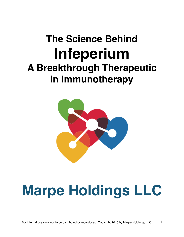## **The Science Behind Infeperium A Breakthrough Therapeutic in Immunotherapy**



# **Marpe Holdings LLC**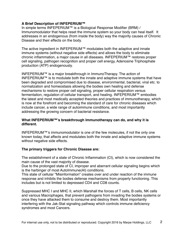#### **A Brief Description of INFEPERIUM™**

In simple terms INFEPERIUM™ is a Biological Response Modifier (BRM) / Immunomodulator that helps reset the immune system so your body can heal itself. It addresses in an endogenous (from inside the body) way the majority causes of Chronic Disease and their effects on the body.

The active ingredient in INFEPERIUM™ modulates both the adaptive and innate immune systems (without negative side effects) and allows the body to eliminate chronic inflammation, a major cause in all diseases. INFEPERIUM™ restores proper cell signaling, pathogen recognition and proper cell energy, Adenosine Triphosphate production (ATP) endogenously.

INFEPERIUM™ is a major breakthrough in ImmunoTherapy. The action of INFEPERIUM™ is to modulate both the innate and adaptive immune systems that have been degraded and compromised due to disease, environmental, bacterial, viral etc. to normalization and homeostasis allowing the bodies own healing and defense mechanisms to restore proper cell signaling, proper cellular respiration versus fermentation, regulation of cellular transport, and healing. INFEPERIUM™ embodies the latest and most medically accepted theories and practices of immunotherapy, which is now at the forefront and becoming the standard of care for chronic diseases which include cancer, a wide range of autoimmune conditions, and most importantly addressing the growing concern of bacterial resistance.

#### **What INFEPERIUM™'s breakthrough Immunotherapy can do, and why it is different.**

INFEPERIUM™'s immunomodulator is one of the few molecules, if not the only one known today, that affects and modulates both the innate and adaptive immune systems without negative side effects.

#### **The primary triggers for Chronic Disease are:**

The establishment of a state of Chronic Inflammation (CI), which is now considered the main cause of the vast majority of disease.

Due to the prolonged state of CI, improper and aberrant cellular signaling begins which is the harbinger of most AutoImmune(AI) conditions.

This state of cellular "Misinformation" creates over and under reaction of the immune response and inhibits the bodies defense mechanisms from properly functioning. This includes but is not limited to depressed CD4 and CD8 counts.

Suppressed MHC I and MHC II, which Marshall the forces of T cells, B cells, NK cells and various Macrophages, that prevent pathogens from invading the bodies systems or once they have attacked them to consume and destroy them. Most importantly interfering with the Jak-Stat signaling pathway which controls immune deficiency syndromes and most Cancers.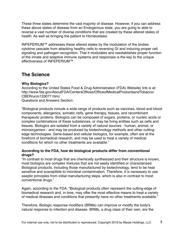These three states determine the vast majority of disease. However, if you can address these above states of disease from an Endogenous state, you are going to able to reverse a vast number of diverse conditions that are created by these altered states of health. As well as bringing the patient to Homeostasis.

INFEPERIUM™ addresses these altered states by the modulation of the bodies cytokine cascade from attacking healthy cells to reversing GI and inducing proper cell signaling and pathogen recognition. That it modulates and reestablishes proper function of the innate and adaptive immune systems and responses is the key to the unique effectiveness of INFEPERIUM™.

## **The Science**

#### **Why Biologics?**

According to the United States Food & Drug Administration (FDA) Website( link is at: http://www.fda.gov/AboutFDA/CentersOffices/OfficeofMedicalProductsandTobacco/ CBER/ucm133077.htm) Questions and Answers Section:

"Biological products include a wide range of products such as vaccines, blood and blood components, allergenics, somatic cells, gene therapy, tissues, and recombinant therapeutic proteins. Biologics can be composed of sugars, proteins, or nucleic acids or complex combinations of these substances, or may be living entities such as cells and tissues. Biologics are isolated from a variety of natural sources - human, animal, or microorganism - and may be produced by biotechnology methods and other cuttingedge technologies. Gene-based and cellular biologics, for example, often are at the forefront of biomedical research, and may be used to treat a variety of medical conditions for which no other treatments are available."

#### **According to the FDA, how do biological products differ from conventional drugs?**

"In contrast to most drugs that are chemically synthesized and their structure is known, most biologics are complex mixtures that are not easily identified or characterized. Biological products, including those manufactured by biotechnology, tend to be heat sensitive and susceptible to microbial contamination. Therefore, it is necessary to use aseptic principles from initial manufacturing steps, which is also in contrast to most conventional drugs."

Again, according to the FDA, "Biological products often represent the cutting-edge of biomedical research and, in time, may offer the most effective means to treat a variety of medical illnesses and conditions that presently have no other treatments available."

Therefore, Biologic response modifiers (BRMs) can improve or modify the body's natural response to infection and disease. BRMs, a drug class of their own, are the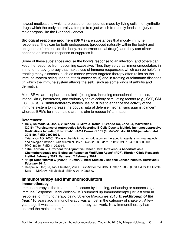newest medications which are based on compounds made by living cells, not synthetic drugs which the body naturally attempts to reject which frequently leads to injury of major organs like the liver and kidneys.

**Biological response modifiers (BRMs)** are substances that modify immune responses. They can be both endogenous (produced naturally within the body) and exogenous (from outside the body, as pharmaceutical drugs), and they can either enhance an immune response or suppress it.

Some of these substances arouse the body's response to an infection, and others can keep the response from becoming excessive. Thus they serve as immunomodulators in immunotherapy (therapy that makes use of immune responses), which can be helpful in treating many diseases, such as cancer (where targeted therapy often relies on the immune system being used to attack cancer cells) and in treating autoimmune diseases (in which the immune system attacks the self), such as some kinds of arthritis and dermatitis.

Most BRMs are biopharmaceuticals (biologics), including monoclonal antibodies, interleukin 2, interferons, and various types of colony-stimulating factors (e.g., CSF, GM-CSF, G-CSF). "Immunotherapy makes use of BRMs to enhance the activity of the immune system to increase the body's natural defense mechanisms against cancer", whereas BRMs for rheumatoid arthritis aim to reduce inflammation.

#### **References:**

- **• He Y, Shimoda M, Ono Y, Villalobos IB, Mitra A, Konia T, Grando SA, Zone JJ, Maverakis E (2015). "Persistence of Autoreactive IgA-Secreting B Cells Despite Multiple Immunosuppressive Medications Including Rituximab". JAMA Dermatol 151 (6): 646–50. doi:10.1001/jamadermatol. 2015.59. PMID 25901938.**
- Tzianabos AO (2000). "Polysaccharide immunomodulators as therapeutic agents: structural aspects and biologic function.". Clin Microbiol Rev 13 (4): 523–33. doi:10.1128/CMR.13.4.523-533.2000. PMC 88946. PMID 11023954.
- **• "The Riordan IVC Protocol for Adjunctive Cancer Care: Intravenous Ascorbate as a Chemotherapeutic and Biological Response Modifying Agent" (PDF). Riordan Clinic Research Institut. February 2013. Retrieved 2 February 2014.**
- **• "High-Dose Vitamin C (PDQ®): Human/Clinical Studies". National Cancer Institute. Retrieved 2 February 2014.**
- Deepak A. Rao; Le, Tao; Bhushan, Vikas. First Aid for the USMLE Step 1 2008 (First Aid for the Usmle Step 1). McGraw-Hill Medical. ISBN 0-07-149868-0.

#### **Immunotherapy and Immunomodulators:**

#### **Immunotherapy**

Immunotherapy is the treatment of disease by inducing, enhancing or suppressing an Immune Response. Jedd Wolchok MD summed up Immunotherapy just last year in response to Immunotherapy being Science Magazines 2013 *Breakthrough of the Year.* "10 years ago Immunotherapy was almost in the category of snake oil. A few years ago it was stated that Immunotherapy can work. Now Immunotherapy has entered the main stream."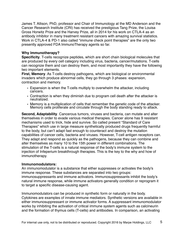James T. Allison, PhD, professor and Chair of Immunology at the MD Anderson and the Cancer Research Institute (CRI) has received the prestigious Tang Prize, the Louisa Gross Horwitz Prize and the Harvey Prize, all in 2014 for his work on CTLA-4 as an antibody inhibitor in many treatment resistant cancers with amazing survival statistics. Work in CTLA-4 & PD-1 also called "immune check point therapies" are the only two presently approved FDA ImmunoTherapy agents so far.

#### **Why Immunotherapy?**

**Specificity**. T-cells recognize peptides, which are short chain biological molecules that are produced by every cell category including virus, bacteria, cancer/mutations. T-cells can recognize them and can destroy them, and most importantly they have the following two important elements.

**First, Memory**. As T-cells destroy pathogens, which are biological or environmental invaders which produce abnormal cells, they go through 3 phases: expansion, contraction and memory.

- Expansion is when the T-cells multiply to overwhelm the attacker, including cancers.
- Contraction is when they diminish due to program cell death after the attacker is neutralized.
- Memory is a multiplication of cells that remember the genetic code of the attacker. Memory cells proliferate and circulate through the body standing ready to attack.

**Second, Adaptability**. Cancerous tumors, viruses and bacteria, can mutate and alter themselves in order to evade various medical therapies. Cancer alone has 9 resistant mechanisms used to trick, hide and survive. So called present "Standard of Care Therapies" which use in large measure synthetically produced drugs frequently harmful to the body, but can't adapt fast enough to counteract and destroy the mutation capabilities of cancer cells, bacteria and viruses. However, T-cell antigen receptors can. They adapt and respond as quickly as the pathogens, because they can combine and alter themselves as many 10 to the 15th power in different combinations. The stimulation of the T-cells is a natural response of the body's immune system to the injection of Infeperium breakthrough therapies. This is the key to the why and how of immunotherapy.

#### **Immunomodulators:**

An immunomodulator is a substance that either suppresses or activates the body's immune response. These substances are separated into two groups: immunosuppressants and immune activators. Immunosuppressants inhibit the body's natural immune response, while immune activators generally condition or reprogram it to target a specific disease-causing agent.

Immunomodulators can be produced in synthetic form or naturally in the body. Cytokines are examples of innate immune mediators. Synthetic versions are available in either immunosuppressant or immune activator forms. A suppressant immunomodulator works by inhibiting the activation of critical immune system agents such as calcineurin and the formation of thymus cells (T-cells) and antibodies. In comparison, an activating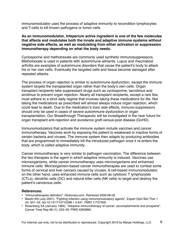immunomodulator uses the process of adaptive immunity to recondition lymphocytes and T-cells to kill known pathogens or tumor cells.

**As an immunomodulator, Infeperium active ingredient is one of the few molecules that affects and modulates both the innate and adaptive immune systems without negative side effects, as well as modulating from either activation or suppression immunotherapy depending on what the body needs.**

Cyclosporine and methotrexate are commonly used synthetic immunosuppressors. Methotrexate is used in patients with autoimmune ailments. Lupus and rheumatoid arthritis are examples of autoimmune disorders that cause the patient's body to attack his or her own cells. Eventually the targeted cells and tissue become damaged after repeated attacks.

The process of organ rejection is similar to autoimmune dysfunction, except the immune system targets the transplanted organ rather than the body's own cells. Organ transplant recipients take suppressant drugs such as cyclosporine, tacrolimus and sirolimus to prevent organ rejection. Nearly all transplant recipients, except a rare few, must adhere to a strict daily regime that involves taking these medications for life. Not taking the medications as prescribed will almost always induce organ rejection, which could lead to death. Due to the medication's toxic side effects, immuno-suppressors should only be used in cases of severe autoimmune dysfunction or organ transplantation. Our Breakthrough Therapeutic will be investigated in the near future for organ transplant anti-rejection and avoidance graft-versus-post disease (GvHD).

Immunomodulators that activate the immune system include vaccines and cancer immunotherapy. Vaccines work by exposing the patient to weakened or inactive forms of certain bacteria and viruses. The immune system then adapts by producing antibodies that are programmed to immediately kill the introduced pathogen once it re-enters the body, which is called adaptive immunity.

Cancer immunotherapy is very similar to pathogen vaccination. The difference between the two therapies is the agent in which adaptive immunity is induced. Vaccines use microorganisms, while cancer immunotherapy uses microorganisms and enhanced immune cells. Microorganism-based cancer immunotherapies are used to combat some forms of cervical and liver cancers caused by viruses. A cell-based immunomodulator, on the other hand, uses enhanced immune cells such as cytotoxic T lymphocytes (CTLs), dendritic cells (DC) and natural killer cells (NK cells) to target and destroy the patient's cancerous cells.

#### **References:**

- "immunotherapies definition". Dictionary.com. Retrieved 2009-06-02.
- Masihi KN (July 2001). "Fighting infection using immunomodulatory agents". Expert Opin Biol Ther 1 (4): 641–53. doi:10.1517/14712598.1.4.641. PMID 11727500.
- Rosenberg SA (January 1984). "Adoptive immunotherapy of cancer: accomplishments and prospects". Cancer Treat Rep 68 (1): 233–55. PMID 6362866.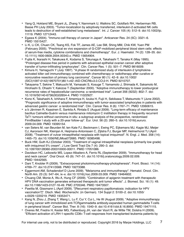- Yang Q, Hokland ME, Bryant JL, Zhang Y, Nannmark U, Watkins SC, Goldfarb RH, Herberman RB, Basse PH (July 2003). "Tumor-localization by adoptively transferred, interleukin-2-activated NK cells leads to destruction of well-established lung metastases". Int. J. Cancer 105 (4): 512–9. doi:10.1002/ijc. 11119. PMID 12712443.
- Egawa K (2004). "Immuno-cell therapy of cancer in Japan". Anticancer Res. 24 (5C): 3321–6. PMID 15515427.
- Li K, Li CK, Chuen CK, Tsang KS, Fok TF, James AE, Lee SM, Shing MM, Chik KW, Yuen PM (February 2005). "Preclinical ex vivo expansion of G-CSF-mobilized peripheral blood stem cells: effects of serum-free media, cytokine combinations and chemotherapy". Eur. J. Haematol. 74 (2): 128–35. doi: 10.1111/j.1600-0609.2004.00343.x. PMID 15654904.
- Fujita K, Ikarashi H, Takakuwa K, Kodama S, Tokunaga A, Takahashi T, Tanaka K (May 1995). "Prolonged disease-free period in patients with advanced epithelial ovarian cancer after adoptive transfer of tumor-infiltrating lymphocytes". Clin. Cancer Res. 1 (5): 501–7. PMID 9816009.
- Kimura H, Yamaguchi Y (July 1997). "A phase III randomized study of interleukin-2 lymphokineactivated killer cell immunotherapy combined with chemotherapy or radiotherapy after curative or noncurative resection of primary lung carcinoma". Cancer 80 (1): 42–9. doi:10.1002/ (SICI)1097-0142(19970701)80:1<42::AID-CNCR6>3.0.CO;2-H. PMID 9210707.
- Takayama T, Sekine T, Makuuchi M, Yamasaki S, Kosuge T, Yamamoto J, Shimada K, Sakamoto M, Hirohashi S, Ohashi Y, Kakizoe T (September 2000). "Adoptive immunotherapy to lower postsurgical recurrence rates of hepatocellular carcinoma: a randomised trial". Lancet 356 (9232): 802–7. doi: 10.1016/S0140-6736(00)02654-4. PMID 11022927.
- Kono K, Takahashi A, Ichihara F, Amemiya H, Iizuka H, Fujii H, Sekikawa T, Matsumoto Y (June 2002). "Prognostic significance of adoptive immunotherapy with tumor-associated lymphocytes in patients with advanced gastric cancer: a randomized trial". Clin. Cancer Res. 8 (6): 1767–71. PMID 12060615.
- a b Järvinen R, Kaasinen E, Sankila A, Rintala E (August 2009). "Long-term efficacy of maintenance bacillus Calmette-Guérin versus maintenance mitomycin C instillation therapy in frequently recurrent TaT1 tumours without carcinoma in situ: a subgroup analysis of the prospective, randomised FinnBladder I study with a 20-year follow-up". Eur. Urol. 56 (2): 260–5. doi:10.1016/j.eururo. 2009.04.009. PMID 19395154.
- van Seters M, van Beurden M, ten Kate FJ, Beckmann I, Ewing PC, Eijkemans MJ, Kagie MJ, Meijer CJ, Aaronson NK, Kleinjan A, Heijmans-Antonissen C, Zijlstra FJ, Burger MP, Helmerhorst TJ (April 2008). "Treatment of vulvar intraepithelial neoplasia with topical imiquimod". N. Engl. J. Med. 358 (14): 1465–73. doi:10.1056/NEJMoa072685. PMID 18385498.
- Buck HW, Guth KJ (October 2003). "Treatment of vaginal intraepithelial neoplasia (primarily low grade) with imiquimod 5% cream". J Low Genit Tract Dis 7 (4): 290–3. doi: 10.1097/00128360-200310000-00011. PMID 17051086.
- Davidson HC, Leibowitz MS, Lopez-Albaitero A, Ferris RL (September 2009). "Immunotherapy for head and neck cancer". Oral Oncol. 45 (9): 747–51. doi:10.1016/j.oraloncology.2009.02.009. PMID 19442565.
- Dani T, Knobler R (2009). "Extracorporeal photoimmunotherapy-photopheresis". Front. Biosci. 14 (14): 4769–77. doi:10.2741/3566. PMID 19273388.
- Eggermont AM, Schadendorf D (June 2009). "Melanoma and immunotherapy". Hematol. Oncol. Clin. North Am. 23 (3): 547–64, ix–x. doi:10.1016/j.hoc.2009.03.009. PMID 19464602.
- Chuang CM, Monie A, Wu A, Hung CF (2009). "Combination of apigenin treatment with therapeutic HPV DNA vaccination generates enhanced therapeutic anti tumor effects". J. Biomed. Sci. 16 (1): 49. doi:10.1186/1423-0127-16-49. PMC 2705346. PMID 19473507.
- Pawlita M, Gissmann L (April 2009). "[Recurrent respiratory papillomatosis: indication for HPV vaccination?]". Dtsch. Med. Wochenschr. (in German). 134 Suppl 2: S100–2. doi:10.1055/ s-0029-1220219. PMID 19353471.
- Kang N, Zhou J, Zhang T, Wang L, Lu F, Cui Y, Cui L, He W (August 2009). "Adoptive immunotherapy of lung cancer with immobilized anti-TCRgammadelta antibody-expanded human gammadelta T-cells in peripheral blood". Cancer Biol. Ther. 8 (16): 1540–9. doi:10.4161/cbt.8.16.8950. PMID 19471115.
- Overes IM, Fredrix H, Kester MG, Falkenburg JH, van der Voort R, de Witte TM, Dolstra H (2009). "Efficient activation of LRH-1-specific CD8+ T-cell responses from transplanted leukemia patients by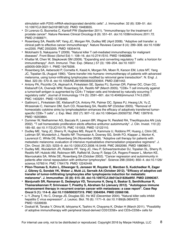stimulation with P2X5 mRNA-electroporated dendritic cells". J. Immunother. 32 (6): 539–51. doi: 10.1097/CJI.0b013e3181987c22. PMID 19483655.

- Di Lorenzo G, Buonerba C, Kantoff PW (September 2011). "Immunotherapy for the treatment of prostate cancer". Nature Reviews Clinical Oncology 8 (9): 551–61. doi:10.1038/nrclinonc.2011.72. PMID 21606971.
- Rosenberg SA, Restifo NP, Yang JC, Morgan RA, Dudley ME (April 2008). "Adoptive cell transfer: a clinical path to effective cancer immunotherapy". Nature Reviews Cancer 8 (4): 299–308. doi:10.1038/ nrc2355. PMC 2553205. PMID 18354418.
- Motohashi S, Nakayama T (2009). "Natural killer T cell-mediated immunotherapy for malignant diseases". Front Biosci (Schol Ed) 1: 108–16. doi:10.2741/S10. PMID 19482686.
- Khattar M, Chen W, Stepkowski SM (2009). "Expanding and converting regulatory T cells: a horizon for immunotherapy". Arch. Immunol. Ther. Exp. (Warsz.) 57 (3): 199–204. doi:10.1007/ s00005-009-0021-1. PMID 19479206.
- Rosenberg SA, Aebersold P, Cornetta K, Kasid A, Morgan RA, Moen R, Karson EM, Lotze MT, Yang JC, Topalian SL (August 1990). "Gene transfer into humans--immunotherapy of patients with advanced melanoma, using tumor-infiltrating lymphocytes modified by retroviral gene transduction". N. Engl. J. Med. 323 (9): 570–8. doi:10.1056/NEJM199008303230904. PMID 2381442.
- Antony PA, Piccirillo CA, Akpinarli A, Finkelstein SE, Speiss PJ, Surman DR, Palmer DC, Chan CC, Klebanoff CA, Overwijk WW, Rosenberg SA, Restifo NP (March 2005). "CD8+ T cell immunity against a tumor/self-antigen is augmented by CD4+ T helper cells and hindered by naturally occurring T regulatory cells". Journal of Immunology 174 (5): 2591–601. doi:10.4049/jimmunol.174.5.2591. PMC 1403291. PMID 15728465.
- Gattinoni L, Finkelstein SE, Klebanoff CA, Antony PA, Palmer DC, Spiess PJ, Hwang LN, Yu Z, Wrzesinski C, Heimann DM, Surh CD, Rosenberg SA, Restifo NP (October 2005). "Removal of homeostatic cytokine sinks by lymphodepletion enhances the efficacy of adoptively transferred tumorspecific CD8+ T cells". J. Exp. Med. 202 (7): 907–12. doi:10.1084/jem.20050732. PMC 1397916. PMID 16203864.
- Dummer W, Niethammer AG, Baccala R, Lawson BR, Wagner N, Reisfeld RA, Theofilopoulos AN (July 2002). "T cell homeostatic proliferation elicits effective antitumor autoimmunity". J. Clin. Invest. 110 (2): 185–92. doi:10.1172/JCI15175. PMC 151053. PMID 12122110.
- Dudley ME, Yang JC, Sherry R, Hughes MS, Royal R, Kammula U, Robbins PF, Huang J, Citrin DE, Leitman SF, Wunderlich J, Restifo NP, Thomasian A, Downey SG, Smith FO, Klapper J, Morton K, Laurencot C, White DE, Rosenberg SA (November 2008). "Adoptive cell therapy for patients with metastatic melanoma: evaluation of intensive myeloablative chemoradiation preparative regimens". J. Clin. Oncol. 26 (32): 5233–9. doi:10.1200/JCO.2008.16.5449. PMC 2652090. PMID 18809613.
- Dudley ME, Wunderlich JR, Robbins PF, Yang JC, Hwu P, Schwartzentruber DJ, Topalian SL, Sherry R, Restifo NP, Hubicki AM, Robinson MR, Raffeld M, Duray P, Seipp CA, Rogers-Freezer L, Morton KE, Mavroukakis SA, White DE, Rosenberg SA (October 2002). "Cancer regression and autoimmunity in patients after clonal repopulation with antitumor lymphocytes". Science 298 (5594): 850–4. doi:10.1126/ science.1076514. PMC 1764179. PMID 12242449.
- **• Pilon-Thomas S, Kuhn L, Ellwanger S, Janssen W, Royster E, Marzban S, Kudchadkar R, Zager J, Gibney G, Sondak VK, Weber J, Mulé JJ, Sarnaik AA (October 2012). "Efficacy of adoptive cell transfer of tumor-infiltrating lymphocytes after lymphopenia induction for metastatic melanoma". J. Immunother. 35 (8): 615–20. doi:10.1097/CJI.0b013e31826e8f5f. PMID 22996367.**
- **• Manjunath SR, Ramanan G, Dedeepiya VD, Terunuma H, Deng X, Baskar S, Senthilkumar R, Thamaraikannan P, Srinivasan T, Preethy S, Abraham SJ (January 2012). "Autologous immune enhancement therapy in recurrent ovarian cancer with metastases: a case report". Case Rep Oncol 5 (1): 114–8. doi:10.1159/000337319. PMC 3364094. PMID 22666198.**
- Li Y, Zhang T, Ho C, Orange JS, Douglas SD, Ho WZ (December 2004). "Natural killer cells inhibit hepatitis C virus expression". J. Leukoc. Biol. 76 (6): 1171–9. doi:10.1189/jlb.0604372. PMID 15339939.
- Doskali M, Tanaka Y, Ohira M, Ishiyama K, Tashiro H, Chayama K, Ohdan H (March 2011). "Possibility of adoptive immunotherapy with peripheral blood-derived CD3⁻CD56+ and CD3+CD56+ cells for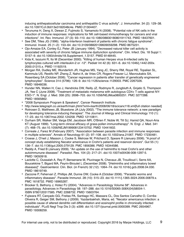inducing antihepatocellular carcinoma and antihepatitis C virus activity". J. Immunother. 34 (2): 129–38. doi:10.1097/CJI.0b013e3182048c4e. PMID 21304407.

- Terunuma H, Deng X, Dewan Z, Fujimoto S, Yamamoto N (2008). "Potential role of NK cells in the induction of immune responses: implications for NK cell-based immunotherapy for cancers and viral infections". Int. Rev. Immunol. 27 (3): 93–110. doi:10.1080/08830180801911743. PMID 18437601.
- See DM, Tilles JG (1996). "alpha-Interferon treatment of patients with chronic fatigue syndrome". Immunol. Invest. 25 (1–2): 153–64. doi:10.3109/08820139609059298. PMID 8675231.
- Ojo-Amaize EA, Conley EJ, Peter JB (January 1994). "Decreased natural killer cell activity is associated with severity of chronic fatigue immune dysfunction syndrome". Clin. Infect. Dis. 18 Suppl 1: S157–9. doi:10.1093/clinids/18.Supplement\_1.S157. PMID 8148445.
- Kida K, Isozumi R, Ito M (December 2000). "Killing of human Herpes virus 6-infected cells by lymphocytes cultured with interleukin-2 or -12". Pediatr Int 42 (6): 631–6. doi:10.1046/j.1442-200x. 2000.01315.x. PMID 11192519.
- Morgan RA, Dudley ME, Wunderlich JR, Hughes MS, Yang JC, Sherry RM, Royal RE, Topalian SL, Kammula US, Restifo NP, Zheng Z, Nahvi A, de Vries CR, Rogers-Freezer LJ, Mavroukakis SA, Rosenberg SA (October 2006). "Cancer regression in patients after transfer of genetically engineered lymphocytes". Science 314 (5796): 126–9. doi:10.1126/science.1129003. PMC 2267026. PMID 16946036.
- Hunder NN, Wallen H, Cao J, Hendricks DW, Reilly JZ, Rodmyre R, Jungbluth A, Gnjatic S, Thompson JA, Yee C (June 2008). "Treatment of metastatic melanoma with autologous CD4+ T cells against NY-ESO-1". N. Engl. J. Med. 358 (25): 2698–703. doi:10.1056/NEJMoa0800251. PMC 3277288. PMID 18565862.
- "2008 Symposium Program & Speakers". Cancer Research Institute.
- http://www.telegraph.co.uk/earth/main.jhtml?xml=/earth/2008/06/18/scicanc118.xml[full citation needed]
- Rotrosen D, Matthews JB, Bluestone JA (July 2002). "The immune tolerance network: a new paradigm for developing tolerance-inducing therapies". The Journal of Allergy and Clinical Immunology 110 (1): 17–23. doi:10.1067/mai.2002.124258. PMID 12110811.
- Durham SR, Walker SM, Varga EM, Jacobson MR, O'Brien F, Noble W, Till SJ, Hamid QA, Nouri-Aria KT (August 1999). "Long-term clinical efficacy of grass-pollen immunotherapy". N. Engl. J. Med. 341 (7): 468–75. doi:10.1056/NEJM199908123410702. PMID 10441602.
- Correale J, Farez M (February 2007). "Association between parasite infection and immune responses in multiple sclerosis". Annals of Neurology 61 (2): 97–108. doi:10.1002/ana.21067. PMID 17230481.
- Croese J, O'neil J, Masson J, Cooke S, Melrose W, Pritchard D, Speare R (January 2006). "A proof of concept study establishing Necator americanus in Crohn's patients and reservoir donors". Gut 55 (1): 136–7. doi:10.1136/gut.2005.079129. PMC 1856386. PMID 16344586.
- Reddy A, Fried B (January 2009). "An update on the use of helminths to treat Crohn's and other autoimmunune diseases". Parasitol. Res. 104 (2): 217–21. doi:10.1007/s00436-008-1297-5. PMID 19050918.
- Laclotte C, Oussalah A, Rey P, Bensenane M, Pluvinage N, Chevaux JB, Trouilloud I, Serre AA, Boucekkine T, Bigard MA, Peyrin-Biroulet L (December 2008). "[Helminths and inflammatory bowel diseases]". Gastroenterol. Clin. Biol. (in French) 32 (12): 1064–74. doi:10.1016/j.gcb.2008.04.030. PMID 18619749.
- Zaccone P, Fehervari Z, Phillips JM, Dunne DW, Cooke A (October 2006). "Parasitic worms and inflammatory diseases". Parasite Immunol. 28 (10): 515–23. doi:10.1111/j.1365-3024.2006.00879.x. PMC 1618732. PMID 16965287.
- Brooker S, Bethony J, Hotez PJ (2004). "Advances in Parasitology Volume 58". Advances in parasitology. Advances in Parasitology 58: 197–288. doi:10.1016/S0065-308X(04)58004-1. ISBN 9780120317585. PMC 2268732. PMID 15603764.
- Fujiwara RT, Cançado GG, Freitas PA, Santiago HC, Massara CL, Dos Santos Carvalho O, Corrêa-Oliveira R, Geiger SM, Bethony J (2009). Yazdanbakhsh, Maria, ed. "Necator americanus infection: a possible cause of altered dendritic cell differentiation and eosinophil profile in chronically infected individuals". PLoS Negl Trop Dis 3 (3): e399. doi:10.1371/journal.pntd.0000399. PMC 2654967. PMID 19308259.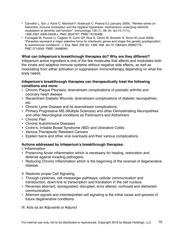- Carvalho L, Sun J, Kane C, Marshall F, Krawczyk C, Pearce EJ (January 2009). "Review series on helminths, immune modulation and the hygiene hypothesis: mechanisms underlying helminth modulation of dendritic cell function". Immunology 126 (1): 28–34. doi:10.1111/j. 1365-2567.2008.03008.x. PMC 2632707. PMID 19120496.
- Fumagalli M, Pozzoli U, Cagliani R, Comi GP, Riva S, Clerici M, Bresolin N, Sironi M (June 2009). "Parasites represent a major selective force for interleukin genes and shape the genetic predisposition to autoimmune conditions". J. Exp. Med. 206 (6): 1395–408. doi:10.1084/jem.20082779. PMC 2715056. PMID 19468064.

#### **What can Infeperium's breakthrough therapies do? Why are they different?**

Infeperium active ingredient is one of the few molecules that affects and modulates both the innate and adaptive immune systems without negative side effects, as well as modulating from either activation or suppression immunotherapy depending on what the body needs.

#### **Infeperium's breakthrough therapies can therapeutically treat the following conditions and more:**

- Chronic Plaque Psoriasis; downstream complications of psoriatic arthritis and coronary heart disease
- Recalcitrant Diabetic Wounds; downstream complications of diabetic neuropathies, etc.
- Chronic Lyme Disease and its downstream complications.
- Primary Progressive MS (Multiple Sclerosis) and other Demyelinating Neuropathies and other Neurological conditions as Parkinson's and Alzheimers.
- Chronic Pain
- Chronic AutoImmune Diseases
- Crohn's, Irritable Bowel Syndrome (IBD) and Ulcerative Colitis
- Various Therapeutic Resistant Cancers
- Epstein barre and other viral overloads and their various complications

#### **Actions addressed by Infeperium's breakthrough therapies:**

I. Inflammation

- Preserving Acute inflammation which is necessary for healing, restoration and defense against invading pathogens.
- Reducing Chronic inflammation which is the beginning of the reversal of degenerative disease.
- II. Restores proper Cell Signaling
- Through cytokines, cell messenger pathways, cellular communication and transduction, down-line to transcription and translation in the cell nucleus.
- Reverses aberrant, dysregulated, disrupted, error altered, confused and distracted communication.
- Aberrant signals and misinterpreted cell signaling is the initial cause and genesis of future degenerative conditions.

III. Acts as an Adjuvants or Adjunct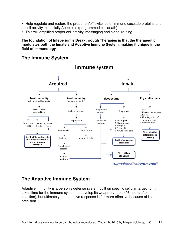- Help regulate and restore the proper on/off switches of immune cascade proteins and cell activity, especially Apoptosis (programmed cell death).
- This will amplified proper cell activity, messaging and signal routing

**The foundation of Infeperium's Breakthrough Therapies is that the therapeutic modulates both the Innate and Adaptive Immune System, making it unique in the field of Immunology.**

## **The Immune System**



## **The Adaptive Immune System**

Adaptive immunity is a person's defense system built on specific cellular targeting. It takes time for the immune system to develop its weaponry (up to 96 hours after infection), but ultimately the adaptive response is far more effective because of its precision.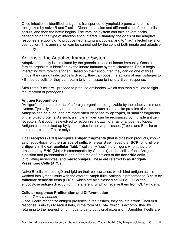Once infection is identified, antigen is transported to lymphoid organs where it is recognized by naive B and T cells. Clonal expansion and differentiation of these cells occurs, and then the battle begins. The immune system can take several tacks, depending on the type of infection encountered. Ultimately, the goals of the adaptive response are two-fold: to produce neutralizing antibodies, and to "flag" infected cells for destruction. This annihilation can be carried out by the cells of both innate and adaptive immunity.

## Actions of the Adaptive Immune System

Adaptive immunity is stimulated by the generic actions of innate immunity. Once a foreign organism is identified by the innate immune system, circulating T-cells begin interacting with foreign antigen. Based on their encounter, they can do one of three things: they can kill infected cells directly, they can boost the actions of macrophages to kill infected cells, or they can return to lymph tissue to incite a B cell response.

Stimulated B cells will proceed to produce antibodies, which can then circulate to fight the infection or pathogens.

#### **Antigen Recognition**

"Antigen" refers to the parts of a foreign organism recognizable by the adaptive immune system. Typically, these are structural proteins, such as the spike proteins of viruses. Antigens can be huge, and are more often identified by **epitopes**, or smaller fragments of the folded proteins. As such, a single antigen can be recognized by multiple antigen receptors. Antibody has evolved to recognize a dizzying array of antigen epitopes. Antigen can be picked up by lymphocytes in the lymph tissues (T cells and B cells) or the blood stream (T cells only).

T cell receptors (**TCR**) recognize **antigen fragments** (that is digestion products, known as phagocytosis) on the **surface of cells**, whereas B cell receptors (**BCR**) bind **whole antigens** in the **extracellular fluid**. T cells only "see" the antigens when they are presented by **MHC** (Major Histocompatibility Complex) on the cell surface. Antigen digestion and presentation is one of the major functions of the **dendritic cells** (circulating monocytes) and **macrophages**. These are referred to as **Antigen-Presenting Cells** (APCs).

Naive B-cells express IgD and IgM on their cell surfaces, which bind antigen as it is washed into lymph tissue with the afferent lymph fluid. Antigen is presented to B cells by **follicular dendritic cells** (FDCs), which are also classed as APCs. FDCs can endocytose antigen directly from the afferent lymph or receive them from CD4+ T-cells.

#### **Cellular response: Proliferation and Differentiation**

*• T cell response*

Once T cells recognize antigen presence in the tissues, they go into action. Their first response is always to recruit help, in the form of CD4+, which is accomplished by returning to the nearest lymph node to carry out clonal expansion. Daughter T cells are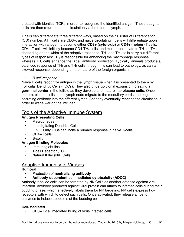created with identical TCRs in order to recognize the identified antigen. These daughter cells are then returned to the circulation via the efferent lymph.

T cells can differentiate three different ways, based on their **C**luster of **D**ifferentiation (CD) number. All T cells are CD3+, and naive circulating T cells will differentiate upon interaction with antigen to become either **CD8+ (cytotoxic)** or **CD4+ (helper)** T cells. CD4+ T-cells will initially become CD4-TH<sub>0</sub> cells, and must differentiate to TH<sub>1</sub> or TH<sub>2</sub> depending on the whim of the adaptive response. TH<sub>1</sub> and TH<sub>2</sub> cells carry out different types of responses:  $TH_1$  is responsible for enhancing the macrophage response, whereas TH<sub>2</sub> cells enhance the B cell antibody production. Typically, animals produce a balanced response of  $TH_1$  and  $TH_2$  cells, though this can lead to pathology, as can a skewed response, depending on the nature of the foreign organism.

*• B cell response*

Naive B cells recognize antigen in the lymph tissue when it is presented to them by Follicular Dendritic Cells (FDCs). They also undergo clonal expansion, creating a **germinal center** in the follicle as they develop and mature into **plasma cells**. Once mature, plasma cells in the lymph node migrate to the medullary cords and begin secreting antibody into the efferent lymph. Antibody eventually reaches the circulation in order to wage war on the intruder.

## Tools of the Adaptive Immune System

#### **Antigen Presenting Cells**

- **Macrophages**
- Interdigitating Dendritic Cells
	- Only IDCs can incite a primary response in naive T-cells
- CD4+ Tcells
- B-cells

#### **Antigen Binding Molecules**

- Immunoglobulins
- T-cell Receptor (TCR)
- Natural Killer (NK) Cells

## Adaptive Immunity to Viruses

#### **Humoral**

- Production of **neutralizing antibody**
- **Antibody-dependent cell mediated cytotoxicity (ADCC)**

Antibody-labelled cells can be targeted by NK Cells as another defense against viral infection. Antibody produced against viral protein can attach to infected cells during their budding phase, which effectively labels them for NK targeting. NK cells express Fcγ receptors with which to detect such cells. Once activated, they release a host of enzymes to induce apoptosis of the budding cell.

#### **Cell-Mediated**

• CD8+ T-cell mediated killing of virus infected cells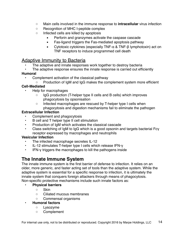- Main cells involved in the immune response to **intracellular** virus infection
- Recognition of MHC I-peptide complex
- Infected cells are killed by apoptosis
	- **Perforin and granzymes activate the caspase cascade**
	- Fas-ligand triggers the Fas-mediated apoptosis pathway
	- Cytotoxic cytokines (especially TNF-α & TNF-β lymphotoxin) act on TNF receptors to induce programmed cell death

## Adaptive Immunity to Bacteria

- The adaptive and innate responses work together to destroy bacteria
- The adaptive response ensures the innate response is carried out efficiently

#### **Humoral**

- Complement activation of the classical pathway
	- Production of IgM and IgG makes the complement system more efficient

#### **Cell-Mediated**

- Help for macrophages
	- IgG production (T-helper type II cells and B cells) which improves phagocytosis by opsonisation
	- Infected macrophages are rescued by T-helper type I cells when phagocytosis and digestion mechanisms fail to eliminate the pathogen

#### **Extracellular Infection**

- Complement and phagocytosis
- B cell and T helper type II cell stimulation
- Production of IgM which activates the classical cascade
- Class switching of IgM to IgG which is a good opsonin and targets bacterial Fcγ receptor expressed by macrophages and neutrophils

#### **Vesicular Infection**

- The infected macrophage secretes IL-12
- IL-12 stimulates T-helper type I cells which release IFN-γ
- IFN-γ triggers the macrophages to kill the pathogens inside

## **The Innate Immune System**

The innate immune system is the first barrier of defense to infection. It relies on an older, more generic, and faster acting set of tools than the adaptive system. While the adaptive system is essential for a specific response to infection, it is ultimately the innate system that conquers foreign attackers through means of phagocytosis. Non-specific protective mechanisms include such innate factors as:

#### **• Physical barriers**

- Skin
- Ciliated mucous membranes
- Commensal organisms
- **Humoral factors**
	- Lysozyme
	- Complement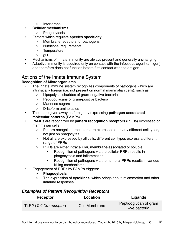◦ Interferons

#### **• Cellular mechanisms**

- Phagocytosis
- Factors which regulate **species specificity**
	- Membrane receptors for pathogens
	- Nutritional requirements
	- Temperature
	- pH
- Mechanisms of innate immunity are always present and generally unchanging
- Adaptive immunity is acquired only on contact with the infectious agent (antigen) and therefore does not function before first contact with the antigen

## Actions of the Innate Immune System

#### **Recognition of Microorganisms**

- The innate immune system recognizes components of pathogens which are intrinsically foreign (i.e. not present on normal mammalian cells), such as:
	- Lipopolysaccharides of gram-negative bacteria
	- Peptidoglycans of gram-positive bacteria
	- Mannose sugars
	- D-isoform amino acids
- These are given away as foreign by expressing **pathogen-associated molecular patterns** (PAMPs)
- PAMPs are recognized by **pattern recognition receptors** (PRRs) expressed on mammalian cells
	- Pattern recognition receptors are expressed on many different cell types, not just on phagocytes
	- Not all are expressed by all cells: different cell types express a different range of PRRs
	- PRRs are either intracellular, membrane-associated or soluble:
		- Recognition of pathogens via the cellular PRRs results in phagocytosis and inflammation
		- **EXE** Recognition of pathogens via the humoral PRRs results in various killing mechanisms
- Engagement of PRRs by PAMPs triggers:
	- **◦ Phagocytosis**
	- The expression of **cytokines**, which brings about inflammation and other immune responses

## *Examples of Pattern Recognition Receptors*

| Receptor                  | Location      | Ligands                               |
|---------------------------|---------------|---------------------------------------|
| TLR2 (Toll-like receptor) | Cell Membrane | Peptidoglycan of gram<br>+ve bacteria |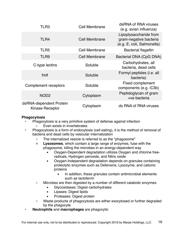| TLR3                                              | Cell Membrane        | dsRNA of RNA viruses<br>(e.g. avian influenza)                                 |
|---------------------------------------------------|----------------------|--------------------------------------------------------------------------------|
| TLR4                                              | <b>Cell Membrane</b> | Lipoplysaccharide from<br>gram-negative bacteria<br>(e.g. E. coli, Salmonella) |
| TLR5                                              | <b>Cell Membrane</b> | <b>Bacterial flagellin</b>                                                     |
| TLR9                                              | Cell Membrane        | Bacterial DNA (CpG DNA)                                                        |
| C-type lectins                                    | Soluble              | Carbohydrates, all<br>bacteria, dead cells                                     |
| fmlf                                              | Soluble              | Formyl peptides (i.e. all<br>bacteria)                                         |
| Complement receptors                              | Soluble              | <b>Fixed complement</b><br>components (e.g. iC3b)                              |
| NOD <sub>2</sub>                                  | Cytoplasm            | Peptidoglycan of gram<br>+ve bacteria                                          |
| dsRNA-dependent Protein<br><b>Kinase Receptor</b> | Cytoplasm            | ds RNA of RNA viruses                                                          |

#### **Phagocytosis**

- Phagocytosis is a very primitive system of defense against infection
	- Even exists in invertebrates
- Phagocytosis is a form of endocytosis (cell eating), it is the method of removal of bacteria and dead cells by vesicular internalization
	- The internalized vesicle is referred to as the "phagosome"
	- **◦ Lysosomes**, which contain a large range of enzymes, fuse with the phagosome, killing the microbes in an energy-dependent way
		- **EXXV** Dependent degradation utilizes Oxygen and chlorine freeradicals, Hydrogen peroxide, and Nitric oxide
		- Oxygen-Independent degradation depends on granules containing proteolytic enzymes such as Defensins, Lysozyme, and cationic proteins
			- **EXECT** In addition, these granules contain antimicrobial elements such as lactoferrin
	- Microbes are then digested by a number of different catabolic enzymes
		- Glycosidases: Digest carbohydrates
		- **EXECUTE:** Lipases: Digest lipids
		- Proteases: Digest protein
	- Waste products of phagocytosis are either exocytosed or further degraded by the phagocyte
- **Neutrophils** and **macrophages** are phagocytic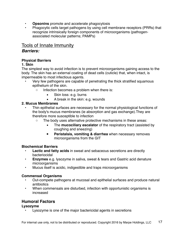- **Opsonins** promote and accelerate phagocytosis
- Phagocytic cells target pathogens by using cell membrane receptors (PRRs) that recognize intrinsically foreign components of microorganisms (pathogenassociated molecular patterns; PAMPs)

## Tools of Innate Immunity

### *Barriers:*

#### **Physical Barriers**

#### **1. Skin**

The simplest way to avoid infection is to prevent microorganisms gaining access to the body. The skin has an external coating of dead cells (cuticle) that, when intact, is impermeable to most infectious agents.

- Very few pathogens are capable of penetrating the thick stratified squamous epithelium of the skin.
	- Infection becomes a problem when there is:
		- Skin loss: e.g. burns
		- A break in the skin: e.g. wounds

#### **2. Mucus Membranes**

- Thin epithelial surfaces are necessary for the normal physiological functions of the body's mucus membranes (ie absorption and gas exchange).They are therefore more susceptible to infection
	- The body uses alternative protective mechanisms in these areas:
		- **EXECT** The **mucociliary escalator** of the respiratory tract (assisted by coughing and sneezing)
		- **Peristalsis, vomiting & diarrhea** when necessary removes microorganisms from the GIT

#### **Biochemical Barriers**

- **Lactic and fatty acids** in sweat and sebaceous secretions are directly bacteriocidal
- **Enzymes** e.g. lysozyme in saliva, sweat & tears and Gastric acid denature microorganisms
- Mucus itself is acidic, indigestible and traps microorganisms

#### **Commensal Organisms**

- Out-compete pathogens at mucosal and epithelial surfaces and produce natural antibiotics
- When commensals are disturbed, infection with opportunistic organisms is increased

## **Humoral Factors**

**Lysozyme**

Lysozyme is one of the major bactericidal agents in secretions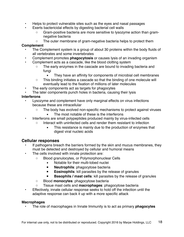- Helps to protect vulnerable sites such as the eyes and nasal passages
- Exerts bactericidal effects by digesting bacterial cell walls
	- Gram-positive bacteria are more sensitive to lysozyme action than gramnegative bacteria
	- The outer membrane of gram-negative bacteria helps to protect them

#### **Complement**

- The Complement system is a group of about 30 proteins within the body fluids of all vertebrates and some invertebrates
- Complement promotes **phagocytosis** or causes lysis of an invading organism
- Complement acts as a cascade, like the blood clotting system
	- The early enzymes in the cascade are bound to invading bacteria and fungi
		- **EXECT** They have an affinity for components of microbial cell membranes
	- This binding initiates a cascade so that the binding of one molecule will eventually lead to the fixation of millions of later molecules
- The early components act as targets for phagocytes
- The later components punch holes in bacteria, causing their lysis

#### **Interferons**

- Lysozyme and complement have only marginal effects on virus infections because these are intracellular
	- The body has evolved non-specific mechanisms to protect against viruses
		- The most notable of these is the interferons
- Interferons are small polypeptides produced mainly by virus-infected cells
	- Interact with uninfected cells and render them resistant to infection
		- **EXECT** This resistance is mainly due to the production of enzymes that digest viral nucleic acids

#### **Cellular responses**

- If pathogens breach the barriers formed by the skin and mucus membranes, they must be detected and destroyed by cellular and humoral means
- The cells involved with innate protection are:
	- Blood granulocytes, or Polymorphonuclear Cells
		- Notable for their multi-lobed nuclei
		- **▪ Neutrophils**: phagocytose bacteria
		- **Eosinophils**: kill parasites by the release of granules
		- **Basophils / mast cells:** kill parasites by the release of granules
	- Blood **monocytes**: phagocytose bacteria
	- Tissue mast cells and **macrophages**: phagocytose bacteria
- Effectively, innate cellular response seeks to hold off the infection until the adaptive response can back it up with a more specific attack

#### **Macrophages**

• The role of macrophages in Innate Immunity is to act as primary **phagocytes**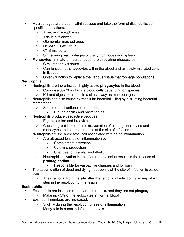- Macrophages are present within tissues and take the form of distinct, tissuespecific populations:
	- Alveolar macrophages
	- Tissue histiocytes
	- Glomerular macrophages
	- Hepatic Küpffer cells
	- CNS microglia
	- Sinus-lining macrophages of the lymph nodes and spleen
	- **Monocytes** (immature macrophages) are circulating phagocytes
		- Circulate for 6-8 hours
		- Can function as phagocytes within the blood and as newly migrated cells in tissues
		- Chiefly function to replace the various tissue macrophage populations

#### **Neutrophils**

- Neutrophils are the principal, highly active **phagocytes** in the blood
	- Comprise 30-70% of white blood cells depending on species
	- Kill and digest microbes in a similar way as macrophages
- Neutrophils can also cause extracellular bacterial killing by disrupting bacterial membranes
	- Secrete small antibacterial peptides
		- E.g. defensins and bactenecins
- Neutrophils produce vasoactive peptides
	- E.g. histamine and bradykinin
	- Cause a great increase in extravasation of blood granulocytes and monocytes and plasma proteins at the site of infection
- Neutrophils are the archetypal cell associated with acute inflammation
	- Are attracted to sites of inflammation by:
		- Complement activation
		- Cytokine production
		- Changes to vascular endothelium
	- Neutrophil activation in an inflammatory lesion results in the release of **prostaglandins**
		- Responsible for vasoactive changes and for pain
- The accumulation of dead and dying neutrophils at the site of infection is called **pus**
	- Their removal from the site after the removal of infection is an important step in the resolution of the lesion

#### **Eosinophils**

- Eosinophils are less common than neutrophils, and they are not phagocytic
	- Make up <5% of the leukocytes in normal blood
- Eosinophil numbers are increased:
	- Slightly during the resolution phase of inflammation
	- Many-fold in parasite-infected animals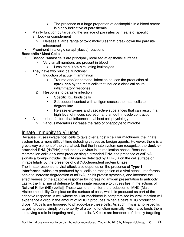- The presence of a large proportion of eosinophils in a blood smear is highly indicative of parasitemia
- Mainly function by targeting the surface of parasites by means of specific antibody or complement
	- Release a large range of toxic molecules that break down the parasite integument
- Prominent in allergic (anaphylactic) reactions

#### **Basophils / Mast Cells**

- Basophils/mast cells are principally localized at epithelial surfaces
	- Very small numbers are present in blood
		- Less than 0.5% circulating leukocytes
- They have two principal functions:
	- 1 Induction of acute inflammation
		- Trauma and/ or bacterial infection causes the production of **cytokines** by the mast cells that induce a classical acute inflammatory response
	- 2 Response to parasite infection
		- Specific IgE binds cells
		- Subsequent contact with antigen causes the mast cells to degranulate
		- Release enzymes and vasoactive substances that can result in a high level of mucus secretion and smooth muscle contraction
- Also produce factors that influence local host cell physiology
	- Various mediators increase the ratio of phagocyte to microbe

## Innate Immunity to Viruses

Because viruses invade host cells to take over a host's cellular machinery, the innate system has a more difficult time detecting viruses as foreign agents. However, there is a give-away element of the viral attack that the innate system can recognize: the **doublestranded RNA** (dsRNA) produced by a virus in its replication phase. Because mammalian cells only ever produce single-stranded RNA, the presence of dsRNA signals a foreign intruder. dsRNA can be detected by TLR-3R on the cell surface or intracellularly by the presence of dsRNA-dependent protein kinase.

The innate response to viral attack also depends on the presence of **Type-1 Interferons**, which are produced by all cells on recognition of a viral attack. Interferons serve to increase degradation of mRNA, inhibit protein synthesis, and increase the effectiveness of the adaptive response by increasing antigen presentation to antibody. Lastly, the final line of defense for the innate response to viruses lies in the actions of **Natural Killer (NK) cells**]]. These warriors monitor the production of MHC (Major Histocompatibility Complex) on the surface of cells, which is produced as part of the adaptive response. A cell whose cellular machinery is compromised by viral infection will experience a drop in the amount of MHC it produces. When a cell's MHC production drops, NK cells are triggered to phagocytose these cells. As such, this is a non-specific targeting based simply on the ability of a cell to function normally, which also lends them to playing a role in targeting malignant cells. NK cells are incapable of directly targeting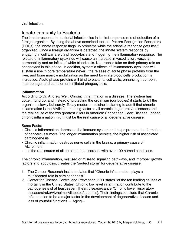viral infection.

## Innate Immunity to Bacteria

The innate response to bacterial infection lies in its first-response role of detection of a foreign organism. By using the above described tools of Pattern-Recognition Receptors (PRRs), the innate response flags up problems while the adaptive response gets itself organized. Once a foreign organism is detected, the innate system responds by engaging in cell warfare via phagocytosis and triggering the inflammatory response. The release of inflammatory cytokines will cause an increase in vasodilation, vascular permeability and an influx of white blood cells. Neutrophils take on their primary role as phagocytes in this phase. In addition, systemic effects of inflammatory cytokines will sustain a rise in core temperature (fever), the release of acute phase proteins from the liver, and bone marrow mobilization as the need for white blood cells production is increased. Acute phase proteins will bind to bacterial cell walls, enhancing neutrophil, macrophage, and complement-initiated phagocytosis.

#### **Inflammation**

According to Dr. Andrew Weil, Chronic Inflammation is a disease. The system has gotten hung up, and instead of protecting the organism (our bodies) it starts to kill the organism, slowly but surely. Today modern medicine is starting to admit that chronic inflammation is the MAIN contributing factor to all chronic degenerative diseases and the real cause of the two greatest killers in America: Cancer and Heart Disease. Indeed, chronic inflammation might just be the real cause of all degenerative disease.

#### Some Facts:

- Chronic Inflammation depresses the immune system and helps promote the formation of cancerous tumors. The longer inflammation persists, the higher risk of associated carcinogenesis.
- Chronic inflammation destroys nerve cells in the brains, a primary cause of Alzheimers
- It is the real source of all autoimmune disorders with over 100 named conditions.

The chronic inflammation, misused or misread signaling pathways, and improper growth factors and apoptosis, creates the "perfect storm" for degenerative disease.

- 1. The Cancer Research Institute states that "Chronic Inflammation plays a multifaceted role in carcinogenesis"
- 2. Center for Disease Control and Prevention 2011 states "of the ten leading causes of mortality in the United States, Chronic low level inflammation contribute to the pathogenesis of at least seven. [heart disease/cancer/Chronic lower respiratory disease/stroke/Alzheimer/diabetes/nephritis]. Their findings conclude that Chronic Inflammation to be a major factor in the development of degenerative disease and loss of youthful functions — Aging—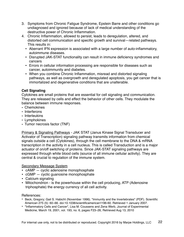- 3. Symptoms from Chronic Fatigue Syndrome, Epstein Barre and other conditions go undiagnosed and ignored because of lack of medical understanding of the destructive power of Chronic Inflammation.
- 4. Chronic Inflammation, allowed to persist, leads to deregulation, altered, and distorted cell communication and specific growth and survival—related pathways. This results in:
	- Aberrant IFN expression is associated with a large number of auto-inflammatory, autoimmune diseases.
	- Disrupted JAK-STAT functionality can result in immune deficiency syndromes and cancers
	- Errors in cellular information processing are responsible for diseases such as cancer, autoimmunity and diabetes.
	- When you combine Chronic Inflammation, misread and distorted signaling pathways, as well as overgrowth and deregulated apoptosis, you get cancer that is immortalized and degenerative conditions that are unalterable.

#### **Cell Signaling**

Cytokines are small proteins that are essential for cell signaling and communication. They are released by cells and effect the behavior of other cells. They modulate the balance between immune responses.

- Chemokines
- Interferons
- Interleukins
- Lymphokines
- Tumor necrosis factor (TNF)

Primary & Signaling Pathways - JAK STAT (Janus Kinase Signal Transducer and Activator of Transcription) signaling pathway transmits information from chemical signals outside a cell (Cytokines), through the cell membrane to the DNA & mRNA transcription in the activity in a cell nucleus. This is called Transduction and is a major actuator of on/off switching of proteins. Since JAK-STAT signaling pathways are expressed through white blood cells (source of all immune cellular activity). They are central & crucial to regulation of the immune system.

#### Secondary Message System

- cAMP cyclic adenosine monophosphate
- cGMP cyclic guanosine monophosphate
- Calcium signaling
- Mitochondrion is the powerhouse within the cell producing, ATP (Adenosine triphosphate) the energy currency of all cell activity.

#### References:

- Beck, Gregory; Gail S. Habicht (November 1996). "Immunity and the Invertebrates" (PDF). Scientific American 275 (5): 60–66. doi:10.1038/scientificamerican1196-60. Retrieved 1 January 2007.
- "Inflammatory Cells and Cancer", Lisa M. Coussens and Zena Werb, Journal of Experimental Medicine, March 19, 2001, vol. 193, no. 6, pages F23–26, Retrieved Aug 13, 2010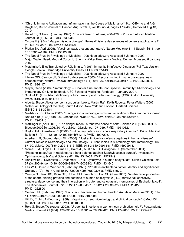- "Chronic Immune Activation and Inflammation as the Cause of Malignancy", K.J. O'Byrne and A.G. Dalgleish, British Journal of Cancer, August 2001, vol. 85, no. 4, pages 473–483, Retrieved Aug 13, 2010
- Retief FP, Cilliers L (January 1998). "The epidemic of Athens, 430–426 BC". South African Medical Journal 88 (1): 50–3. PMID 9539938.
- Ostoya P (1954). "Maupertuis et la biologie". Revue d'histoire des sciences et de leurs applications 7 (1): 60–78. doi:10.3406/rhs.1954.3379.
- Plotkin SA (April 2005). "Vaccines: past, present and future". Nature Medicine 11 (4 Suppl): S5–11. doi: 10.1038/nm1209. PMID 15812490.
- The Nobel Prize in Physiology or Medicine 1905 Nobelprize.org Accessed 8 January 2009.
- Major Walter Reed, Medical Corps, U.S. Army Walter Reed Army Medical Center. Accessed 8 January 2007.
- Metchnikoff, Elie; Translated by F.G. Binnie. (1905). Immunity in Infective Diseases (Full Text Version: Google Books). Cambridge University Press. LCCN 68025143.
- The Nobel Prize in Physiology or Medicine 1908 Nobelprize.org Accessed 8 January 2007
- Litman GW, Cannon JP, Dishaw LJ (November 2005). "Reconstructing immune phylogeny: new perspectives". Nature Reviews Immunology 5 (11): 866–79. doi:10.1038/nri1712. PMC 3683834. PMID 16261174.
- Mayer, Gene (2006). "Immunology Chapter One: Innate (non-specific) Immunity". Microbiology and Immunology On-Line Textbook. USC School of Medicine. Retrieved 1 January 2007.
- Smith A.D. (Ed) Oxford dictionary of biochemistry and molecular biology. (1997) Oxford University Press. ISBN 0-19-854768-4
- Alberts, Bruce; Alexander Johnson; Julian Lewis; Martin Raff; Keith Roberts; Peter Walters (2002). Molecular Biology of the Cell; Fourth Edition. New York and London: Garland Science. ISBN 0-8153-3218-1.
- Medzhitov R (October 2007). "Recognition of microorganisms and activation of the immune response". Nature 449 (7164): 819–26. Bibcode:2007Natur.449..819M. doi:10.1038/nature06246. PMID 17943118.
- Matzinger P (April 2002). "The danger model: a renewed sense of self". Science 296 (5566): 301–5. Bibcode:2002Sci...296..301M. doi:10.1126/science.1071059. PMID 11951032.
- Boyton RJ, Openshaw PJ (2002). "Pulmonary defences to acute respiratory infection". British Medical Bulletin 61 (1): 1–12. doi:10.1093/bmb/61.1.1. PMID 11997295.
- Agerberth B, Gudmundsson GH (2006). "Host antimicrobial defence peptides in human disease". Current Topics in Microbiology and Immunology. Current Topics in Microbiology and Immunology 306: 67–90. doi:10.1007/3-540-29916-5\_3. ISBN 978-3-540-29915-8. PMID 16909918.
- Moreau JM, Girgis DO, Hume EB, Dajcs JJ, Austin MS, O'Callaghan RJ (September 2001). "Phospholipase A(2) in rabbit tears: a host defense against Staphylococcus aureus". Investigative Ophthalmology & Visual Science 42 (10): 2347–54. PMID 11527949.
- Hankiewicz J, Swierczek E (December 1974). "Lysozyme in human body fluids". Clinica Chimica Acta 57 (3): 205–9. doi:10.1016/0009-8981(74)90398-2. PMID 4434640.
- Fair WR, Couch J, Wehner N (February 1976). "Prostatic antibacterial factor. Identity and significance". Urology 7 (2): 169–77. doi:10.1016/0090-4295(76)90305-8. PMID 54972.
- Yenugu S, Hamil KG, Birse CE, Ruben SM, French FS, Hall SH (June 2003). "Antibacterial properties of the sperm-binding proteins and peptides of human epididymis 2 (HE2) family; salt sensitivity, structural dependence and their interaction with outer and cytoplasmic membranes of Escherichia coli". The Biochemical Journal 372 (Pt 2): 473–83. doi:10.1042/BJ20030225. PMC 1223422. PMID 12628001.
- Gorbach SL (February 1990). "Lactic acid bacteria and human health". Annals of Medicine 22 (1): 37– 41. doi:10.3109/07853899009147239. PMID 2109988.
- Hill LV, Embil JA (February 1986). "Vaginitis: current microbiologic and clinical concepts". CMAJ 134 (4): 321–31. PMC 1490817. PMID 3510698.
- Reid G, Bruce AW (August 2003). "Urogenital infections in women: can probiotics help?". Postgraduate Medical Journal 79 (934): 428–32. doi:10.1136/pmj.79.934.428. PMC 1742800. PMID 12954951.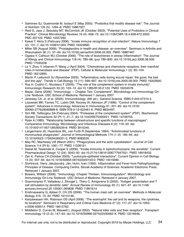- Salminen SJ, Gueimonde M, Isolauri E (May 2005). "Probiotics that modify disease risk". The Journal of Nutrition 135 (5): 1294–8. PMID 15867327.
- Reid G, Jass J, Sebulsky MT, McCormick JK (October 2003). "Potential Uses of Probiotics in Clinical Practice". Clinical Microbiology Reviews 16 (4): 658–72. doi:10.1128/CMR.16.4.658-672.2003. PMC 207122. PMID 14557292.
- Kawai T, Akira S (February 2006). "Innate immune recognition of viral infection". Nature Immunology 7 (2): 131–7. doi:10.1038/ni1303. PMID 16424890.
- Miller SB (August 2006). "Prostaglandins in health and disease: an overview". Seminars in Arthritis and Rheumatism 36 (1): 37–49. doi:10.1016/j.semarthrit.2006.03.005. PMID 16887467.
- Ogawa Y, Calhoun WJ (October 2006). "The role of leukotrienes in airway inflammation". The Journal of Allergy and Clinical Immunology 118 (4): 789–98; quiz 799–800. doi:10.1016/j.jaci.2006.08.009. PMID 17030228.
- Le Y, Zhou Y, Iribarren P, Wang J (April 2004). "Chemokines and chemokine receptors: their manifold roles in homeostasis and disease" (PDF). Cellular & Molecular Immunology 1 (2): 95–104. PMID 16212895.
- Martin P, Leibovich SJ (November 2005). "Inflammatory cells during wound repair: the good, the bad and the ugly". Trends in Cell Biology 15 (11): 599–607. doi:10.1016/j.tcb.2005.09.002. PMID 16202600.
- Rus H, Cudrici C, Niculescu F (2005). "The role of the complement system in innate immunity". Immunologic Research 33 (2): 103–12. doi:10.1385/IR:33:2:103. PMID 16234578.
- Mayer, Gene (2006). "Immunology Chapter Two: Complement". Microbiology and Immunology On-Line Textbook. USC School of Medicine. Retrieved 1 January 2007.
- Janeway CA, Jr. et al. (2005). Immunobiology. (6th ed.). Garland Science. ISBN 0-443-07310-4.
- Liszewski MK, Farries TC, Lublin DM, Rooney IA, Atkinson JP (1996). "Control of the complement system". Advances in Immunology. Advances in Immunology 61: 201–83. doi:10.1016/ S0065-2776(08)60868-8. ISBN 978-0-12-022461-6. PMID 8834497.
- Sim RB, Tsiftsoglou SA (February 2004). "Proteases of the complement system" (PDF). Biochemical Society Transactions 32 (Pt 1): 21–7. doi:10.1042/BST0320021. PMID 14748705.
- Ryter A (1985). "Relationship between ultrastructure and specific functions of macrophages". Comparative Immunology, Microbiology and Infectious Diseases 8 (2): 119–33. doi: 10.1016/0147-9571(85)90039-6. PMID 3910340.
- Langermans JA, Hazenbos WL, van Furth R (September 1994). "Antimicrobial functions of mononuclear phagocytes". Journal of Immunological Methods 174 (1–2): 185–94. doi: 10.1016/0022-1759(94)90021-3. PMID 8083520.
- May RC, Machesky LM (March 2001). "Phagocytosis and the actin cytoskeleton". Journal of Cell Science 114 (Pt 6): 1061–77. PMID 11228151.
- Salzet M, Tasiemski A, Cooper E (2006). "Innate immunity in lophotrochozoans: the annelids". Current Pharmaceutical Design 12 (24): 3043–50. doi:10.2174/138161206777947551. PMID 16918433.
- Zen K, Parkos CA (October 2003). "Leukocyte-epithelial interactions". Current Opinion in Cell Biology 15 (5): 557–64. doi:10.1016/S0955-0674(03)00103-0. PMID 14519390.
- Stvrtinová, Viera; Jakubovský, Ján; Hulín, Ivan (1995). Inflammation and Fever from Pathophysiology: Principles of Disease. Computing Centre, Slovak Academy of Sciences: Academic Electronic Press. Retrieved 1 January 2007.
- Bowers, William (2006). "Immunology -Chapter Thirteen: Immunoregulation". Microbiology and Immunology On-Line Textbook. USC School of Medicine. Retrieved 4 January 2007.
- Guermonprez P, Valladeau J, Zitvogel L, Théry C, Amigorena S (2002). "Antigen presentation and T cell stimulation by dendritic cells". Annual Review of Immunology 20 (1): 621–67. doi:10.1146/ annurev.immunol.20.100301.064828. PMID 11861614.
- Krishnaswamy G, Ajitawi O, Chi DS (2006). "The human mast cell: an overview". Methods in Molecular Biology 315: 13–34. PMID 16110146.
- Kariyawasam HH, Robinson DS (April 2006). "The eosinophil: the cell and its weapons, the cytokines, its locations". Seminars in Respiratory and Critical Care Medicine 27 (2): 117–27. doi:10.1055/ s-2006-939514. PMID 16612762.
- Middleton D, Curran M, Maxwell L (August 2002). "Natural killer cells and their receptors". Transplant Immunology 10 (2–3): 147–64. doi:10.1016/S0966-3274(02)00062-X. PMID 12216946.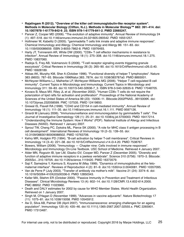- **• Rajalingam R (2012). "Overview of the killer cell immunoglobulin-like receptor system". Methods in Molecular Biology (Clifton, N.J.). Methods in Molecular Biology™ 882: 391–414. doi: 10.1007/978-1-61779-842-9\_23. ISBN 978-1-61779-841-2. PMID 22665247.**
- Pancer Z, Cooper MD (2006). "The evolution of adaptive immunity". Annual Review of Immunology 24 (1): 497–518. doi:10.1146/annurev.immunol.24.021605.090542. PMID 16551257.
- Holtmeier W, Kabelitz D (2005). "gammadelta T cells link innate and adaptive immune responses". Chemical Immunology and Allergy. Chemical Immunology and Allergy 86: 151–83. doi: 10.1159/000086659. ISBN 3-8055-7862-8. PMID 15976493.
- Harty JT, Tvinnereim AR, White DW (2000). "CD8+ T cell effector mechanisms in resistance to infection". Annual Review of Immunology 18 (1): 275–308. doi:10.1146/annurev.immunol.18.1.275. PMID 10837060.
- Radoja S, Frey AB, Vukmanovic S (2006). "T-cell receptor signaling events triggering granule exocytosis". Critical Reviews in Immunology 26 (3): 265–90. doi:10.1615/CritRevImmunol.v26.i3.40. PMID 16928189.
- Abbas AK, Murphy KM, Sher A (October 1996). "Functional diversity of helper T lymphocytes". Nature 383 (6603): 787–93. Bibcode:1996Natur.383..787A. doi:10.1038/383787a0. PMID 8893001.
- McHeyzer-Williams LJ, Malherbe LP, McHeyzer-Williams MG (2006). "Helper T cell-regulated B cell immunity". Current Topics in Microbiology and Immunology. Current Topics in Microbiology and Immunology 311: 59–83. doi:10.1007/3-540-32636-7\_3. ISBN 978-3-540-32635-9. PMID 17048705.
- Kovacs B, Maus MV, Riley JL et al. (November 2002). "Human CD8+ T cells do not require the polarization of lipid rafts for activation and proliferation". Proceedings of the National Academy of Sciences of the United States of America 99 (23): 15006–11. Bibcode:2002PNAS...9915006K. doi: 10.1073/pnas.232058599. PMC 137535. PMID 12419850.
- Grewal IS, Flavell RA (1998). "CD40 and CD154 in cell-mediated immunity". Annual Review of Immunology 16 (1): 111–35. doi:10.1146/annurev.immunol.16.1.111. PMID 9597126.
- Girardi M (January 2006). "Immunosurveillance and immunoregulation by gammadelta T cells". The Journal of Investigative Dermatology 126 (1): 25–31. doi:10.1038/sj.jid.5700003. PMID 16417214.
- "Understanding the Immune System: How it Works" (PDF). National Institute of Allergy and Infectious Diseases (NIAID). Retrieved 1 January 2007.
- Sproul TW, Cheng PC, Dykstra ML, Pierce SK (2000). "A role for MHC class II antigen processing in B cell development". International Reviews of Immunology 19 (2–3): 139–55. doi: 10.3109/08830180009088502. PMID 10763706.
- Kehry MR, Hodgkin PD (1994). "B-cell activation by helper T-cell membranes". Critical Reviews in Immunology 14 (3–4): 221–38. doi:10.1615/CritRevImmunol.v14.i3-4.20. PMID 7538767.
- Bowers, William (2006). "Immunology Chapter nine: Cells involved in immune responses". Microbiology and Immunology On-Line Textbook. USC School of Medicine. Retrieved 4 January 2007.
- Alder MN, Rogozin IB, Iyer LM, Glazko GV, Cooper MD, Pancer Z (December 2005). "Diversity and function of adaptive immune receptors in a jawless vertebrate". Science 310 (5756): 1970–3. Bibcode: 2005Sci...310.1970A. doi:10.1126/science.1119420. PMID 16373579.
- Saji F, Samejima Y, Kamiura S, Koyama M (May 1999). "Dynamics of immunoglobulins at the fetomaternal interface". Reviews of Reproduction 4 (2): 81–9. doi:10.1530/ror.0.0040081. PMID 10357095.
- Van de Perre P (July 2003). "Transfer of antibody via mother's milk". Vaccine 21 (24): 3374–6. doi: 10.1016/S0264-410X(03)00336-0. PMID 12850343.
- Keller MA, Stiehm ER (October 2000). "Passive Immunity in Prevention and Treatment of Infectious Diseases". Clinical Microbiology Reviews 13 (4): 602–14. doi:10.1128/CMR.13.4.602-614.2000. PMC 88952. PMID 11023960.
- Death and DALY estimates for 2002 by cause for WHO Member States. World Health Organization. Retrieved on 1 January 2007.
- Singh M, O'Hagan D (November 1999). "Advances in vaccine adjuvants". Nature Biotechnology 17 (11): 1075–81. doi:10.1038/15058. PMID 10545912.
- Aw D, Silva AB, Palmer DB (April 2007). "Immunosenescence: emerging challenges for an ageing population". Immunology 120 (4): 435–46. doi:10.1111/j.1365-2567.2007.02555.x. PMC 2265901. PMID 17313487.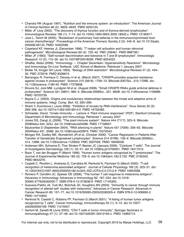- Chandra RK (August 1997). "Nutrition and the immune system: an introduction". The American Journal of Clinical Nutrition 66 (2): 460S–463S. PMID 9250133.
- Miller JF (July 2002). "The discovery of thymus function and of thymus-derived lymphocytes". Immunological Reviews 185 (1): 7–14. doi:10.1034/j.1600-065X.2002.18502.x. PMID 12190917.
- Joos L, Tamm M (2005). "Breakdown of pulmonary host defense in the immunocompromised host: cancer chemotherapy". Proceedings of the American Thoracic Society 2 (5): 445–8. doi:10.1513/pats. 200508-097JS. PMID 16322598.
- Copeland KF, Heeney JL (December 1996). "T helper cell activation and human retroviral pathogenesis". Microbiological Reviews 60 (4): 722–42. PMC 239461. PMID 8987361.
- Miller JF (1993). "Self-nonself discrimination and tolerance in T and B lymphocytes". Immunologic Research 12 (2): 115–30. doi:10.1007/BF02918299. PMID 8254222.
- Ghaffar, Abdul (2006). "Immunology Chapter Seventeen: Hypersensitivity Reactions". Microbiology and Immunology On-Line Textbook. USC School of Medicine. Retrieved 1 January 2007.
- Bickle TA, Krüger DH (June 1993). "Biology of DNA restriction". Microbiological Reviews 57 (2): 434– 50. PMC 372918. PMID 8336674.
- Barrangou R, Fremaux C, Deveau H et al. (March 2007). "CRISPR provides acquired resistance against viruses in prokaryotes". Science 315 (5819): 1709–12. Bibcode:2007Sci...315.1709B. doi: 10.1126/science.1138140. PMID 17379808.
- Brouns SJ, Jore MM, Lundgren M et al. (August 2008). "Small CRISPR RNAs guide antiviral defense in prokaryotes". Science 321 (5891): 960–4. Bibcode:2008Sci...321..960B. doi:10.1126/science.1159689. PMID 18703739.
- Bayne C.J. (2003). Origins and evolutionary relationships between the innate and adaptive arms of immune systems. Integr. Comp. Biol. 43, 293–299.
- Stram Y, Kuzntzova L (June 2006). "Inhibition of viruses by RNA interference". Virus Genes 32 (3): 299–306. doi:10.1007/s11262-005-6914-0. PMID 16732482.
- Schneider, David. "Innate Immunity Lecture 4: Plant immune responses" (PDF). Stanford University Department of Microbiology and Immunology. Retrieved 1 January 2007.
- Jones DG, Dangl JL (2006). "The plant immune system". Nature 444 (7117): 323–9. Bibcode: 2006Natur.444..323J. doi:10.1038/nature05286. PMID 17108957.
- Baulcombe D (September 2004). "RNA silencing in plants". Nature 431 (7006): 356–63. Bibcode: 2004Natur.431..356B. doi:10.1038/nature02874. PMID 15372043.
- Morgan RA, Dudley ME, Wunderlich JR et al. (October 2006). "Cancer Regression in Patients After Transfer of Genetically Engineered Lymphocytes". Science 314 (5796): 126–9. Bibcode:2006Sci... 314..126M. doi:10.1126/science.1129003. PMC 2267026. PMID 16946036.
- Andersen MH, Schrama D, Thor Straten P, Becker JC (January 2006). "Cytotoxic T cells". The Journal of Investigative Dermatology 126 (1): 32–41. doi:10.1038/sj.jid.5700001. PMID 16417215.
- Boon T, van der Bruggen P (March 1996). "Human tumor antigens recognized by T lymphocytes". The Journal of Experimental Medicine 183 (3): 725–9. doi:10.1084/jem.183.3.725. PMC 2192342. PMID 8642276.
- Castelli C, Rivoltini L, Andreola G, Carrabba M, Renkvist N, Parmiani G (March 2000). "T-cell recognition of melanoma-associated antigens". Journal of Cellular Physiology 182 (3): 323–31. doi: 10.1002/(SICI)1097-4652(200003)182:3<323::AID-JCP2>3.0.CO;2-#. PMID 10653598.
- Romero P, Cerottini JC, Speiser DE (2006). "The human T cell response to melanoma antigens". Advances in Immunology. Advances in Immunology 92: 187–224. doi:10.1016/ S0065-2776(06)92005-7. ISBN 978-0-12-373636-9. PMID 17145305.
- Guevara-Patiño JA, Turk MJ, Wolchok JD, Houghton AN (2003). "Immunity to cancer through immune recognition of altered self: studies with melanoma". Advances in Cancer Research. Advances in Cancer Research 90: 157–77. doi:10.1016/S0065-230X(03)90005-4. ISBN 978-0-12-006690-2. PMID 14710950.
- Renkvist N, Castelli C, Robbins PF, Parmiani G (March 2001). "A listing of human tumor antigens recognized by T cells". Cancer Immunology, Immunotherapy 50 (1): 3–15. doi:10.1007/ s002620000169. PMID 11315507.
- Gerloni M, Zanetti M (June 2005). "CD4 T cells in tumor immunity". Springer Seminars in Immunopathology 27 (1): 37–48. doi:10.1007/s00281-004-0193-z. PMID 15965712.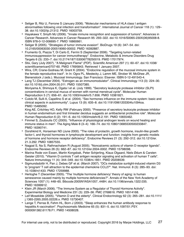- Seliger B, Ritz U, Ferrone S (January 2006). "Molecular mechanisms of HLA class I antigen abnormalities following viral infection and transformation". International Journal of Cancer 118 (1): 129– 38. doi:10.1002/ijc.21312. PMID 16003759.
- Hayakawa Y, Smyth MJ (2006). "Innate immune recognition and suppression of tumors". Advances in Cancer Research. Advances in Cancer Research 95: 293–322. doi:10.1016/S0065-230X(06)95008-8. ISBN 978-0-12-006695-7. PMID 16860661.
- Seliger B (2005). "Strategies of tumor immune evasion". BioDrugs 19 (6): 347–54. doi: 10.2165/00063030-200519060-00002. PMID 16392887.
- Frumento G, Piazza T, Di Carlo E, Ferrini S (September 2006). "Targeting tumor-related immunosuppression for cancer immunotherapy". Endocrine, Metabolic & Immune Disorders Drug Targets 6 (3): 233–7. doi:10.2174/187153006778250019. PMID 17017974.
- Stix, Gary (July 2007). "A Malignant Flame" (PDF). Scientific American 297 (1): 60–67. doi:10.1038/ scientificamerican0707-60. PMID 17695843. Retrieved 1 January 2007.
- Wira, CR; Crane-Godreau M; Grant K (2004). "Endocrine regulation of the mucosal immune system in the female reproductive tract". In In: Ogra PL, Mestecky J, Lamm ME, Strober W, McGhee JR, Bienenstock J (eds.). Mucosal Immunology. San Francisco: Elsevier. ISBN 0-12-491543-4.
- Lang TJ (December 2004). "Estrogen as an immunomodulator". Clinical Immunology 113 (3): 224–30. doi:10.1016/j.clim.2004.05.011. PMID 15507385. Moriyama A, Shimoya K, Ogata I et al. (July 1999). "Secretory leukocyte protease inhibitor (SLPI) concentrations in cervical mucus of women with normal menstrual cycle". Molecular Human Reproduction 5 (7): 656–61. doi:10.1093/molehr/5.7.656. PMID 10381821.
- Cutolo M, Sulli A, Capellino S et al. (2004). "Sex hormones influence on the immune system: basic and clinical aspects in autoimmunity". Lupus 13 (9): 635–8. doi:10.1191/0961203304lu1094oa. PMID 15485092.

King AE, Critchley HO, Kelly RW (February 2000). "Presence of secretory leukocyte protease inhibitor in human endometrium and first trimester decidua suggests an antibacterial protective role". Molecular Human Reproduction 6 (2): 191–6. doi:10.1093/molehr/6.2.191. PMID 10655462.

- Fimmel S, Zouboulis CC (2005). "Influence of physiological androgen levels on wound healing and immune status in men". The Aging Male 8 (3–4): 166–74. doi:10.1080/13685530500233847. PMID 16390741.
- Dorshkind K, Horseman ND (June 2000). "The roles of prolactin, growth hormone, insulin-like growth factor-I, and thyroid hormones in lymphocyte development and function: insights from genetic models of hormone and hormone receptor deficiency". Endocrine Reviews 21 (3): 292–312. doi:10.1210/er. 21.3.292. PMID 10857555.
- Nagpal S, Na S, Rathnachalam R (August 2005). "Noncalcemic actions of vitamin D receptor ligands". Endocrine Reviews 26 (5): 662–87. doi:10.1210/er.2004-0002. PMID 15798098.
- Marina Rode von Essen, Martin Kongsbak, Peter Schjerling, Klaus Olgaard, Niels Ødum & Carsten Geisler (2010). "Vitamin D controls T cell antigen receptor signaling and activation of human T cells". Nature Immunology 11 (4): 344–349. doi:10.1038/ni.1851. PMID 20208539.
- Sigmundsdottir H, Pan J, Debes GF et al. (March 2007). "DCs metabolize sunlight-induced vitamin D3 to 'program' T cell attraction to the epidermal chemokine CCL27". Nat. Immunol. 8 (3): 285–93. doi: 10.1038/ni1433. PMID 17259988.
- Hertoghe T (December 2005). "The 'multiple hormone deficiency' theory of aging: is human senescence caused mainly by multiple hormone deficiencies?". Annals of the New York Academy of Sciences 1057 (1): 448–65. Bibcode:2005NYASA1057..448H. doi:10.1196/annals.1322.035. PMID 16399912.
- Klein JR (March 2006). "The Immune System as a Regulator of Thyroid Hormone Activity". Experimental Biology and Medicine 231 (3): 229–36. PMC 2768616. PMID 16514168.
- Leif Mosekilde (2005). "Vitamin D and the elderly". Clinical Endocrinology 62 (3): 265–281. doi:10.1111/ j.1365-2265.2005.02226.x. PMID 15730407.
- Lange T, Perras B, Fehm HL, Born J (2003). "Sleep enhances the human antibody response to hepatitis A vaccination". Psychosomatic Medicine 65 (5): 831–5. doi:10.1097/01.PSY. 0000091382.61178.F1. PMID 14508028.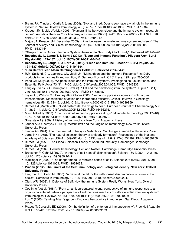- Bryant PA, Trinder J, Curtis N (June 2004). "Sick and tired: Does sleep have a vital role in the immune system?". Nature Reviews Immunology 4 (6): 457–67. doi:10.1038/nri1369. PMID 15173834.
- Krueger JM, Majde JA (May 2003). "Humoral links between sleep and the immune system: research issues". Annals of the New York Academy of Sciences 992 (1): 9–20. Bibcode:2003NYASA.992....9K. doi:10.1111/j.1749-6632.2003.tb03133.x. PMID 12794042.
- Majde JA, Krueger JM (December 2005). "Links between the innate immune system and sleep". The Journal of Allergy and Clinical Immunology 116 (6): 1188–98. doi:10.1016/j.jaci.2005.08.005. PMID 16337444.
- "Sleep's Effects On Your Immune System Revealed In New Body Clock Study". Retrieved 2014-04-28.
- **• Besedovsky L, Lange T, & Born J (2012). "Sleep and Immune Function". Pflugers Arch-Eur J Physiol 463: 121–137. doi:10.1007/s00424-011-1044-0.**
- **• Besedovsky L., Lange T., & Born J. (2012). "Sleep and Immune Function". Eur J Physiol 463: 121–137. doi:10.1007/s00424-011-1044-0.**
- **• "Can Better Sleep Mean Catching fewer Colds?". Retrieved 2014-04-28.**
- R.M. Suskind, C.L. Lachney, J.N. Udall, Jr., "Malnutrition and the Immune Response", in: Dairy products in human health and nutrition, M. Serrano-Ríos, ed., CRC Press, 1994, pp. 285–300
- Pond CM (July 2005). "Adipose tissue and the immune system". Prostaglandins, Leukotrienes, and Essential Fatty Acids 73 (1): 17–30. doi:10.1016/j.plefa.2005.04.005. PMID 15946832.
- Langley-Evans SC, Carrington LJ (2006). "Diet and the developing immune system". Lupus 15 (11): 746–52. doi:10.1177/0961203306070001. PMID 17153845.
- Taylor AL, Watson CJ, Bradley JA (October 2005). "Immunosuppressive agents in solid organ transplantation: Mechanisms of action and therapeutic efficacy". Critical Reviews in Oncology/ hematology 56 (1): 23–46. doi:10.1016/j.critrevonc.2005.03.012. PMID 16039869.
- Barnes PJ (March 2006). "Corticosteroids: the drugs to beat". European Journal of Pharmacology 533 (1–3): 2–14. doi:10.1016/j.ejphar.2005.12.052. PMID 16436275.
- Masri MA (July 2003). "The mosaic of immunosuppressive drugs". Molecular Immunology 39 (17–18): 1073–7. doi:10.1016/S0161-5890(03)00075-0. PMID 12835079.
- Silverstein A (1989). A History of Immunology. New York: Academic Press.
- Tauber AI & Chernyak L (1991). Metchnikoff and the Origins of Immunology. New York: Oxford University Press.
- Tauber AI (1994). The Immune Self: Theory or Metaphor?. Cambridge: Cambridge University Press.
- Jerne NK (1955). "The natural selection theory of antibody formation". Proceedings of the National Academy of Sciences USA 41: 849–57. doi:10.1073/pnas.41.11.849. PMC 534292. PMID 16589759.
- Burnet FM (1959). The Clonal Selection Theory of Acquired Immunity. Cambridge: Cambridge University Press.
- Burnet FM (1969). Cellular Immunology: Self and Notself. Cambridge: Cambridge University Press.
- Bretscher P; Cohn M (1970). "A theory of self-nonself discrimination". Science 169 (3950): 1042–49. doi:10.1126/science.169.3950.1042.
- Matzinger P (2002). "The danger model: A renewed sense of self". Science 296 (5566): 301–5. doi: 10.1126/science.1071059. PMID 11951032.
- **• Pradeu (2012). The Limits of the Self: Immunology and Biological Identity. New York: Oxford University Press.**
- Langman RE; Cohn M (2000). "A minimal model for the self-nonself discrimination: a return to the basics". Seminars in Immunology 12: 189–195. doi:10.1006/smim.2000.0231.
- Clark WR (2008). In Defense of Self: How the Immune System Really Works. New York: Oxford University Press.
- Coutinho A et al. (1984). "From an antigen-centered, clonal perspective of immune responses to an organism-centered network perspective of autonomous reactivity of self-referential immune systems". Immunological Reviews 79: 151–168. doi:10.1111/j.1600-065x.1984.tb00492.x.
- Irun C (2000). Tending Adam's garden: Evolving the cognitive immune self. San Diego: Academic Press.
- Pradeu T; Carosella ED (2006). "On the definition of a criterion of immunogenicity". Proc Natl Acad Sci U S A. 103(47): 17858–17861. doi:10.1073/pnas.0608683103.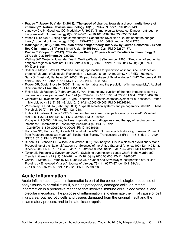- **• Pradeu T; Jaeger S; Vivier E (2013). "The speed of change: towards a discontinuity theory of immunity?". Nature Reviews Immunology. 13(10): 764–769. doi:10.1038/nri3521.**
- Janeway CA Jr.; Goodnow CC; Medzhitov R (1996). "Immunological tolerance: Danger pathogen on the premises!". Current Biology 6(5): 519–522. doi:10.1016/S0960-9822(02)00531-6.
- Vance RE (2000). "Cutting edge commentary: a Copernican revolution? Doubts about the danger theory". Journal of Immunology. 165(4): 1725–1728. doi:10.4049/jimmunol.165.4.1725.
- **• Matzinger P (2012). "The evolution of the danger theory. Interview by Lauren Constable". Expert Rev Clin Immunol. 8(4) (4): 311–317. doi:10.1586/eci.12.21. PMID 22607177.**
- **• Pradeu T; Cooper EL (2012). "The danger theory: 20 years later". Frontiers in Immunology 3: 287. doi:10.3389/fimmu.2012.00287.**
- Welling GW, Weijer WJ, van der Zee R, Welling-Wester S (September 1985). "Prediction of sequential antigenic regions in proteins". FEBS Letters 188 (2): 215–8. doi:10.1016/0014-5793(85)80374-4. PMID 2411595.
- Söllner J, Mayer B (2006). "Machine learning approaches for prediction of linear B-cell epitopes on proteins". Journal of Molecular Recognition 19 (3): 200–8. doi:10.1002/jmr.771. PMID 16598694.
- Saha S, Bhasin M, Raghava GP (2005). "Bcipep: A database of B-cell epitopes". BMC Genomics 6: 79. doi:10.1186/1471-2164-6-79. PMC 1173103. PMID 15921533.
- Flower DR, Doytchinova IA (2002). "Immunoinformatics and the prediction of immunogenicity". Applied Bioinformatics 1 (4): 167–76. PMID 15130835.
- Finlay BB, McFadden G (February 2006). "Anti-immunology: evasion of the host immune system by bacterial and viral pathogens". Cell 124 (4): 767–82. doi:10.1016/j.cell.2006.01.034. PMID 16497587.
- Cianciotto NP (December 2005). "Type II secretion: a protein secretion system for all seasons". Trends in Microbiology 13 (12): 581–8. doi:10.1016/j.tim.2005.09.005. PMID 16216510.
- Winstanley C, Hart CA (February 2001). "Type III secretion systems and pathogenicity islands". J. Med. Microbiol. 50 (2): 116–26. PMID 11211218.
- Finlay BB, Falkow S (June 1997). "Common themes in microbial pathogenicity revisited". Microbiol. Mol. Biol. Rev. 61 (2): 136–69. PMC 232605. PMID 9184008.
- Kobayashi H (2005). "Airway biofilms: implications for pathogenesis and therapy of respiratory tract infections". Treatments in Respiratory Medicine 4 (4): 241–53. doi: 10.2165/00151829-200504040-00003. PMID 16086598.
- Housden NG, Harrison S, Roberts SE et al. (June 2003). "Immunoglobulin-binding domains: Protein L from Peptostreptococcus magnus". Biochemical Society Transactions 31 (Pt 3): 716–8. doi:10.1042/ BST0310716. PMID 12773190.
- Burton DR, Stanfield RL, Wilson IA (October 2005). "Antibody vs. HIV in a clash of evolutionary titans". Proceedings of the National Academy of Sciences of the United States of America 102 (42): 14943–8. Bibcode:2005PNAS..10214943B. doi:10.1073/pnas.0505126102. PMC 1257708. PMID 16219699.
- Taylor JE, Rudenko G (November 2006). "Switching trypanosome coats: what's in the wardrobe?". Trends in Genetics 22 (11): 614–20. doi:10.1016/j.tig.2006.08.003. PMID 16908087.
- Cantin R, Méthot S, Tremblay MJ (June 2005). "Plunder and Stowaways: Incorporation of Cellular Proteins by Enveloped Viruses". Journal of Virology 79 (11): 6577–87. doi:10.1128/JVI. 79.11.6577-6587.2005. PMC 1112128. PMID 15890896.

## **Acute Inflammation**

Acute Inflammation (Latin, inflammatio) is part of the complex biological response of body tissues to harmful stimuli, such as pathogens, damaged cells, or irritants. Inflammation is a protective response that involves immune cells, blood vessels, and molecular mediators. The purpose of inflammation is to eliminate the initial cause of cell injury, clear out necrotic cells and tissues damaged from the original insult and the inflammatory process, and to initiate tissue repair.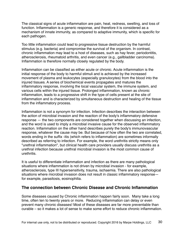The classical signs of acute inflammation are pain, heat, redness, swelling, and loss of function. Inflammation is a generic response, and therefore it is considered as a mechanism of innate immunity, as compared to adaptive immunity, which is specific for each pathogen.

Too little inflammation could lead to progressive tissue destruction by the harmful stimulus (e.g. bacteria) and compromise the survival of the organism. In contrast, chronic inflammation may lead to a host of diseases, such as hay fever, periodontitis, atherosclerosis, rheumatoid arthritis, and even cancer (e.g., gallbladder carcinoma). Inflammation is therefore normally closely regulated by the body.

Inflammation can be classified as either acute or chronic. Acute inflammation is the initial response of the body to harmful stimuli and is achieved by the increased movement of plasma and leukocytes (especially granulocytes) from the blood into the injured tissues. A series of biochemical events propagates and matures the inflammatory response, involving the local vascular system, the immune system, and various cells within the injured tissue. Prolonged inflammation, known as chronic inflammation, leads to a progressive shift in the type of cells present at the site of inflammation and is characterized by simultaneous destruction and healing of the tissue from the inflammatory process.

Inflammation is not a synonym for infection. Infection describes the interaction between the action of microbial invasion and the reaction of the body's inflammatory defensive response — the two components are considered together when discussing an infection, and the word is used to imply a microbial invasive cause for the observed inflammatory reaction. Inflammation on the other hand describes purely the body's immunovascular response, whatever the cause may be. But because of how often the two are correlated, words ending in the suffix -itis (which refers to inflammation) are sometimes informally described as referring to infection. For example, the word urethritis strictly means only "urethral inflammation", but clinical health care providers usually discuss urethritis as a urethral infection because urethral microbial invasion is the most common cause of urethritis.

It is useful to differentiate inflammation and infection as there are many pathological situations where inflammation is not driven by microbial invasion - for example, atherosclerosis, type III hypersensitivity, trauma, ischaemia. There are also pathological situations where microbial invasion does not result in classic inflammatory response for example, parasitosis, eosinophilia.

#### **The connection between Chronic Disease and Chronic Inflammation**

Some diseases caused by Chronic inflammation happen fairly soon. Many take a long time, often ten to twenty years or more. Reducing inflammation can delay or even prevent many chronic diseases! Most of these diseases are far more preventable than curable – so it makes a lot of sense to make some effort to reduce chronic inflammation.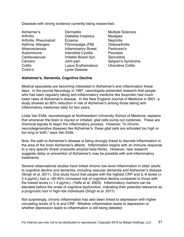Diseases with strong evidence currently being researched.

Alzheimer's **Brandish Example Sclerosis C** Dermatitis *Multiple Sclerosis* Crohn's Lyme Disease

Arthritis **Diabetes Insipidus** Myalgias Arthritis, Rheumatoid Eczema Nephritis Asthma, Allergies Fibromyalgia (FM) Osteoarthritis Atherosclerosis Inflammatory Bowel Parkinson's Autoimmune Interstitial Cystitis Psoriasis Cardiovascular **Irritable Bowel Syn.** Sarcoidois Cancers Joint pain Sjögren's Syndrome Colitis **Colitis Extrematous Colitis Colitis Colitis** 

#### **Alzheimer's, Dementia, Cognitive Decline**

Medical specialists are becoming interested in Alzheimer's and inflammation these days. In the journal Neurology in 1997, neurologists presented research that people who had been regularly taking anti-inflammatory medicine like Ibuprofen had much lower rates of Alzheimer's disease. In the New England Journal of Medicine in 2001, a study showed an 80% reduction in risk of Alzheimer's among those taking antiinflammatory medicines daily for two years.

Linda Van Eldik, neurobiologist at Northwestern University School of Medicine, explains that whenever the brain is injured or irritated, glial cells pump out cytokines. These are chemical signals to begin the inflammatory process. However, "in chronic neurodegenerative diseases like Alzheimer's, these glial cells are activated too high or too long or both," says Van Eldik.

Now, the path to Alzheimer's disease is being strongly linked to discrete inflammation in the area of the brain Alzheimer's affects. Inflammation begins with an immune response to a very specific threat (insoluble amyloid beta fibrils). However, new research suggests delay or prevention of Alzheimer's may be possible with anti-inflammatory treatments.

Several observational studies have linked chronic low-level inflammation in older adults to cognitive decline and dementia, including vascular dementia and Alzheimer's disease (Singh et al. 2011). One study found that people with the highest CRP and IL-6 levels (> 2.4 pg/mL) had a ~30-40% increased risk of cognitive decline compared to those with the lowest levels (< 1.4 pg/mL). (Yaffe et al. 2003). Inflammatory markers can be elevated before the onset of cognitive dysfunction, indicating their potential relevance as a prognostic tool in high-risk individuals (Singh et al. 2011).

Not surprisingly, chronic inflammation has also been linked to depression with higher circulating levels of IL-6 and CRP. Whether inflammation leads to depression or whether depression leads to inflammation is still being debated.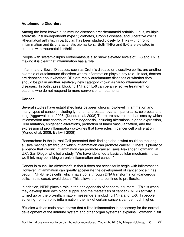#### **Autoimmune Disorders**

Among the best-known autoimmune diseases are: rheumatoid arthritis, lupus, multiple sclerosis, insulin-dependent (type 1) diabetes, Crohn's disease, and ulcerative colitis. Rheumatoid arthritis, in particular, has been studied closely for links with chronic inflammation and its characteristic biomarkers. Both TNFa and IL-6 are elevated in patients with rheumatoid arthritis.

People with systemic lupus erythematosus also show elevated levels of IL-6 and TNFa, making it is clear that inflammation has a role.

Inflammatory Bowel Diseases, such as Crohn's disease or ulcerative colitis, are another example of autoimmune disorders where inflammation plays a key role. In fact, doctors are debating about whether IBDs are really autoimmune diseases or whether they should be put in another, relatively new category known as "auto-inflammatory" diseases. In both cases, blocking TNFa or IL-6 can be an effective treatment for patients who do not respond to more conventional treatments.

#### **Cancer**

Several studies have established links between chronic low-level inflammation and many types of cancer, including lymphoma, prostate, ovarian, pancreatic, colorectal and lung (Aggarwal et al. 2006).(Kundu et al. 2008) There are several mechanisms by which inflammation may contribute to carcinogenesis, including alterations in gene expression, DNA mutation, epigenetic alterations, promotion of tumor vascularization, and the expression of pro-inflammatory cytokines that have roles in cancer cell proliferation (Kundu et al. 2008, Balkwill 2009)

Researchers in the journal Cell presented their findings about what could be the longelusive mechanism through which inflammation can promote cancer. "There is plenty of evidence that chronic inflammation can promote cancer" says Alexander Hoffmann, at U.C. San Diego, who led a study. "We have identified a basic cellular mechanism that we think may be linking chronic inflammation and cancer."

Cancer is much like Alzheimer's in that it does not necessarily begin with inflammation. However, inflammation can greatly accelerate the development of cancer once it has begun. NFkB helps cells, which have gone through DNA transformation (cancerous cells, in this case), avoid death. This allows them to continue to proliferate.

In addition, NFkB plays a role in the angiogenesis of cancerous tumors. (This is when they develop their own blood supply, and the metastasis of cancer.) NFkB activity is turned up by the pro-inflammatory messengers, including TNFa and IL-6. In people suffering from chronic inflammation, the risk of certain cancers can be much higher.

"Studies with animals have shown that a little inflammation is necessary for the normal development of the immune system and other organ systems," explains Hoffmann. "But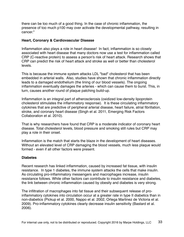there can be too much of a good thing. In the case of chronic inflammation, the presence of too much p100 may over activate the developmental pathway, resulting in cancer."

#### **Heart, Coronary & Cardiovascular Disease**

Inflammation also plays a role in heart disease! In fact, inflammation is so closely associated with heart disease that many doctors now use a test for inflammation called CRP (C-reactive protein) to assess a person's risk of heart attack. Research shows that CRP can predict the risk of heart attack and stroke as well or better than cholesterol levels.

This is because the immune system attacks LDL "bad" cholesterol that has been embedded in arterial walls. Also, studies have shown that chronic inflammation directly leads to a damaged endothelium (the lining of our blood vessels). The ongoing inflammation eventually damages the arteries - which can cause them to burst. This, in turn, causes another round of plaque patching build-up.

Inflammation is an integral part of atherosclerosis (oxidized low-density lipoprotein cholesterol stimulates the inflammatory response). It is these circulating inflammatory cytokines that are predictive of peripheral arterial disease, heart failure, atrial fibrillation, stroke, and coronary heart disease (Singh et al. 2011, Emerging Risk Factors Collaboration et al. 2010).

That is why researchers have found that CRP is a moderate indicator of coronary heart disease. Total cholesterol levels, blood pressure and smoking still rules but CRP may play a role in their onset.

Inflammation is the match that starts the blaze in the development of heart diseases. Without an elevated level of CRP damaging the blood vessels, much less plaque would formed - even if all other factors were present.

#### **Diabetes**

Recent research has linked inflammation, caused by increased fat tissue, with insulin resistance. In type 1 diabetes, the immune system attacks the cells that make insulin. As circulating pro-inflammatory messengers and macrophages increase, insulin resistance follows. While other factors can contribute to insulin resistance and diabetes, the link between chronic inflammation caused by obesity and diabetes is very strong.

The infiltration of macrophages into fat tissue and their subsequent release of proinflammatory cytokines into circulation occur at a greater rate in type II diabetics than in non-diabetics (Pickup et al. 2000, Nappo et al. 2002, Ortega Martinez de Victoria et al. 2009). Pro-inflammatory cytokines clearly decrease insulin sensitivity (Bastard et al. 2006).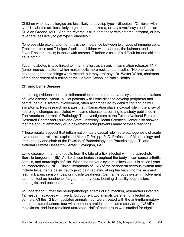Children who have allergies are less likely to develop type 1 diabetes. "Children with type 1 diabetes are less likely to get asthma, eczema, or hay fever," says pediatrician Dr. Alan Greene, MD. "And the reverse is true, that those with asthma, eczema, or hay fever are less likely to get type 1 diabetes."

"One possible explanation for this is the imbalance between two types of immune cells, T-helper 1 cells and T-helper 2 cells. In children with diabetes, the balance tends to favor T-helper 1 cells; in those with asthma, T-helper 2 cells. It's difficult for one child to have both."

Type II diabetes is also linked to inflammation, as chronic inflammation releases TNF (tumor necrosis factor), which makes cells more resistant to insulin. "No one would have thought these things were related, but they are" says Dr. Walter Willett, chairman of the department of nutrition at the Harvard School of Public Health.

#### **Chronic Lyme Disease**

Increasing evidence points to inflammation as source of nervous system manifestations of Lyme disease. About 15% of patients with Lyme disease develop peripheral and central nervous system involvement, often accompanied by debilitating and painful symptoms. New research indicates that inflammation plays a causal role in the array of neurologic changes associated with Lyme disease, according to a study published in The American Journal of Pathology. The investigators at the Tulane National Primate Research Center and Louisiana State University Health Sciences Center also showed that the anti-inflammatory drug dexamethasone prevents many of these reactions.

"These results suggest that inflammation has a causal role in the pathogenesis of acute Lyme neuroborreliosis," explained Mario T. Philipp, PhD, Professor of Microbiology and Immunology and chair of the Division of Bacteriology and Parasitology at Tulane National Primate Research Center (Covington, LA).

Lyme disease in humans results from the bite of a tick infected with the spirochete Borrelia burgdorferi (Bb). As Bb disseminates throughout the body, it can cause arthritis, carditis, and neurologic deficits. When the nervous system is involved, it is called Lyme neuroborreliosis (LNB). Clinical symptoms of LNB of the peripheral nervous system may include facial nerve palsy, neurogenic pain radiating along the back into the legs and feet, limb pain, sensory loss, or muscle weakness. Central nervous system involvement can manifest as headache, fatigue, memory loss, learning disability, depression, meningitis, and encephalopathy.

To understand further the neuropathologic effects of Bb infection, researchers infected 12 rhesus macaques with live B. burgdorferi; two animals were left uninfected as controls. Of the 12 Bb-inoculated animals, four were treated with the anti-inflammatory steroid dexamethasone, four with the non-steroidal anti-inflammatory drug (NSAID) meloxicam, and four remained untreated. Half of each group was studied for eight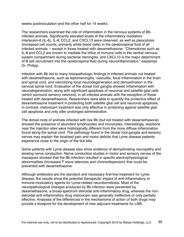weeks postinoculation and the other half for 14 weeks.

The researchers examined the role of inflammation in the nervous systems of Bbinfected animals. Significantly elevated levels of the inflammatory mediators interleukin-6 (IL-6), IL-8, CCL2, and CXCL13 were observed, as well as pleocytosis (increased cell counts, primarily white blood cells) in the cerebrospinal fluid of all infected animals -- except in those treated with dexamethasone. "Chemokines such as IL-8 and CCL2 are known to mediate the influx of immune cells in the central nervous system compartment during bacterial meningitis, and CXCL13 is the major determinant of B cell recruitment into the cerebrospinal fluid during neuroinflammation," explained Dr. Philipp.

Infection with Bb led to many histopathologic findings in infected animals not treated with dexamethasone, such as leptomeningitis, vasculitis, focal inflammation in the brain and spinal cord, and necrotizing focal neurodegeneration and demyelination in the cervical spinal cord. Evaluation of the dorsal root ganglia showed inflammation with neurodegeneration, along with significant apoptosis of neuronal and satellite glial cells (which surround sensory neurons), in all infected animals with the exception of those treated with dexamethasone. Researchers were able to quantify the protective effect of dexamethasone treatment in protecting both satellite glial cell and neuronal apoptosis; in contrast, meloxicam treatment was only effective in protecting against satellite glial cell apoptosis and only after prolonged administration.

The dorsal roots of animals infected with live Bb (but not treated with dexamethasone) showed the presence of abundant lymphocytes and monocytes. Interestingly, reactions near the injection sites were histologically different from the more diffuse inflammation found along the spinal cord. The pathology found in the dorsal root ganglia and sensory nerves may explain the localized pain and motor deficits that Lyme disease patients experience close to the origin of the tick bite.

Some patients with Lyme disease also show evidence of demyelinating neuropathy and slowing nerve conduction. Nerve conduction studies in motor and sensory nerves of the macaques showed that the Bb infection resulted in specific electrophysiological abnormalities (increased F wave latencies and chronodispersion) that could be prevented with dexamethasone.

Although antibiotics are the standard and necessary first-line treatment for Lyme disease, the results show the potential therapeutic impact of anti-inflammatory or immune-modulatory agents for Lyme-related neuroborreliosis. Most of the neuropathological changes produced by Bb infection were prevented by dexamethasone, a broad-spectrum steroidal anti-inflammatory drug, whereas the nonsteroidal anti-inflammatory drug meloxicam was generally ineffective or only partially effective. Analyses of the differences in the mechanisms of action of both drugs may provide a blueprint for the development of new adjuvant treatments for LNB.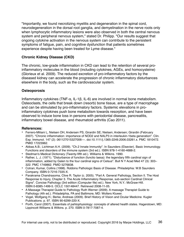"Importantly, we found necrotizing myelitis and degeneration in the spinal cord, neurodegeneration in the dorsal root ganglia, and demyelination in the nerve roots only when lymphocytic inflammatory lesions were also observed in both the central nervous system and peripheral nervous system," stated Dr. Philipp. "Our results suggest that ongoing cytokine activation in the nervous system can contribute to the persistent symptoms of fatigue, pain, and cognitive dysfunction that patients sometimes experience despite having been treated for Lyme disease."

#### **Chronic Kidney Disease (CKD)**

The chronic, low-grade inflammation in CKD can lead to the retention of several proinflammatory molecules in the blood (including cytokines, AGEs, and homocysteine) (Glorieux et al. 2009). The reduced excretion of pro-inflammatory factors by the diseased kidney can accelerate the progression of chronic inflammatory disturbances elsewhere in the body, such as the cardiovascular system.

#### **Osteoporosis**

Inflammatory cytokines (TNF-α, IL-1β, IL-6) are involved in normal bone metabolism. Osteoclasts, the cells that break down (resorb) bone tissue, are a type of macrophage and can be stimulated by pro-inflammatory factors. Systemic elevations in proinflammatory cytokines push bone metabolism towards resorption, and have been observed to induce bone loss in persons with periodontal disease, pancreatitis, inflammatory bowel disease, and rheumatoid arthritis (Cao 2011).

#### **References:**

- Ferrero-Miliani L, Nielsen OH, Andersen PS, Girardin SE; Nielsen; Andersen; Girardin (February 2007). "Chronic inflammation: importance of NOD2 and NALP3 in interleukin-1beta generation". Clin. Exp. Immunol. 147 (2): 061127015327006––. doi:10.1111/j.1365-2249.2006.03261.x. PMC 1810472. PMID 17223962.
- Abbas A.B.; Lichtman A.H. (2009). "Ch.2 Innate Immunity". In Saunders (Elsevier). Basic Immunology. Functions and disorders of the immune system (3rd ed.). ISBN 978-1-4160-4688-2.
- Stedman's Medical Dictionary (Twenty-fifth ed.). Williams & Wilkins. 1990.
- Rather, L. J. (1971). "Disturbance of function (functio laesa): the legendary fifth cardinal sign of inflammation, added by Galen to the four cardinal signs of Celsus". Bull N Y Acad Med 47 (3): 303– 322. PMC 1749862. PMID 5276838.
- Cotran; Kumar, Collins (1998). Robbins Pathologic Basis of Disease. Philadelphia: W.B Saunders Company. ISBN 0-7216-7335-X.
- Parakrama Chandrasoma, Clive R. Taylor (c. 2005). "Part A. General Pathology, Section II. The Host Response to Injury, Chapter 3. The Acute Inflammatory Response, sub-section Cardinal Clinical Signs". Concise Pathology (3rd edition (Computer file) ed.). New York, N.Y.: McGraw-Hill. ISBN 0-8385-1499-5. OCLC 150148447. Retrieved 2008-11-05.
- A Massage Therapist Guide to Pathology Ruth Werner (2009). A massage Therapist Guide to Pathology (4th ed.). Philadelphia, PA and Baltimore, MD: Wolters Kluwer.
- Vogel, Wolfgang H.; Berke, Andreas (2009). Brief History of Vision and Ocular Medicine. Kugler Publications. p. 97. ISBN 90-6299-220-X.
- Porth, Carol (2007). Essentials of pahtophysiology: concepts of altered health states. Hagerstown, MD: Lippincott Williams & Wilkins. p. 270. ISBN 0-7817-7087-4.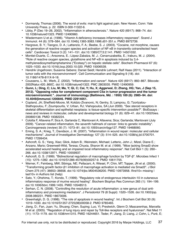- Dormandy, Thomas (2006). The worst of evils: man's fight against pain. New Haven, Conn: Yale University Press. p. 22. ISBN 0-300-11322-6.
- Libby, P (Dec 19–26, 2002). "Inflammation in atherosclerosis.". Nature 420 (6917): 868–74. doi: 10.1038/nature01323. PMID 12490960.
- Wiedermann U et al. (1996). "Vitamin A deficiency increases inflammatory responses". Scand J Immunol. 44 (6): 578–584. doi:10.1046/j.1365-3083.1996.d01-351.x. PMID 8972739.
- Hargrave, B. Y.; Tiangco, D. A.; Lattanzio, F. A.; Beebe, S. J. (2003). "Cocaine, not morphine, causes the generation of reactive oxygen species and activation of NF-κB in transiently cotransfected heart cells". Cardiovasc Toxicol 3 (2): 141–151. doi:10.1385/CT:3:2:141. PMID 14501032.
- Montiel-Duarte, C.; Ansorena, E.; López-Zabalza, M. J.; Cenarruzabeitia, E.; Iraburu, M. J. (2004). "Role of reactive oxygen species, glutathione and NF-κB in apoptosis induced by 3,4 methylenedioxymethamphetamine ("Ecstasy") on hepatic stellate cells". Biochem Pharmacol 67 (6): 1025–1033. doi:10.1016/j.bcp.2003.10.020. PMID 15006539.
- Hendrik Ungefroren; Susanne Sebens; Daniel Seidl; Hendrik Lehnert; Ralf Haas (2011). "Interaction of tumor cells with the microenvironment". Cell Communication and Signaling 9 (18). doi: 10.1186/1478-811X-9-18.
- Coussens, L. M.; Werb, Z. (2002). "Inflammation and cancer". Nature 420 (6917): 860–867. Bibcode: 2002Natur.420..860C. doi:10.1038/nature01322. PMC 2803035. PMID 12490959.
- **• Gunn, L; Ding, C; Liu, M; Ma, Y; Qi, C; Cai, Y; Hu, X; Aggarwal, D; Zhang, HG; Yan, J (Sep 15, 2012). "Opposing roles for complement component C5a in tumor progression and the tumor microenvironment.". Journal of immunology (Baltimore, Md. : 1950) 189 (6): 2985–94. doi: 10.4049/jimmunol.1200846. PMID 22914051.**
- Copland, JA; Sheffield-Moore, M; Koldzic-Zivanovic, N; Gentry, S; Lamprou, G; Tzortzatou-Stathopoulou, F; Zoumpourlis, V; Urban, RJ; Vlahopoulos, SA (Jun 2009). "Sex steroid receptors in skeletal differentiation and epithelial neoplasia: is tissue-specific intervention possible?". BioEssays : news and reviews in molecular, cellular and developmental biology 31 (6): 629–41. doi:10.1002/bies. 200800138. PMID 19382224.
- Colotta F, Allavena P, Sica A, Garlanda C, Mantovani A; Allavena; Sica; Garlanda; Mantovani (July 2009). "Cancer-related inflammation, the seventh hallmark of cancer: links to genetic instability". Carcinogenesis (review) 30 (7): 1073–81. doi:10.1093/carcin/bgp127. PMID 19468060.
- Eming, S. A.; Krieg, T.; Davidson, J. M. (2007). "Inflammation in wound repair: molecular and cellular mechanisms". Journal of Investigative Dermatology 127 (3): 514–525. doi:10.1038/sj.jid.5700701. PMID 17299434.
- Ashcroft, G. S.; Yang, Xiao; Glick, Adam B.; Weinstein, Michael; Letterio, John J.; Mizel, Diane E.; Anzano, Mario; Greenwell-Wild, Teresa; Chuxia, Sharon M. et al. (1999). "Mice lacking Smad3 show accelerated wound healing and an impaired local inflammatory response". Nat Cell Biol 1 (5): 260– 266. doi:10.1038/12971. PMID 10559937.
- Ashcroft, G. S. (1999). "Bidirectional regulation of macrophage function by TGF-β". Microbes Infect 1 (15): 1275–1282. doi:10.1016/S1286-4579(99)00257-9. PMID 10611755.
- Werner, F.; Feinberg, MW; Sibinga, NE; Pellacani, A; Wiesel, P; Chin, MT; Topper, JN et al. (2000). "Transforming growth factor-β1 inhibition of macrophage activation is mediated via Smad3". J Biol Chem 275 (47): 36653–36658. doi:10.1074/jbc.M004536200. PMID 10973958. |first10= missing | last10= in Authors list (help)
- Sato, Y.; Ohshima, T.; Kondo, T. (1999). "Regulatory role of endogenous interleukin-10 in cutaneous inflammatory response of murine wound healing". Biochem Biophys Res Commun 265 (1): 194–199. doi:10.1006/bbrc.1999.1455. PMID 10548513.
- Serhan, C. N. (2008). "Controlling the resolution of acute inflammation: a new genus of dual antiinflammatory and proresolving mediators". J Periodontol 79 (8 Suppl): 1520–1526. doi:10.1902/jop. 2008.080231. PMID 18673006.
- Greenhalgh, D. G. (1998). "The role of apoptosis in wound healing". Int J Biochem Cell Biol 30 (9): 1019–1030. doi:10.1016/S1357-2725(98)00058-2. PMID 9785465.
- Jiang, D.; Fan, Juan; Yu, Shuang; Chen, Suping; Luo, Yi; Prestwich, Glenn D; Mascarenhas, Marcella M et al. (2005). "Regulation of lung injury and repair by Toll-like receptors and hyaluronan". Nat Med 11 (11): 1173–1179. doi:10.1038/nm1315. PMID 16244651. Teder, P.; Jiang, D; Liang, J; Cohn, L; Puré, E;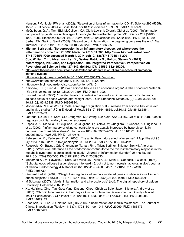Henson, PM; Noble, PW et al. (2002). "Resolution of lung inflammation by CD44". Science 296 (5565): 155–158. Bibcode:2002Sci...296..155T. doi:10.1126/science.1069659. PMID 11935029.

- McQuibban, G. A.; Tam, EM; McCulloch, CA; Clark-Lewis, I; Overall, CM et al. (2000). "Inflammation dampened by gelatinase A cleavage of monocyte chemoattractant protein-3". Science 289 (5482): 1202–1206. Bibcode:2000Sci...289.1202M. doi:10.1126/science.289.5482.1202. PMID 10947989.
- Serhan CN, Savill J; Savill (2005). "Resolution of inflammation: the beginning programs the end". Nat. Immunol. 6 (12): 1191–1197. doi:10.1038/ni1276. PMID 16369558.
- **• Michael Berk et al.. "So depression is an inflammatory disease, but where does the inflammation come from?" BMC Medicine 2013, 11:200. http://www.biomedcentral.com/ 1741-7015/11/200 accessed March 4, 2014 doi:10.1186/1741-7015-11-200**
- **• Cox, William T. L.; Abramson, Lyn Y.; Devine, Patricia G.; Hollon, Steven D. (2012). "Stereotypes, Prejudice, and Depression: The Integrated Perspective". Perspectives on Psychological Science 7 (5): 427–449. doi:10.1177/1745691612455204.**
- [http://www.theguardian.com/lifeandstyle/2015/jan/04/depression-allergic-reaction-inflammation](http://www.theguardian.com/lifeandstyle/2015/jan/04/depression-allergic-reaction-inflammation-immune-system)[immune-system](http://www.theguardian.com/lifeandstyle/2015/jan/04/depression-allergic-reaction-inflammation-immune-system)
- [http://www.jad-journal.com/article/S0165-0327\(08\)00479-5/abstract](http://www.jad-journal.com/article/S0165-0327(08)00479-5/abstract)
- <http://www.nature.com/mp/journal/v11/n7/full/4001805a.html>
- <http://www.biolmoodanxietydisord.com/content/4/1/10>
- Kershaw, E. E.; Flier, J. S. (2004). "Adipose tissue as an endocrine organ". J Clin Endocrinol Metab 89 (6): 2548–2556. doi:10.1210/jc.2004-0395. PMID 15181022.
- Bastard J et al. (2000). "Elevated levels of interleukin 6 are reduced in serum and subcutaneous adipose tissue of obese women after weight loss". J Clin Endocrinol Metab 85 (9): 3338–3342. doi: 10.1210/jc.85.9.3338. PMID 10999830.
- Mohamed-Ali V et al. (2001). "beta-Adrenergic regulation of IL-6 release from adipose tissue: in vivo and in vitro studies". J Clin Endocrinol Metab 86 (12): 5864–5869. doi:10.1210/jc.86.12.5864. PMID 11739453.
- Loffreda, S.; Lin, HZ; Karp, CL; Brengman, ML; Wang, DJ; Klein, AS; Bulkley, GB et al. (1998). "Leptin regulates proinflammatory immune responses".
- Esposito, K.; Marfella, R; Giugliano, G; Giugliano, F; Ciotola, M; Quagliaro, L; Ceriello, A; Giugliano, D et al. (2002). "Inflammatory cytokine concentrations are acutely increased by hyperglycemia in humans: role of oxidative stress". Circulation 106 (16): 2067–2072. doi:10.1161/01.CIR. 0000034509.14906.AE. PMID 12379575.
- Petersen, A. M.; Pedersen, B. K. (2005). "The anti-inflammatory effect of exercise". J Appl Physiol 98 (4): 1154–1162. doi:10.1152/japplphysiol.00164.2004. PMID 15772055. Review.
- Rogowski, O.; Bassat, Orit; Chundadze, Tamar; Finn, Talya; Berliner, Shlomo; Steinvil, Arie et al. (2010). "Waist circumference as the predominant contributor to the micro-inflammatory response in the metabolic syndrome: a cross sectional study". Journal of Inflammation (London) 26 (7): 35. doi: 10.1186/1476-9255-7-35. PMC 2919526. PMID 20659330.
- Mohamed-Ali, V.; Rawesh, A; Katz, DR; Miles, JM; Yudkin, JS; Klein, S; Coppack, SW et al. (1997). "Subcutaneous adipose tissue releases interleukin-6, but not tumor necrosis factor-α, in vivo". Journal of Clinical Endocrinology & Metabolism 82 (12): 4196–4200. doi:10.1210/jc.82.12.4196. PMID 9398739.
- Clément K et al. (2004). "Weight loss regulates inflammation-related genes in white adipose tissue of obese subjects". FASEB J 18 (14): 1657–1669. doi:10.1096/fj.04-2204com. PMID 15522911.
- M Stitzinger (2007). "Lipids, inflammation and atherosclerosis" (pdf). The digital repository of Leiden University. Retrieved 2007-11-02.
- Xu, H.; Yang, Qing; Tan, Guo; Yang, Daseng; Chou, Chieh J.; Sole, Jason; Nichols, Andrew et al. (2003). "Chronic Inflammation in Fat Plays a Crucial Role in the Development of Obesity-Related Insulin Resistance". J Clin Invest 112 (12): 1821–1830. doi:10.1172/JCI19451. PMC 296998. PMID 14679177.
- Shoelson, SE; Lee, J; Goldfine, AB (July 2006). "Inflammation and insulin resistance". The Journal of Clinical Investigation (Review) 116 (7): 1793–801. doi:10.1172/JCI29069. PMC 1483173. PMID 16823477.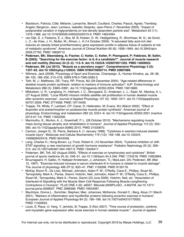- Blackburn, Patricia; Côté, Mélanie; Lamarche, Benoît; Couillard, Charles; Pascot, Agnès; Tremblay, Angelo; Bergeron, Jean; Lemieux, Isabelle; Després, Jean-Pierre (1 November 2003). "Impact of postprandial variation in triglyceridemia on low-density lipoprotein particle size". Metabolism 52 (11): 1379–1386. doi:10.1016/S0026-0495(03)00315-9. PMID 14624394.
- van Dijk, S. J; Feskens, E. J.; Bos, M. B; Hoelen, D. W.; Heijligenberg, R.; Bromhaar, M. G.; de Groot, L. C.; de Vries, J. H.; Muller, M.; Afman, L. A (14 October 2009). "A saturated fatty acid-rich diet induces an obesity-linked proinflammatory gene expression profile in adipose tissue of subjects at risk of metabolic syndrome". American Journal of Clinical Nutrition 90 (6): 1656–1664. doi:10.3945/ajcn. 2009.27792. PMID 19828712.
- **• Pedersen, BK; Steensberg, A; Fischer, C; Keller, C; Keller, P; Plomgaard, P; Febbraio, M; Saltin, B (2003). "Searching for the exercise factor: is IL-6 a candidate?". Journal of muscle research and cell motility (Review) 24 (2–3): 113–9. doi:10.1023/A:1026070911202. PMID 14609022.**
- **• Pedersen, BK (Jul 2013). "Muscle as a secretory organ". Comprehensive Physiology 3 (3): 1337–62. doi:10.1002/cphy.c120033. ISBN 9780470650714. PMID 23897689.**
- Wilmore, Jack (2008). Physiology of Sport and Exercise. Champaign, IL: Human Kinetics. pp. 26–36, 98–120, 186–250, 213–218. ISBN 978-0-7360-5583-3.
- Toth, M. J.; Matthews, DE; Tracy, RP; Previs, MJ (29 December 2004). "Age-related differences in skeletal muscle protein synthesis: relation to markers of immune activation". AJP: Endocrinology and Metabolism 288 (5): E883–E891. doi:10.1152/ajpendo.00353.2004. PMID 15613683.
- Mikkelsen, U. R.; Langberg, H.; Helmark, I. C.; Skovgaard, D.; Andersen, L. L.; Kjaer, M.; Mackey, A. L. (27 August 2009). "Local NSAID infusion inhibits satellite cell proliferation in human skeletal muscle after eccentric exercise". Journal of Applied Physiology 107 (5): 1600–1611. doi:10.1152/japplphysiol. 00707.2009. PMC 3774508. PMID 19713429.
- Trappe, TA; White, F; Lambert, CP; Cesar, D; Hellerstein, M; Evans, WJ (March 2002). "Effect of ibuprofen and acetaminophen on postexercise muscle protein synthesis". American journal of physiology. Endocrinology and metabolism 282 (3): E551–6. doi:10.1152/ajpendo.00352.2001 (inactive 2015-01-14). PMID 11832356.
- Marimuthu, K.; Murton, A. J.; Greenhaff, P. L. (28 October 2010). "Mechanisms regulating muscle mass during disuse atrophy and rehabilitation in humans". Journal of Applied Physiology 110 (2): 555– 560. doi:10.1152/japplphysiol.00962.2010. PMID 21030670.
- Cannon, Joseph G.; St. Pierre, Barbara A. (1 January 1998). "Cytokines in exertion-induced skeletal muscle injury". Molecular and Cellular Biochemistry 179 (1/2): 159–168. doi:10.1023/A: 1006828425418. PMID 9543358.
- Lang, Charles H.; Hong-Brown, Ly; Frost, Robert A. (10 November 2004). "Cytokine inhibition of JAK-STAT signaling: a new mechanism of growth hormone resistance". Pediatric Nephrology 20 (3): 306– 312. doi:10.1007/s00467-004-1607-9. PMID 15549417.
- Pedersen, BK; Toft, AD (August 2000). "Effects of exercise on lymphocytes and cytokines". British journal of sports medicine 34 (4): 246–51. doi:10.1136/bjsm.34.4.246. PMC 1724218. PMID 10953894.
- Bruunsgaard, H; Galbo, H; Halkjaer-Kristensen, J; Johansen, TL; MacLean, DA; Pedersen, BK (Mar 15, 1997). "Exercise-induced increase in serum interleukin-6 in humans is related to muscle damage". The Journal of physiology 499 (Pt 3): 833–41. PMC 1159298. PMID 9130176.
- McKay, Bryon R.; De Lisio, Michael; Johnston, Adam P. W.; O'Reilly, Ciara E.; Phillips, Stuart M.; Tarnopolsky, Mark A.; Parise, Gianni; Hotchin, Neil; Johnston, Adam P. W.; O'Reilly, Ciara E.; Phillips, Stuart M.; Tarnopolsky, Mark A.; Parise, Gianni (23 June 2009). Hotchin, Neil, ed. "Association of Interleukin-6 Signalling with the Muscle Stem Cell Response Following Muscle-Lengthening Contractions in Humans". PLoS ONE 4 (6): e6027. Bibcode:2009PLoSO...4.6027M. doi:10.1371/ journal.pone.0006027. PMC 2696599. PMID 19554087.
- MacIntyre, Donna L.; Sorichter, Stephan; Mair, Johannes; McKenzie, Donald C.; Berg, Aloys (11 March 2001). "Markers of inflammation and myofibrillar proteins following eccentric exercise in humans". European Journal of Applied Physiology 84 (3): 180–186. doi:10.1007/s004210170002. PMID 11320633.
- Louis, E; Raue, U; Yang, Y; Jemiolo, B; Trappe, S (Nov 2007). "Time course of proteolytic, cytokine, and myostatin gene expression after acute exercise in human skeletal muscle.". Journal of applied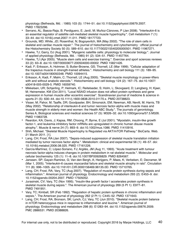physiology (Bethesda, Md. : 1985) 103 (5): 1744–51. doi:10.1152/japplphysiol.00679.2007. PMID 17823296.

- Serrano, AL; Baeza-Raja, B; Perdiguero, E; Jardí, M; Muñoz-Cánoves, P (Jan 2008). "Interleukin-6 is an essential regulator of satellite cell-mediated skeletal muscle hypertrophy.". Cell metabolism 7 (1): 33–44. doi:10.1016/j.cmet.2007.11.011. PMID 18177723.
- Grounds, MD; White, JD; Rosenthal, N; Bogoyevitch, MA (May 2002). "The role of stem cells in skeletal and cardiac muscle repair.". The journal of histochemistry and cytochemistry : official journal of the Histochemistry Society 50 (5): 589–610. doi:10.1177/002215540205000501. PMID 11967271.
- Hawke, TJ; Garry, DJ (Aug 2001). "Myogenic satellite cells: physiology to molecular biology.". Journal of applied physiology (Bethesda, Md. : 1985) 91 (2): 534–51. PMID 11457764.
- Hawke, TJ (Apr 2005). "Muscle stem cells and exercise training.". Exercise and sport sciences reviews 33 (2): 63–8. doi:10.1097/00003677-200504000-00002. PMID 15821426.
- Kadi, F; Eriksson, A; Holmner, S; Butler-Browne, GS; Thornell, LE (Mar 1999). "Cellular adaptation of the trapezius muscle in strength-trained athletes.". Histochemistry and cell biology 111 (3): 189–95. doi:10.1007/s004180050348. PMID 10094415.
- Eriksson, A; Kadi, F; Malm, C; Thornell, LE (Aug 2005). "Skeletal muscle morphology in power-lifters with and without anabolic steroids.". Histochemistry and cell biology 124 (2): 167–75. doi:10.1007/ s00418-005-0029-5. PMID 16059740.
- Mikkelsen, UR; Schjerling, P; Helmark, IC; Reitelseder, S; Holm, L; Skovgaard, D; Langberg, H; Kjaer, M; Heinemeier, KM (Oct 2011). "Local NSAID infusion does not affect protein synthesis and gene expression in human muscle after eccentric exercise". Scandinavian journal of medicine & science in sports 21 (5): 630–44. doi:10.1111/j.1600-0838.2010.01170.x. PMID 20738823.
- Visser, M; Pahor, M; Taaffe, DR; Goodpaster, BH; Simonsick, EM; Newman, AB; Nevitt, M; Harris, TB (May 2002). "Relationship of interleukin-6 and tumor necrosis factor-alpha with muscle mass and muscle strength in elderly men and women: the Health ABC Study.". The journals of gerontology. Series A, Biological sciences and medical sciences 57 (5): M326–32. doi:10.1093/gerona/57.5.M326. PMID 11983728.
- Reardon, KA; Davis, J; Kapsa, RM; Choong, P; Byrne, E (Jul 2001). "Myostatin, insulin-like growth factor-1, and leukemia inhibitory factor mRNAs are upregulated in chronic human disuse muscle atrophy.". Muscle & nerve 24 (7): 893–9. doi:10.1002/mus.1086. PMID 11410916.
- Shih, Michael. "Skeletal Muscle Hypertrophy Is Regulated via AKT/mTOR Pathway." BioCarta. Web. 21 March 2011. [1].
- Lang, CH; Frost, RA (Jan 2007). "Sepsis-induced suppression of skeletal muscle translation initiation mediated by tumor necrosis factor alpha.". Metabolism: clinical and experimental 56 (1): 49–57. doi: 10.1016/j.metabol.2006.08.025. PMID 17161226.
- García-Martínez, C; López-Soriano, FJ; Argilés, JM (Aug 11, 1993). "Acute treatment with tumour necrosis factor-alpha induces changes in protein metabolism in rat skeletal muscle.". Molecular and cellular biochemistry 125 (1): 11–8. doi:10.1007/BF00926829. PMID 8264567.
- Janssen, SP; Gayan-Ramirez, G; Van den Bergh, A; Herijgers, P; Maes, K; Verbeken, E; Decramer, M (Mar 1, 2005). "Interleukin-6 causes myocardial failure and skeletal muscle atrophy in rats". Circulation 111 (8): 996–1005. doi:10.1161/01.CIR.0000156469.96135.0D. PMID 15710765.
- Lang, CH; Frost, RA; Vary, TC (Aug 2007). "Regulation of muscle protein synthesis during sepsis and inflammation.". American journal of physiology. Endocrinology and metabolism 293 (2): E453–9. doi: 10.1152/ajpendo.00204.2007. PMID 17505052.
- Jurasinski, CV; Vary, TC (Nov 1995). "Insulin-like growth factor I accelerates protein synthesis in skeletal muscle during sepsis.". The American journal of physiology 269 (5 Pt 1): E977–81. PMID 7491951.
- Vary, TC; Kimball, SR (Feb 1992). "Regulation of hepatic protein synthesis in chronic inflammation and sepsis.". The American journal of physiology 262 (2 Pt 1): C445–52. PMID 1371643.
- Lang, CH; Frost, RA; Bronson, SK; Lynch, CJ; Vary, TC (Jun 2010). "Skeletal muscle protein balance in mTOR heterozygous mice in response to inflammation and leucine.". American journal of physiology. Endocrinology and metabolism 298 (6): E1283–94. doi:10.1152/ajpendo.00676.2009. PMC 2886531. PMID 20388826.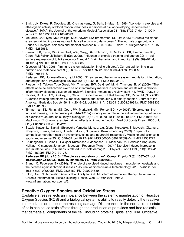- Smith, JK; Dykes, R; Douglas, JE; Krishnaswamy, G; Berk, S (May 12, 1999). "Long-term exercise and atherogenic activity of blood mononuclear cells in persons at risk of developing ischemic heart disease.". JAMA: the Journal of the American Medical Association 281 (18): 1722–7. doi:10.1001/ jama.281.18.1722. PMID 10328073.
- McFarlin, BK; Flynn, MG; Phillips, MD; Stewart, LK; Timmerman, KL (Oct 2005). "Chronic resistance exercise training improves natural killer cell activity in older women.". The journals of gerontology. Series A, Biological sciences and medical sciences 60 (10): 1315–8. doi:10.1093/gerona/60.10.1315. PMID 16282566.
- Stewart, LK; Flynn, MG; Campbell, WW; Craig, BA; Robinson, JP; McFarlin, BK; Timmerman, KL; Coen, PM; Felker, J; Talbert, E (Sep 2005). "Influence of exercise training and age on CD14+ cellsurface expression of toll-like receptor 2 and 4.". Brain, behavior, and immunity 19 (5): 389–97. doi: 10.1016/j.bbi.2005.04.003. PMID 15963685.
- Gleeson, M (Nov 2006). "Immune system adaptation in elite athletes.". Current opinion in clinical nutrition and metabolic care 9 (6): 659–65. doi:10.1097/01.mco.0000247476.02650.18. PMID 17053416.
- Pedersen, BK; Hoffman-Goetz, L (Jul 2000). "Exercise and the immune system: regulation, integration, and adaptation.". Physiological reviews 80 (3): 1055–81. PMID 10893431.
- Ploeger, HE; Takken, T; de Greef, MH; Timmons, BW; De Greef, M. H.; Timmons, B. W. (2009). "The effects of acute and chronic exercise on inflammatory markers in children and adults with a chronic inflammatory disease: a systematic review". Exercise immunology review 15: 6–41. PMID 19957870.
- Nicklas, BJ; Hsu, FC; Brinkley, TJ; Church, T; Goodpaster, BH; Kritchevsky, SB; Pahor, M (Nov 2008). "Exercise training and plasma C-reactive protein and interleukin-6 in elderly people.". Journal of the American Geriatrics Society 56 (11): 2045–52. doi:10.1111/j.1532-5415.2008.01994.x. PMC 2683336. PMID 19016938.
- Timmerman, KL; Flynn, MG; Coen, PM; Markofski, MM; Pence, BD (Nov 2008). "Exercise traininginduced lowering of inflammatory (CD14+CD16+) monocytes: a role in the anti-inflammatory influence of exercise?". Journal of leukocyte biology 84 (5): 1271–8. doi:10.1189/jlb.0408244. PMID 18664531.
- Mackinnon LT. Chronic exercise training effects on immune function. Med Sci Sports Exerc. 2000 Jul; 32 (7 Suppl):S369-76. Review.
- Suzuki, Katsuhiko; Nakaji, Shigeyuki; Yamada, Mutsuo; Liu, Qiang; Kurakake, Shigeyoshi; Okamura, Noriyoshi; Kumae, Takashi; Umeda, Takashi; Sugawara, Kazuo (February 2003). "Impact of a competitive marathon race on systemic cytokine and neutrophil responses". Medicine and science in sports and exercise 35 (2): 348–55. doi:10.1249/01.MSS.0000048861.57899.04. PMID 12569227.
- Bruunsgaard H, Galbo H, Halkjaer-Kristensen J, Johansen TL, MacLean DA, Pedersen BK; Galbo; Halkjaer-Kristensen; Johansen; MacLean; Pedersen (March 1997). "Exercise-induced increase in serum interleukin-6 in humans is related to muscle damage". J. Physiol. (Lond.) 499 (Pt 3): 833–41. PMC 1159298. PMID 9130176.
- **• Pedersen BK (July 2013). "Muscle as a secretory organ". Compr Physiol 3 (3): 1337–62. doi: 10.1002/cphy.c120033. ISBN 9780470650714. PMID 23897689.**
- Brandt, C; Pedersen, BK (2010). "The role of exercise-induced myokines in muscle homeostasis and the defense against chronic diseases.". Journal of biomedicine & biotechnology 2010: 520258. doi: 10.1155/2010/520258. PMC 2836182. PMID 20224659.
- Pilon, Brad. "Inflammation Affects Your Ability to Build Muscle." Inflammation Theory | Inflammation, Chronic Inflammation, Muscle Building, Health. Web. 27 Mar. 2011. http:// www.inflammationtheory.com/#2.

#### **Reactive Oxygen Species and Oxidative Stress**

Oxidative stress reflects an imbalance between the systemic manifestation of Reactive Oxygen Species (ROS) and a biological system's ability to readily detoxify the reactive intermediates or to repair the resulting damage. Disturbances in the normal redox state of cells can cause toxic effects through the production of peroxides and free radicals that damage all components of the cell, including proteins, lipids, and DNA. Oxidative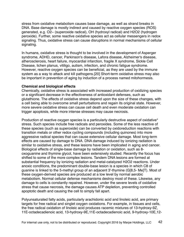stress from oxidative metabolism causes base damage, as well as strand breaks in DNA. Base damage is mostly indirect and caused by reactive oxygen species (ROS) generated, e.g. O2− (superoxide radical), OH (hydroxyl radical) and H2O2 (hydrogen peroxide). Further, some reactive oxidative species act as cellular messengers in redox signaling. Thus, oxidative stress can cause disruptions in normal mechanisms of cellular signaling.

In humans, oxidative stress is thought to be involved in the development of Asperger syndrome, ADHD, cancer, Parkinson's disease, Lafora disease, Alzheimer's disease, atherosclerosis, heart failure, myocardial infarction, fragile X syndrome, Sickle Cell Disease, lichen planus, vitiligo, autism, infection, and chronic fatigue syndrome. However, reactive oxygen species can be beneficial, as they are used by the immune system as a way to attack and kill pathogens.[20] Short-term oxidative stress may also be important in prevention of aging by induction of a process named mitohormesis.

#### **Chemical and biological effects**

Chemically, oxidative stress is associated with increased production of oxidizing species or a significant decrease in the effectiveness of antioxidant defenses, such as glutathione. The effects of oxidative stress depend upon the size of these changes, with a cell being able to overcome small perturbations and regain its original state. However, more severe oxidative stress can cause cell death and even moderate oxidation can trigger apoptosis, while more intense stresses may cause necrosis.

Production of reactive oxygen species is a particularly destructive aspect of oxidative<sup>\*</sup> stress. Such species include free radicals and peroxides. Some of the less reactive of these species (such as superoxide) can be converted by oxidoreduction reactions with transition metals or other redox cycling compounds (including quinones) into more aggressive radical species that can cause extensive cellular damage. Most long-term effects are caused by damage to DNA. DNA damage induced by ionizing radiation is similar to oxidative stress, and these lesions have been implicated in aging and cancer. Biological effects of single-base damage by radiation or oxidation, such as 8 oxoguanine and thymine glycol, have been extensively studied. Recently the focus has shifted to some of the more complex lesions. Tandem DNA lesions are formed at substantial frequency by ionizing radiation and metal-catalyzed H2O2 reactions. Under anoxic conditions, the predominant double-base lesion is a species in which C8 of guanine is linked to the 5-methyl group of an adjacent 3'-thymine (G[8,5- Me]T). Most of these oxygen-derived species are produced at a low level by normal aerobic metabolism. Normal cellular defense mechanisms destroy most of these. Likewise, any damage to cells is constantly repaired. However, under the severe levels of oxidative stress that cause necrosis, the damage causes ATP depletion, preventing controlled apoptotic death and causing the cell to simply fall apart.

Polyunsaturated fatty acids, particularly arachidonic acid and linoleic acid, are primary targets for free radical and singlet oxygen oxidations. For example, in tissues and cells, the free radical oxidation of linoleic acid produces racemic mixtures of 13-hydroxy-9Z, 11E-octadecadienoic acid, 13-hydroxy-9E,11E-octadecadienoic acid, 9-hydroxy-10E,12-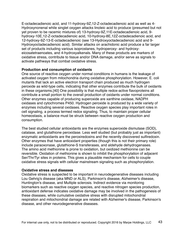E-octadecadienoic acid, and 11-hydroxy-9Z,12-Z-octadecadienoic acid as well as 4- Hydroxynonenal while singlet oxygen attacks linoleic acid to produce (presumed but not yet proven to be racemic mixtures of) 13-hydroxy-9Z,11E-octadecadienoic acid, 9 hydroxy-10E,12-Z-octadecadienoic acid, 10-hydroxy-8E,12Z-octadecadienoic acid, and 12-hydroxy-9Z-13-E-octadecadienoic (see 13-Hydroxyoctadecadienoic acid and 9- Hydroxyoctadecadienoic acid). Similar attacks on arachidonic acid produce a far larger set of products including various isoprostanes, hydroperoxy- and hydroxyeicosatetraenoates, and 4-hydroxyalkenals. Many of these products are markers of oxidative stress, contribute to tissue and/or DNA damage, and/or serve as signals to activate pathways that combat oxidative stress.

#### **Production and consumption of oxidants**

One source of reactive oxygen under normal conditions in humans is the leakage of activated oxygen from mitochondria during oxidative phosphorylation. However, E. coli mutants that lack an active electron transport chain produced as much hydrogen peroxide as wild-type cells, indicating that other enzymes contribute the bulk of oxidants in these organisms.[40] One possibility is that multiple redox-active flavoproteins all contribute a small portion to the overall production of oxidants under normal conditions. Other enzymes capable of producing superoxide are xanthine oxidase, NADPH oxidases and cytochromes P450. Hydrogen peroxide is produced by a wide variety of enzymes including several oxidases. Reactive oxygen species play important roles in cell signaling, a process termed redox signaling. Thus, to maintain proper cellular homeostasis, a balance must be struck between reactive oxygen production and consumption.

The best studied cellular antioxidants are the enzymes superoxide dismutase (SOD), catalase, and glutathione peroxidase. Less well studied (but probably just as important) enzymatic antioxidants are the peroxiredoxins and the recently discovered sulfiredoxin. Other enzymes that have antioxidant properties (though this is not their primary role) include paraoxonase, glutathione-S transferases, and aldehyde dehydrogenases. The amino acid methionine is prone to oxidation, but oxidized methionine can be reversible. Oxidation of methionine is shown to inhibit the phosphorylation of adjacent Ser/Thr/Tyr sites in proteins. This gives a plausible mechanism for cells to couple oxidative stress signals with cellular mainstream signaling such as phosphorylation.

#### **Oxidative stress and diseases**

Oxidative stress is suspected to be important in neurodegenerative diseases including Lou Gehrig's disease (aka MND or ALS), Parkinson's disease, Alzheimer's disease, Huntington's disease, and Multiple sclerosis. Indirect evidence via monitoring biomarkers such as reactive oxygen species, and reactive nitrogen species production, antioxidant defense indicates oxidative damage may be involved in the pathogenesis of these diseases, while cumulative oxidative stress with disrupted mitochondrial respiration and mitochondrial damage are related with Alzheimer's disease, Parkinson's disease, and other neurodegenerative diseases.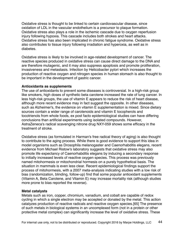Oxidative stress is thought to be linked to certain cardiovascular disease, since oxidation of LDL in the vascular endothelium is a precursor to plaque formation. Oxidative stress also plays a role in the ischemic cascade due to oxygen reperfusion injury following hypoxia. This cascade includes both strokes and heart attacks. Oxidative stress has also been implicated in chronic fatigue syndrome. Oxidative stress also contributes to tissue injury following irradiation and hyperoxia, as well as in diabetes.

Oxidative stress is likely to be involved in age-related development of cancer. The reactive species produced in oxidative stress can cause direct damage to the DNA and are therefore mutagenic, and it may also suppress apoptosis and promote proliferation, invasiveness and metastasis. Infection by Helicobacter pylori which increases the production of reactive oxygen and nitrogen species in human stomach is also thought to be important in the development of gastric cancer.

#### **Antioxidants as supplements**

The use of antioxidants to prevent some diseases is controversial. In a high-risk group like smokers, high doses of synthetic beta carotene increased the rate of lung cancer. In less high-risk groups, the use of vitamin E appears to reduce the risk of heart disease, although more recent evidence may in fact suggest the opposite. In other diseases, such as Alzheimer's, the evidence on vitamin E supplementation is mixed. Since dietary sources contain a wider range of carotenoids and vitamin E tocopherols and tocotrienols from whole foods, ex post facto epidemiological studies can have differing conclusions than artificial experiments using isolated compounds. However, AstraZeneca's radical scavenging nitrone drug NXY-059 shows some efficacy in the treatment of stroke.

Oxidative stress (as formulated in Harman's free radical theory of aging) is also thought to contribute to the aging process. While there is good evidence to support this idea in model organisms such as Drosophila melanogaster and Caenorhabditis elegans, recent evidence from Michael Ristow's laboratory suggests that oxidative stress may also promote life expectancy of Caenorhabditis elegans by inducing a secondary response to initially increased levels of reactive oxygen species. This process was previously named mitohormesis or mitochondrial hormesis on a purely hypothetical basis. The situation in mammals is even less clear. Recent epidemiological findings support the process of mitohormesis, with a 2007 meta-analysis indicating studies with a low risk of bias (randomization, blinding, follow-up) find that some popular antioxidant supplements (Vitamin A, Beta Carotene, and Vitamin E) may increase mortality risk (although studies more prone to bias reported the reverse).

#### **Metal catalysts**

Metals such as iron, copper, chromium, vanadium, and cobalt are capable of redox cycling in which a single electron may be accepted or donated by the metal. This action catalyzes production of reactive radicals and reactive oxygen species.[65] The presence of such metals in biological systems in an uncomplexed form (not in a protein or other protective metal complex) can significantly increase the level of oxidative stress. These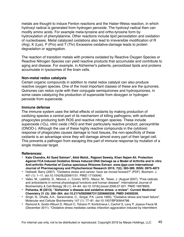metals are thought to induce Fenton reactions and the Haber-Weiss reaction, in which hydroxyl radical is generated from hydrogen peroxide. The hydroxyl radical then can modify amino acids. For example meta-tyrosine and ortho-tyrosine form by hydroxylation of phenylalanine. Other reactions include lipid peroxidation and oxidation of nucleobases. Metal catalyzed oxidations also lead to irreversible modification of R (Arg), K (Lys), P (Pro) and T (Thr) Excessive oxidative-damage leads to protein degradation or aggregation.

The reaction of transition metals with proteins oxidated by Reactive Oxygen Species or Reactive Nitrogen Species can yield reactive products that accumulate and contribute to aging and disease. For example, in Alzheimer's patients, peroxidized lipids and proteins accumulate in lysosomes of the brain cells.

#### **Non-metal redox catalysts**

Certain organic compounds in addition to metal redox catalyst can also produce reactive oxygen species. One of the most important classes of these are the quinones. Quinones can redox cycle with their conjugate semiquinones and hydroquinones, in some cases catalyzing the production of superoxide from dioxygen or hydrogen peroxide from superoxide.

#### **Immune defense**

The immune system uses the lethal effects of oxidants by making production of oxidizing species a central part of its mechanism of killing pathogens; with activated phagocytes producing both ROS and reactive nitrogen species. These include superoxide  $\cdot O_2$ ), nitric oxide  $\cdot \cdot NO$ ) and their particularly reactive product, peroxynitrite (ONOO-). Although the use of these highly reactive compounds in the cytotoxic response of phagocytes causes damage to host tissues, the non-specificity of these oxidants is an advantage since they will damage almost every part of their target cell. This prevents a pathogen from escaping this part of immune response by mutation of a single molecular target.

#### **References:**

- **• Kala Chandra, Ali Syed Salman\*, Abid Mohd., Rajpoot Sweety, Khan Najam Ali. Protection Against FCA Induced Oxidative Stress Induced DNA Damage as a Model of Arthritis and In vitro Anti-arthritic Potential of Costus speciosus Rhizome Extract. www.ijppr.com International Journal of Pharmacognosy and Phytochemical Research 2015; 7(2); 383-389. ISSN: 0975-4873**
- Halliwell, Barry (2007). "Oxidative stress and cancer: have we moved forward?" (PDF). Biochem. J. 401 (1): 1–11. doi:10.1042/BJ20061131. PMID 17150040.
- Valko, M., Leibfritz, D., Moncol, J., Cronin, MTD., Mazur, M., Telser, J. (August 2007). "Free radicals and antioxidants in normal physiological functions and human disease". International Journal of Biochemistry & Cell Biology 39 (1): 44–84. doi:10.1016/j.biocel.2006.07.001. PMID 16978905.
- **• Pohanka, M (2013). "Alzheimer´s disease and oxidative stress: a review". Current Medicinal Chemistry 21 (3): 356–364. doi:10.2174/09298673113206660258. PMID 24059239.**
- Singh, N., Dhalla, A.K., Seneviratne, C., Singal, P.K. (June 1995). "Oxidative stress and heart failure". Molecular and Cellular Biochemistry 147 (1): 77–81. doi:10.1007/BF00944786.
- Ramond A, Godin-Ribuot D, Ribuot C, Totoson P, Koritchneva I, Cachot S, Levy P, Joyeux-Faure M. (December 2011). "Oxidative stress mediates cardiac infarction aggravation induced by intermittent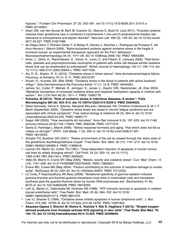hypoxia.". Fundam Clin Pharmacol. 27 (3): 252–261. doi:10.1111/j.1472-8206.2011.01015.x. PMID 22145601.

- Dean OM, van den Buuse M, Berk M, Copolov DL, Mavros C, Bush AI. (July 2011). "N-acetyl cysteine restores brain glutathione loss in combined 2-cyclohexene-1-one and D-amphetamine-treated rats: relevance to schizophrenia and bipolar disorder". Neurosci Lett. 499 (3): 149–53. doi:10.1016/j.neulet. 2011.05.027. PMID 21621586.
- de Diego-Otero Y, Romero-Zerbo Y, el Bekay R, Decara J, Sanchez L, Rodriguez-de Fonseca F, del Arco-Herrera I. (March 2009). "Alpha-tocopherol protects against oxidative stress in the fragile X knockout mouse: an experimental therapeutic approach for the Fmr1 deficiency.". Neuropsychopharmacology 34 (4): 1011–26. doi:10.1038/npp.2008.152. PMID 18843266.
- Amer, J., Ghoti, H., Rachmilewitz, E., Koren, A., Levin, C. and Fibach, E. (January 2006). "Red blood cells, platelets and polymorphonuclear neutrophils of patients with sickle cell disease exhibit oxidative stress that can be ameliorated by antioxidants". British Journal of Haematology 132 (1): 108–113. doi: 10.1111/j.1365-2141.2005.05834.x. PMID 16371026.
- Aly, D. G.; Shahin, R. S. (2010). "Oxidative stress in lichen planus". Acta dermatovenerologica Alpina, Panonica, et Adriatica 19 (1): 3–11. PMID 20372767.
- Arican, O.; Kurutas, EB. (Mar 2008). "Oxidative stress in the blood of patients with active localized vitiligo.". Acta Dermatovenerol Alp Panonica Adriat 17 (1): 12–6. PMID 18454264.
- James, SJ.; Cutler, P.; Melnyk, S.; Jernigan, S.; Janak, L.; Gaylor, DW.; Neubrander, JA. (Dec 2004). "Metabolic biomarkers of increased oxidative stress and impaired methylation capacity in children with autism.". Am J Clin Nutr 80 (6): 1611–7. PMID 15585776.
- **• Pohanka, M (2013). "Role of oxidative stress in infectious diseases. A review.". Folia Microbiologica 584 (6): 503–513. doi:10.1007/s12223-013-0239-5. PMID 23504625.**
- Gwen Kennedy, Vance A. Spence, Margaret McLaren, Alexander Hill, Christine Underwood & Jill J. F. Belch (September 2005). "Oxidative stress levels are raised in chronic fatigue syndrome and are associated with clinical symptoms". Free radical biology & medicine 39 (5): 584–9. doi:10.1016/ j.freeradbiomed.2005.04.020. PMID 16085177.
- Segal, AW (2005). "How neutrophils kill microbes". Annu Rev Immunol 9 (5): 197–223. doi:10.1146/ annurev.immunol.23.021704.115653. PMC 2092448. PMID 15771570.
- Gems D, Partridge L (March 2008). "Stress-response hormesis and aging: "that which does not kill us makes us stronger"" (PDF). Cell Metab. 7 (3): 200–3. doi:10.1016/j.cmet.2008.01.001. PMID 18316025.
- Schafer FQ, Buettner GR (2001). "Redox environment of the cell as viewed through the redox state of the glutathione disulfide/glutathione couple". Free Radic. Biol. Med. 30 (11): 1191–212. doi:10.1016/ S0891-5849(01)00480-4. PMID 11368918.
- Lennon SV, Martin SJ, Cotter TG (1991). "Dose-dependent induction of apoptosis in human tumour cell lines by widely diverging stimuli". Cell Prolif. 24 (2): 203–14. doi:10.1111/j. 1365-2184.1991.tb01150.x. PMID 2009322.
- Valko M, Morris H, Cronin MT (May 2005). "Metals, toxicity and oxidative stress". Curr. Med. Chem. 12 (10): 1161–208. doi:10.2174/0929867053764635. PMID 15892631.
- Evans MD, Cooke MS (May 2004). "Factors contributing to the outcome of oxidative damage to nucleic acids". BioEssays 26 (5): 533–42. doi:10.1002/bies.20027. PMID 15112233.
- LC Colis, P Raychaudhury, AK Basu (2008). "Mutational specificity of gamma-radiation-induced guanine-thymine and thymine-guanine intrastrand cross-links in mammalian cells and translesion synthesis past the guanine-thymine lesion by human DNA polymerase eta". Biochemistry 47 (6): 8070–9. doi:10.1021/bi800529f. PMID 18616294.
- Lelli JL, Becks LL, Dabrowska MI, Hinshaw DB (1998). "ATP converts necrosis to apoptosis in oxidantinjured endothelial cells". Free Radic. Biol. Med. 25 (6): 694–702. doi:10.1016/ S0891-5849(98)00107-5. PMID 9801070.
- Lee YJ, Shacter E (1999). "Oxidative stress inhibits apoptosis in human lymphoma cells". J. Biol. Chem. 274 (28): 19792–8. doi:10.1074/jbc.274.28.19792. PMID 10391922.
- **• Akazawa-Ogawa Y, Shichiri M, Nishio K, Yoshida Y, Niki E, Hagihara Y (2015). "Singlet-oxygenderived products from linoleate activate Nrf2 signaling in skin cells". Free Radic Biol Med. 79: 164–75. doi:10.1016/j.freeradbiomed.2014.12.004. PMID 25499849.**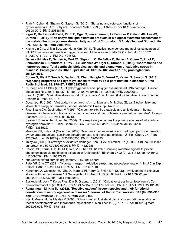- Riahi Y, Cohen G, Shamni O, Sasson S. (2010). "Signaling and cytotoxic functions of 4 hydroxyalkenals". Am J Physiol Endocrinol Metab. 299 (6): E879–86. doi:10.1152/ajpendo. 00508.2010. PMID 20858748.
- **• Vigor C, Bertrand-Michel J, Pinot E, Oger C, Vercauteren J, Le Faouder P, Galano JM, Lee JC, Durand T (2014). "Non-enzymatic lipid oxidation products in biological systems: assessment of the metabolites from polyunsaturated fatty acids". J Chromatogr B Analyt Technol Biomed Life Sci. 964: 65–78. PMID 24856297.**
- Kyung-Jin Cho, Ji-Min Seo, Jae-Hong Kim (2011). "Bioactive lipoxygenase metabolites stimulation of NADPH oxidases and reactive oxygen species". Molecules and Cells 32 (1): 1–5. doi:10.1007/ s10059-011-1021-7. PMID 21424583.
- **• Galano JM, Mas E, Barden A, Mori TA, Signorini C, De Felice C, Barrett A, Opere C, Pinot E, Schwedhelm E, Benndorf R, Roy J, Le Guennec JY, Oger C, Durand T. (2013). "Isoprostanes and neuroprostanes: Total synthesis, biological activity and biomarkers of oxidative stress in humans". Prostaglandins Other Lipid Mediat. 107: 95–102. doi:10.1016/j.prostaglandins. 2013.04.003.**
- **• Cohen G, Riahi Y, Sunda V, Deplano S, Chatgilialoglu C, Ferreri C, Kaiser N, Sasson S. (2013). "Signaling properties of 4-hydroxyalkenals formed by lipid peroxidation in diabetes". Free Radic Biol Med. 65: 978–87. PMID 23973638.**
- N Speed and I A Blair (2011). "Cyclooxygenase- and lipoxygenase-mediated DNA damage". Cancer Metastasis Rev. 30 (3-4): 437–47. doi:10.1007/s10555-011-9298-8. PMID 22009064.
- Sies, H. (1985). "Oxidative stress: introductory remarks". In H. Sies, (Ed.). Oxidative Stress. London: Academic Press. pp. 1–7.
- Docampo, R. (1995). "Antioxidant mechanisms". In J. Marr and M. Müller, (Eds.). Biochemistry and Molecular Biology of Parasites. London: Academic Press. pp. 147–160.
- Rice-Evans CA, Gopinathan V (1995). "Oxygen toxicity, free radicals and antioxidants in human disease: biochemical implications in atherosclerosis and the problems of premature neonates". Essays Biochem. 29: 39–63. PMID 9189713.
- Seaver LC, Imlay JA (November 2004). "Are respiratory enzymes the primary sources of intracellular hydrogen peroxide?". J. Biol. Chem. 279 (47): 48742–50. doi:10.1074/jbc.M408754200. PMID 15361522.
- Messner KR, Imlay JA (November 2002). "Mechanism of superoxide and hydrogen peroxide formation by fumarate reductase, succinate dehydrogenase, and aspartate oxidase". J. Biol. Chem. 277 (45): 42563–71. doi:10.1074/jbc.M204958200. PMID 12200425.
- Imlay JA (2003). "Pathways of oxidative damage". Annu. Rev. Microbiol. 57 (1): 395–418. doi:10.1146/ annurev.micro.57.030502.090938. PMID 14527285.
- Hardin, SC; Larue, CT; Oh, MH; Jain, V; Huber, SC (2009). "Coupling oxidative signals to protein phosphorylation via methionine oxidation in Arabidopsis". Biochem J 422 (2): 305–312. doi:10.1042/ BJ20090764. PMID 19527223.
- <http://brain.oxfordjournals.org/content/134/7/1914.short>
- Patel VP, Chu CT. (2011). "Nuclear transport, oxidative stress, and neurodegeneration.". Int J Clin Exp Pathol. 4 (3): 215–29. PMC 3071655. PMID 21487518.
- Nunomura A, Castellani RJ, Zhu X, Moreira PI, Perry G, Smith MA. (2005). "Involvement of oxidative stress in Alzheimer disease.". J Neuropathol Exp Neurol. 65 (7): 631–41. doi:10.1097/01.jnen. 0000228136.58062.bf. PMID 16825950.
- Bošković M, Vovk T, Kores Plesničar B, Grabnar I. (2011). "Oxidative stress in schizophrenia". Curr Neuropharmacol. 9 (2): 301–12. doi:10.2174/157015911795596595. PMC 3131721. PMID 22131939.
- **• Ramalingam M, Kim SJ. (2012). "Reactive oxygen/nitrogen species and their functional correlations in neurodegenerative diseases". Journal of Neural Transmission 119 (8): 891–910. doi:10.1007/s00702-011-0758-7. PMID 22212484.**
- Nijs J, Meeus M, De Meirleir K (2006). "Chronic musculoskeletal pain in chronic fatigue syndrome: recent developments and therapeutic implications.". Man Ther 11 (3): 187–91. doi:10.1016/j.math. 2006.03.008. PMID 16781183.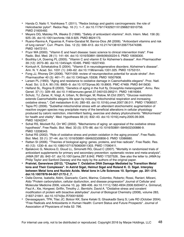- Handa O, Naito Y, Yoshikawa T. (2011). "Redox biology and gastric carcinogenesis: the role of Helicobacter pylori". Redox Rep. 16 (1): 1–7. doi:10.1179/174329211X12968219310756. PMID 21605492.
- Meyers DG, Maloley PA, Weeks D (1996). "Safety of antioxidant vitamins". Arch. Intern. Med. 156 (9): 925–35. doi:10.1001/archinte.156.9.925. PMID 8624173.
- Ruano-Ravina A, Figueiras A, Freire-Garabal M, Barros-Dios JM (2006). "Antioxidant vitamins and risk of lung cancer". Curr. Pharm. Des. 12 (5): 599–613. doi:10.2174/138161206775474396. PMID 16472151.
- Pryor WA (2000). "Vitamin E and heart disease: basic science to clinical intervention trials". Free Radic. Biol. Med. 28 (1): 141–64. doi:10.1016/S0891-5849(99)00224-5. PMID 10656300.
- Boothby LA, Doering PL (2005). "Vitamin C and vitamin E for Alzheimer's disease". Ann Pharmacother 39 (12): 2073–80. doi:10.1345/aph.1E495. PMID 16227450.
- Kontush K, Schekatolina S (2004). "Vitamin E in neurodegenerative disorders: Alzheimer's disease". Ann. N. Y. Acad. Sci. 1031 (1): 249–62. doi:10.1196/annals.1331.025. PMID 15753151.
- Fong JJ, Rhoney DH (2006). "NXY-059: review of neuroprotective potential for acute stroke". Ann Pharmacother 40 (3): 461–71. doi:10.1345/aph.1E636. PMID 16507608.
- Larsen PL (1993). "Aging and resistance to oxidative damage in Caenorhabditis elegans". Proc. Natl. Acad. Sci. U.S.A. 90 (19): 8905–9. doi:10.1073/pnas.90.19.8905. PMC 47469. PMID 8415630.
- Helfand SL, Rogina B (2003). "Genetics of aging in the fruit fly, Drosophila melanogaster". Annu. Rev. Genet. 37 (1): 329–48. doi:10.1146/annurev.genet.37.040103.095211. PMID 14616064.
- Schulz, TJ; Zarse, K; Voigt, A; Urban, N; Birringer, M; Ristow, M (Oct 2007). "Glucose restriction extends Caenorhabditis elegans life span by inducing mitochondrial respiration and increasing oxidative stress.". Cell metabolism 6 (4): 280–93. doi:10.1016/j.cmet.2007.08.011. PMID 17908557.
- Tapia PC (2006). "Sublethal mitochondrial stress with an attendant stoichiometric augmentation of reactive oxygen species may precipitate many of the beneficial alterations in cellular physiology produced by caloric restriction, intermittent fasting, exercise and dietary phytonutrients: "Mitohormesis" for health and vitality". Med. Hypotheses 66 (4): 832–43. doi:10.1016/j.mehy.2005.09.009. PMID 16242247.
- Sohal RS, Mockett RJ, Orr WC (2002). "Mechanisms of aging: an appraisal of the oxidative stress hypothesis". Free Radic. Biol. Med. 33 (5): 575–86. doi:10.1016/S0891-5849(02)00886-9. PMID 12208343.
- Sohal RS (2002). "Role of oxidative stress and protein oxidation in the aging process". Free Radic. Biol. Med. 33 (1): 37–44. doi:10.1016/S0891-5849(02)00856-0. PMID 12086680.
- Rattan SI (2006). "Theories of biological aging: genes, proteins, and free radicals". Free Radic. Res. 40 (12): 1230–8. doi:10.1080/10715760600911303. PMID 17090411.
- Bjelakovic G, Nikolova D, Gluud LL, Simonetti RG, Gluud C (2007). "Mortality in randomized trials of antioxidant supplements for primary and secondary prevention: systematic review and meta-analysis". JAMA 297 (8): 842–57. doi:10.1001/jama.297.8.842. PMID 17327526.. See also the letter to JAMA by Philip Taylor and Sanford Dawsey and the reply by the authors of the original paper.
- **• Pratviel, Genevieve (2012). "Chapter 7. Oxidative DNA Damage Mediated by Transition Metal Ions and Their Complexes". In Astrid Sigel, Helmut Sigel and Roland K. O. Sigel. Interplay between Metal Ions and Nucleic Acids. Metal Ions in Life Sciences 10. Springer. pp. 201–216. doi:10.1007/978-94-007-2172-2\_7.**
- Dalle-Donne, Isabella; Aldini, Giancarlo; Carini, Marina; Colombo, Roberto; Rossi, Ranieri; Milzani, Aldo "Protein carbonylation, cellular dysfunction, and disease progression" Journal of Cellular and Molecular Medicine 2006, volume 10, pp. 389-406. doi:10.1111/j.1582-4934.2006.tb00407.x. Grimsrud, Paul A.; Xie, Hongwei; Griffin, Timothy J.; Bernlohr, David A. "Oxidative stress and covalent modification of protein with bioactive aldehydes" Journal of Biological Chemistry (2008), volume 283, 21837-21841. doi:10.1074/jbc.R700019200
- Devasagayam, TPA; Tilac JC; Boloor KK; Sane Ketaki S; Ghaskadbi Saroj S; Lele RD (October 2004). "Free Radicals and Antioxidants in Human Health: Current Status and Future Prospects". Journal of Association of Physicians of India 52: 796.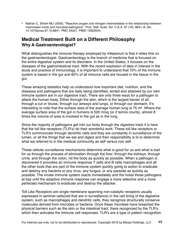• Nathan C, Shiloh MU (2000). "Reactive oxygen and nitrogen intermediates in the relationship between mammalian hosts and microbial pathogens". Proc. Natl. Acad. Sci. U.S.A. 97 (16): 8841–8. doi: 10.1073/pnas.97.16.8841. PMC 34021. PMID 10922044.

## **Medical Treatment Built on a Different Philosophy Why A Gastroenterologist?**

What distinguishes the immune therapy employed by Infeperium is that it relies first on the gastroenterologist. Gastroenterology is the branch of medicine that is focused on the entire digestive system and its disorders. In the United States, it focuses on the diseases of the gastrointestinal tract. With the recent explosion of data in interest in the study and practice of immunology, it is important to understand that 70% of the immune system is based in the gut and 60% of all immune cells are housed in the tissue in the gut.

These amazing statistics help us understand how important diet, nutrition, and the diseases and pathogens that are daily being identified, sorted and attacked by our own immune system are in our digestive tract. There are only three ways for a pathogen to attack the human body. Either through the skin, which is the largest barrier of all, through a cut or bruise, through our airways and lungs, or through our stomach. It's interesting to note that the surface area of the average human lung is 75 m². Where the average surface area of the gut in humans is 520 m/sq (or 2 tennis courts), almost 8 times the volume of area is involved in the gut as in the lung.

Since the majority of pathogens get into our body through the digestive track it is here that the toll like receptors (TLR's) do their wonderful work. These toll like receptors or TLR's communicate through dendritic cells and they are constantly in surveillance of the lumen, or all the things that we eat and digest and their responsibility is to to determine what we referred to in the medical community as self versus non self.

These cellular surveillance mechanisms determine what is good for us and what is bad for us through the process of elimination through the liver, through the kidneys, through urine, and through the colon, rid the body as quickly as possible. When a pathogen is discovered it provokes an immune response T cells and B cells macrophages and all the other tools that are part of the immune system quickly going to action to eradicate and destroy any bacteria or any virus, any fungus, or any parasite as quickly as possible. The innate immune system reacts immediately and the holds those pathogens at bay until the adaptive immune response can engage a more selective and a more perfected mechanism to eradicate and destroy the attacker.

Toll Like Receptors are single membrane spanning non-catalytic receptors usually expressed in sentinel cells(cell that are in surveillance) in the cell lining of the digestive system, such as macrophages and dendritic cells, they recognize structurally conserve molecules derived from microbes or bacteria. Once these microbes have breached the physical barriers such as the skin or the intestinal tract, there recognized by the TLR's which then activates the immune cell responses. TLR's are a type of pattern recognition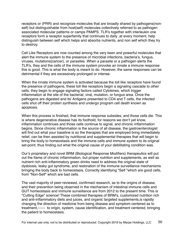receptors or (PRR) and recognize molecules that are broadly shared by pathogens(nonself) but distinguishable from host(self) molecules collectively referred to as pathogen associated molecular patterns or camps PAMPS. TLR's together with interleukin one receptors form a receptor superfamily that continues to daily ,at every moment, help distinguish between self which helps and absorbs nutrients, and non self which they try to destroy.

Cell Like Receptors are now counted among the very keen and powerful molecules that alert the immune system to the presence of microbial infections, bacteria's, fungus, viruses, mutations(cancer), or parasites .When a parasite or a pathogen alerts the TLR's, they and the cells of the immune system provoke an innate a immune response this is good. This is what the body is meant to do. However, the same responses can be detrimental if they are excessively prolonged or intense.

When the innate immune system is activated because the toll like receptors have found the presence of pathogens, these toll like receptors begin a signaling cascade to other cells, they begin to engage signaling factors called Cytokines, which trigger inflammation at the site of the bacterial, viral, mutation, or fungus area. Once the pathogens are digested and its' Antigens presented to CD4 and T cells, the infected cells shut off their protein synthesis and undergo program cell death known as apoptosis.

When this process is finished, that immune response subsides, and those cells die. This is where degenerative disease has its foothold, for reasons we don't yet know, inflammation continues and those cells continue to signal, and chronic inflammation begins. Since chronic inflammation is the source of all disease, the gastroenterologist will find out what your baseline is so the therapies that are employed bring immediately relief, can be then assisted by nutritional and supplemental therapies that will begin to bring the body to homeostasis and the immune cells and immune system to its original set-point, thus finding out what the original cause of your debilitating condition was.

Our's proprietary and novel BRM (Biological Response Modifiers) therapeutics will put out the flame of chronic inflammation, but proper nutrition and supplements, as well as nutrient rich anti-inflammatory green drinks need to address the original state of dysbiosis, leaky gut syndrome, and restoration of the immune surveillance mechanisms bringing the body back to homeostasis. Correctly identifying "Self "which are good cells, from "Non-Self" which are bad cells.

The vast majority of peer-reviewed, confirmed research, as to the origins of disease, and their prevention being observed in the mechanism of intestinal immune cells and GUT homeostasis and immune surveillance are from 2012 to the present time. This is "Cutting Edge" science! These combined therapies of BRM's, customized nutrition rich and anti-inflammatory diets and juices, and organic targeted supplements,is rapidly changing the direction of medicine from being disease and symptom centered as to treatment,------ to origin, system, cause identification, and treatment centered, bringing the patient to homeostasis.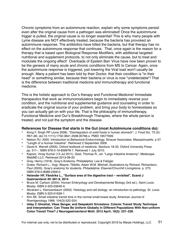Chronic symptoms from an autoimmune reaction, explain why some symptoms persist even after the original cause from a pathogen was eliminated! Once the autoimmune trigger is pulled, the original cause is no longer essential! This is why many people with Lyme disease are NOT effectively treated, because the bacteria has provoked an autoimmune response. The antibiotics have killed the bacteria, but that therapy has no effect on the autoimmune response that continues. That, once again is the reason for a therapy that is based upon Biological Response Modifiers, with additional targeted nutritional and supplement protocols, to not only eliminate the cause, but to treat and modulate the ongoing effect! Overloads of Epstein Barr Virus have now been proven to be the genesis of many acute and chronic conditions from MS to Cancer. Again, once the autoimmune response is triggered, just lowering the Viral load won't usually be enough. Many a patient has been told by their Doctor, that their condition is "in their head" or something similar, because their bacteria or virus is now "undetectable"! That is the difference between traditional medicine and immunotherapy and functional medicine.

This is the holistic approach to Our's therapy and Functional Medicine! Immediate therapeutics that work as immunomodulators begin to immediately reverse your condition, and the nutritional and supplemental guidance and counseling in order to eradicate the original source of your problem, and bring your body to homeostasis so you can actually get on with your life. That is the philosophy of immunotherapy, Functional Medicine and Our's Breakthrough Therapies, where the whole person is treated, and not just the symptom and the disease.

#### **References for Disease that starts in the Gut (most AutoImmune conditions do):**

- **•** Kong F, Singh RP (June 2008). "Disintegration of solid foods in human stomach". J. Food Sci. 73 (5): R67–80. doi:10.1111/j.1750-3841.2008.00766.x. PMID 18577009.
- **•** Nelson RJ. 2005. Introduction to Behavioral Endocrinology. Sinauer Associates: Massachusetts. p 57.
- **•** "Length of a Human Intestine". Retrieved 2 September 2009.
- **•** David A. Warrell (2005). Oxford textbook of medicine: Sections 18-33. Oxford University Press. pp. 511–. ISBN 978-0-19-856978-7. Retrieved 1 July 2010.
- **•** Kapoor, Vinay Kumar (13 Jul 2011). Gest, Thomas R., ed. "Large Intestine Anatomy". Medscape. WebMD LLC. Retrieved 2013-08-20.
- **•** Gray, Henry (1918). Gray's Anatomy. Philadelphia: Lea & Febiger.
- **•** Drake, Richard L.; Vogl, Wayne; Tibbitts, Adam W.M. Mitchell; illustrations by Richard; Richardson, Paul (2005). Gray's anatomy for students. Philadelphia: Elsevier/Churchill Livingstone. p. 273. ISBN 978-0-8089-2306-0.
- **• Helander HF, Fändriks L., "Surface area of the digestive tract revisited", Scand J Gastroenterol 49: 681-9, 2014**
- **•** Bruce M. Carlson (2004). Human Embryology and Developmental Biology (3rd ed.). Saint Louis: Mosby. ISBN 0-323-03649-X.
- **•** Abraham L. Kierszenbaum (2002). Histology and cell biology: an introduction to pathology. St. Louis: Mosby. ISBN 0-323-01639-1.
- **•** Kim SK. Small intestine transit time in the normal small bowel study. American Journal of Roentgenology 1968; 104(3):522-524.
- **• Uday C Ghoshal, Vikas Sengar, and Deepakshi Srivastava. Colonic Transit Study Technique and Interpretation: Can These Be Uniform Globally in Different Populations With Non-uniform Colon Transit Time? J Neurogastroenterol Motil. 2012 April; 18(2): 227–228.**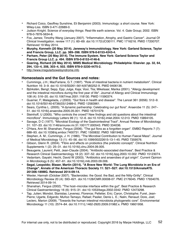- **•** Richard Coico, Geoffrey Sunshine, Eli Benjamini (2003). Immunology: a short course. New York: Wiley-Liss. ISBN 0-471-22689-0.
- **•** Judson Knight. Science of everyday things: Real-life earth science. Vol. 4. Gale Group; 2002. ISBN 978-0-7876-5634-8.
- **•** Fox, James; Timothy Wang (January 2007). "Inflammation, Atrophy, and Gastric Cancer". Journal Of Clinical Investigation. review 117 (1): 60–69. doi:10.1172/JCI30111. PMC 1716216. PMID 17200707. Retrieved 19 May 2014.
- **• Murphy, Kenneth (20 May 2014). Janeway's Immunobiology. New York: Garland Science, Taylor and Francis Group, LLC. pp. 389–398. ISBN 978-0-8153-4243-4.**
- **• Parham, Peter (20 May 2014). The Immune System. New York: Garland Science Taylor and Francis Group LLC. p. 494. ISBN 978-0-8153-4146-8.**
- **• Goering, Richard (20 May 2014). MIMS Medical Microbiology. Philadelphia: Elsevier. pp. 32, 64, 294, 133–4, 208, 303–4, 502. ISBN 978-0-3230-4475-2.**
- <http://www.irregularbowelsyndrome.info>

#### **Homeostasis and the Gut Sources and notes:**

- **•** Cummings, J.H.; MacFarlane, G.T. (1997). "Role of intestinal bacteria in nutrient metabolism". Clinical Nutrition 16: 3–9. doi:10.1016/S0261-5614(97)80252-X. PMID 9406136.
- **•** Björkstén, Bengt; Sepp, Epp; Julge, Kaja; Voor, Tiia; Mikelsaar, Marika (2001). "Allergy development and the intestinal microflora during the first year of life". Journal of Allergy and Clinical Immunology 108 (4): 516–20. doi:10.1067/mai.2001.118130. PMID 11590374.
- **•** Guarner, F; Malagelada, J (2003). "Gut flora in health and disease". The Lancet 361 (9356): 512–9. doi:10.1016/S0140-6736(03)12489-0. PMID 12583961.
- **•** Sears, Cynthia L. (2005). "A dynamic partnership: Celebrating our gut flora". Anaerobe 11 (5): 247– 51. doi:10.1016/j.anaerobe.2005.05.001. PMID 16701579.
- **•** Steinhoff, U (2005). "Who controls the crowd? New findings and old questions about the intestinal microflora". Immunology Letters 99 (1): 12–6. doi:10.1016/j.imlet.2004.12.013. PMID 15894105.
- **•** Savage, D C (1977). "Microbial Ecology of the Gastrointestinal Tract". Annual Review of Microbiology 31: 107–33. doi:10.1146/annurev.mi.31.100177.000543. PMID 334036.
- **•** O'Hara, Ann M; Shanahan, Fergus (2006). "The gut flora as a forgotten organ". EMBO Reports 7 (7): 688–93. doi:10.1038/sj.embor.7400731. PMC 1500832. PMID 16819463.
- **•** Stephen, A. M.; Cummings, J. H. (1980). "The Microbial Contribution to Human Faecal Mass". Journal of Medical Microbiology 13 (1): 45–56. doi:10.1099/00222615-13-1-45. PMID 7359576.
- **•** Gibson, Glenn R. (2004). "Fibre and effects on probiotics (the prebiotic concept)". Clinical Nutrition Supplements 1 (2): 25–31. doi:10.1016/j.clnu.2004.09.005.
- **•** Beaugerie, Laurent; Petit, Jean-Claude (2004). "Antibiotic-associated diarrhoea". Best Practice & Research Clinical Gastroenterology 18 (2): 337–52. doi:10.1016/j.bpg.2003.10.002. PMID 15123074.
- **•** Vedantam, Gayatri; Hecht, David W (2003). "Antibiotics and anaerobes of gut origin". Current Opinion in Microbiology 6 (5): 457–61. doi:10.1016/j.mib.2003.09.006.
- **• Segal, Leopoldo; Blaser, Martin (2014). "A Brave New World: The Lung Microbiota in an Era of Change". Annals of the American Thoracic Society 11: S21–S27. doi:10.1513/AnnalsATS. 201306-189MG. Retrieved 2014-09-14.**
- **•** Wexler, Hannah (October 2007). "Bacteroides: the Good. the Bad, and the Nitty-Gritty". Clinical Microbiology Review 20 (4): 593–621. doi:10.1128/CMR.00008-07. PMC 2176045. PMID 17934076. Retrieved 2014-09-14.
- **•** Shanahan, Fergus (2002). "The host–microbe interface within the gut". Best Practice & Research Clinical Gastroenterology 16 (6): 915–31. doi:10.1053/bega.2002.0342. PMID 12473298.
- **•** Tap, Julien; Mondot, Stanislas; Levenez, Florence; Pelletier, Eric; Caron, Christophe; Furet, Jean-Pierre; Ugarte, Edgardo; Muñoz-Tamayo, Rafael; Paslier, Denis L. E.; Nalin, Renaud; Dore, Joel; Leclerc, Marion (2009). "Towards the human intestinal microbiota phylogenetic core". Environmental Microbiology 11 (10): 2574–84. doi:10.1111/j.1462-2920.2009.01982.x. PMID 19601958.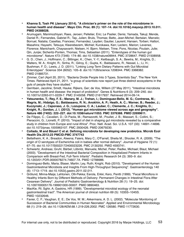- **• Khanna S, Tosh PK (January 2014). "A clinician's primer on the role of the microbiome in human health and disease". Mayo Clin. Proc. 89 (1): 107–14. doi:10.1016/j.mayocp.2013.10.011. PMID 24388028.**
- **•** Arumugam, Manimozhiyan; Raes, Jeroen; Pelletier, Eric; Le Paslier, Denis; Yamada, Takuji; Mende, Daniel R.; Fernandes, Gabriel R.; Tap, Julien; Bruls, Thomas; Batto, Jean-Michel; Bertalan, Marcelo; Borruel, Natalia; Casellas, Francesc; Fernandez, Leyden; Gautier, Laurent; Hansen, Torben; Hattori, Masahira; Hayashi, Tetsuya; Kleerebezem, Michiel; Kurokawa, Ken; Leclerc, Marion; Levenez, Florence; Manichanh, Chaysavanh; Nielsen, H. Bjørn; Nielsen, Trine; Pons, Nicolas; Poulain, Julie; Qin, Junjie; Sicheritz-Ponten, Thomas; Tims, Sebastian (2011). "Enterotypes of the human gut microbiome". Nature 473 (7346): 174–80. doi:10.1038/nature09944. PMC 3728647. PMID 21508958.
- **•** G. D.; Chen, J.; Hoffmann, C.; Bittinger, K.; Chen, Y.-Y.; Keilbaugh, S. A.; Bewtra, M.; Knights, D.; Walters, W. A.; Knight, R.; Sinha, R.; Gilroy, E.; Gupta, K.; Baldassano, R.; Nessel, L.; Li, H.; Bushman, F. D.; Lewis, J. D. (2011). "Linking Long-Term Dietary Patterns with Gut Microbial Enterotypes". Science 334 (6052): 105–8. doi:10.1126/science.1208344. PMC 3368382. PMID 21885731.
- **•** Zimmer, Carl (April 20, 2011). "Bacteria Divide People Into 3 Types, Scientists Say". The New York Times. Retrieved April 21, 2011. "a group of scientists now report just three distinct ecosystems in the guts of people they have studied."
- **•** Gerritsen, Jacoline; Smidt, Hauke; Rijkers, Ger; de Vos, Willem (27 May 2011). "Intestinal microbiota in human health and disease: the impact of probiotics". Genes & Nutritions 6 (3): 209–240. doi: 10.1007/s12263-011-0229-7. PMC 3145058. PMID 21617937. Retrieved 2014-09-14.
- **• Yatsunenko, T.; Rey, F. E.; Manary, M. J.; Trehan, I.; Dominguez-Bello, M. G.; Contreras, M.; Magris, M.; Hidalgo, G.; Baldassano, R. N.; Anokhin, A. P.; Heath, A. C.; Warner, B.; Reeder, J.; Kuczynski, J.; Caporaso, J. G.; Lozupone, C. A.; Lauber, C.; Clemente, J. C.; Knights, D.; Knight, R.; Gordon, J. I. (2012). "Human gut microbiome viewed across age and geography". Nature 486 (7402): 222–227. doi:10.1038/nature11053. PMC 3376388. PMID 22699611.**
- **•** De Filippo, C.; Cavalieri, D.; Di Paola, M.; Ramazzotti, M.; Poullet, J. B.; Massart, S.; Collini, S.; Pieraccini, G.; Lionetti, P. (2010). "Impact of diet in shaping gut microbiota revealed by a comparative study in children from Europe and rural Africa". Proc. Natl. Acad. Sci. U.S.A. 107 (33): 14691–14696. doi:10.1073/pnas.1005963107. PMC 2930426. PMID 20679230.
- **• Collado, M and Bӓuerl C et al. Defining microbiota for developing new probiotics. Microb Ecol Health Dis.2012;23 PMCID:PMC 3747743**
- **•** Bettelheim, K. A.; Breadon, Alwena; Faiers, Mary C.; O'Farrell, Sheila M.; Shooter, R. A. (2009). "The origin of O serotypes of Escherichia coli in babies after normal delivery". Journal of Hygiene 72 (1): 67–70. doi:10.1017/S0022172400023226. PMC 2130250. PMID 4593741.
- **•** Schwiertz, Andreas; Gruhl, Bärbel; Löbnitz, Manuela; Michel, Peter; Radke, Michael; Blaut, Michael (2003). "Development of the Intestinal Bacterial Composition in Hospitalized Preterm Infants in Comparison with Breast-Fed, Full-Term Infants". Pediatric Research 54 (3): 393–9. doi: 10.1203/01.PDR.0000078274.74607.7A. PMID 12788986.
- **•** Dominguez-Bello, Maria; Blaser, Martin; Ley, Ruth; Knight, Rob (2010). "Development of the Human Gastrointestinal Microbiota and Insights From High-Throughput Sequencing". Gastroenterology 140 (6): 1713–1719. doi:10.1053/j.gastro.2011.02.011.
- **•** Grölund, Minna-Maija; Lehtonen, Olli-Pekka; Eerola, Erkki; Kero, Pentti (1999). "Fecal Microflora in Healthy Infants Born by Different Methods of Delivery: Permanent Changes in Intestinal Flora After Cesarean Delivery". Journal of Pediatric Gastroenterology & Nutrition 28 (1): 19–25. doi: 10.1097/00005176-199901000-00007. PMID 9890463.
- **•** MacKie, RI; Sghir, A; Gaskins, HR (1999). "Developmental microbial ecology of the neonatal gastrointestinal tract". The American journal of clinical nutrition 69 (5): 1035S–1045S. PMID 10232646.
- **•** Favier, C. F.; Vaughan, E. E.; De Vos, W. M.; Akkermans, A. D. L. (2002). "Molecular Monitoring of Succession of Bacterial Communities in Human Neonates". Applied and Environmental Microbiology 68 (1): 219–26. doi:10.1128/AEM.68.1.219-226.2002. PMC 126580. PMID 11772630.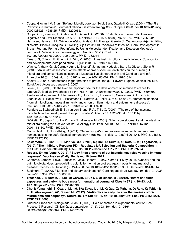- **•** Coppa, Giovanni V; Bruni, Stefano; Morelli, Lorenzo; Soldi, Sara; Gabrielli, Orazio (2004). "The First Prebiotics in Humans". Journal of Clinical Gastroenterology 38 (6 Suppl): S80–3. doi:10.1097/01.mcg. 0000128926.14285.25. PMID 15220665.
- **•** Coppa, G.V.; Zampini, L.; Galeazzi, T.; Gabrielli, O. (2006). "Prebiotics in human milk: A review". Digestive and Liver Disease 38: S291–4. doi:10.1016/S1590-8658(07)60013-9. PMID 17259094.
- **•** Harmsen, Hermie J. M.; Wildeboer-Veloo, Alida C. M.; Raangs, Gerwin C.; Wagendorp, Arjen A.; Klijn, Nicolette; Bindels, Jacques G.; Welling, Gjalt W. (2000). "Analysis of Intestinal Flora Development in Breast-Fed and Formula-Fed Infants by Using Molecular Identification and Detection Methods". Journal of Pediatric Gastroenterology and Nutrition 30 (1): 61–7. doi: 10.1097/00005176-200001000-00019. PMID 10630441.
- **•** Fanaro, S; Chierici, R; Guerrini, P; Vigi, V (2003). "Intestinal microflora in early infancy: Composition and development". Acta paediatrica 91 (441): 48–55. PMID 14599042.
- **•** Wynne, Anthony G; McCartney, Anne L; Brostoff, Jonathan; Hudspith, Barry N; Gibson, Glenn R (2004). "An in vitro assessment of the effects of broad-spectrum antibiotics on the human gut microflora and concomitant isolation of a Lactobacillus plantarum with anti-Candida activities". Anaerobe 10 (3): 165–9. doi:10.1016/j.anaerobe.2004.03.002. PMID 16701514.
- **•** Keeley J. 2004. Good bacteria trigger proteins to protect the gut. Howard Hughes Medical Institute. EurekAlert. Accessed January 9, 2007.
- **•** Jewell, A.P. (2005). "Is the liver an important site for the development of immune tolerance to tumours?". Medical Hypotheses 64 (4): 751–4. doi:10.1016/j.mehy.2004.10.002. PMID 15694692.
- **•** Tlaskalová-Hogenová H., Stepánková R., Hudcovic T., Tucková L., Cukrowska B., Lodinová-Zádníková R., Kozáková H., Rossmann P., Bártová J., Sokol D. et al. (2004). "Commensal bacteria (normal microflora), mucosal immunity and chronic inflammatory and autoimmune diseases". Immunol. Lett. 93: 97–108. doi:10.1016/j.imlet.2004.02.005.
- **•** Penders J., Stobberingh E. E., van den Brandt P. A., Thijs C. (2007). "The role of the intestinal microbiota in the development of atopic disorders". Allergy 62: 1223–36. doi:10.1111/j. 1398-9995.2007.01462.x.
- **•** Björkstén B., Sepp E., Julge K., Voor T., Mikelsaar M. (2001). "Allergy development and the intestinal microflora during the first year of life". J. Allergy Clin. Immunol 108: 516–20. doi:10.1067/mai. 2001.118130. PMID 11590374.
- **•** Mantis, N J; Rol, N; Corthésy, B (2011). "Secretory IgA's complex roles in immunity and mucosal homeostasis in the gut". Mucosal Immunology 4 (6): 603-11. doi:10.1038/mi.2011.41. PMC 3774538. PMID 21975936.
- **• Kawamoto, S.; Tran, T. H.; Maruya, M.; Suzuki, K.; Doi, Y.; Tsutsui, Y.; Kato, L. M.; Fagarasan, S. (2012). "The Inhibitory Receptor PD-1 Regulates IgA Selection and Bacterial Composition in the Gut". Science 336 (6080): 485–9. doi:10.1126/science.1217718. PMID 22539724.**
- **• Rogers, Emma (June 7, 2013). "Study finds diversity of gut bacteria may raise vaccine immune response". VaccineNewsDaily. Retrieved 10 June 2013.**
- **•** Conterno, Lorenza; Fava, Francesca; Viola, Roberto; Tuohy, Kieran (11 May 2011). "Obesity and the gut microbiota: does up-regulating colonic fermentation prot ect agaisnt obesity and metabolic diesase". Genes & Nutrition 3 (3): 241–260. doi:10.1007/s12263-011-0230-1. Retrieved 2014-09-14.
- **•** Sugimura, T. (2000). "Nutrition and dietary carcinogens". Carcinogenesis 21 (3): 387–95. doi:10.1093/ carcin/21.3.387. PMID 10688859.
- **• Trasande, L; Blustein, J; Liu, M; Corwin, E; Cox, L M; Blaser, M J (2012). "Infant antibiotic exposures and early-life body mass". International Journal of Obesity 37 (1): 16–23. doi: 10.1038/ijo.2012.132. PMID 22907693.**
- **• Cho, I; Yamanishi, S; Cox, L; Methé, BA; Zavadil, J; Li, K; Gao, Z; Mahana, D; Raju, K; Teitler, I; Li, H; Alekseyenko, AV; Blaser, MJ (2012). "Antibiotics in early life alter the murine colonic microbiome and adiposity". Nature 488 (7413): 621–6. doi:10.1038/nature11400. PMC 3553221. PMID 22914093.**
- **•** Guarner, Francisco; Malagelada, Juan-R (2003). "Role of bacteria in experimental colitis". Best Practice & Research Clinical Gastroenterology 17 (5): 793–804. doi:10.1016/ S1521-6918(03)00068-4. PMID 14507589.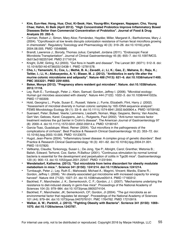- **• Kim, Eun-Hee; Hong, Hua; Choi, Ki-Seok; Han, Young-Min; Kangwan, Napapan; Cho, Young Chae; Hahm, Ki Baik (April 2012). "High Concentrated Probiotics Improve Inflammatory Bowel Diseases Better than Commercial Concentration of Probiotics". Journal of Food & Drug Analysis 20: 292–5.**
- **•** Carman, Robert J.; Simon, Mary Alice; Fernández, Haydée; Miller, Margaret A.; Bartholomew, Mary J. (2004). "Ciprofloxacin at low levels disrupts colonization resistance of human fecal microflora growing in chemostats". Regulatory Toxicology and Pharmacology 40 (3): 319–26. doi:10.1016/j.yrtph. 2004.08.005. PMID 15546686.
- **•** Brandt, Lawrence J.; Borody, Thomas Julius; Campbell, Jordana (2011). "Endoscopic Fecal Microbiota Transplantation". Journal of Clinical Gastroenterology 45 (8): 655–7. doi:10.1097/MCG. 0b013e3182257d4f. PMID 21716124.
- **•** Knight, DJW; Girling, KJ (2003). "Gut flora in health and disease". The Lancet 361 (9371): 512–9. doi: 10.1016/S0140-6736(03)13438-1. PMID 12781578.
- **• Cho, I.; Yamanishi, S.; Cox, L.; Methé, B. A.; Zavadil, J.; Li, K.; Gao, Z.; Mahana, D.; Raju, K.; Teitler, I.; Li, H.; Alekseyenko, A. V.; Blaser, M. J. (2012). "Antibiotics in early life alter the murine colonic microbiome and adiposity". Nature 488 (7413): 621–6. doi:10.1038/nature11400. PMC 3553221. PMID 22914093.**
- **• Baker, Monya (2012). "Pregnancy alters resident gut microbes". Nature. doi:10.1038/nature. 2012.11118.**
- **•** Ley, Ruth E.; Turnbaugh, Peter J.; Klein, Samuel; Gordon, Jeffrey I. (2006). "Microbial ecology: Human gut microbes associated with obesity". Nature 444 (7122): 1022–3. doi:10.1038/4441022a. PMID 17183309.
- **•** Hold, Georgina L.; Pryde, Susan E.; Russell, Valerie J.; Furrie, Elizabeth; Flint, Harry J. (2002). "Assessment of microbial diversity in human colonic samples by 16S rDNA sequence analysis". FEMS Microbiology Ecology 39 (1): 33–9. doi:10.1111/j.1574-6941.2002.tb00904.x. PMID 19709182.
- **•** Suenaert, Peter; Bulteel, Veerle; Lemmens, Liesbeth; Noman, Maja; Geypens, Benny; Van Assche, Gert Van; Geboes, Karel; Ceuppens, Jan L.; Rutgeerts, Paul (2002). "Anti-tumor necrosis factor treatment restores the gut barrier in Crohn's disease". The American Journal of Gastroenterology 97 (8): 2000–4. doi:10.1111/j.1572-0241.2002.05914.x. PMID 12190167.
- **•** Garcia-Tsao, Guadalupe; Wiest, Reiner (2004). "Gut microflora in the pathogenesis of the complications of cirrhosis". Best Practice & Research Clinical Gastroenterology 18 (2): 353–72. doi: 10.1016/j.bpg.2003.10.005. PMID 15123075.
- **•** Hugot, Jean-Pierre (2004). "Inflammatory bowel disease: A complex group of genetic disorders". Best Practice & Research Clinical Gastroenterology 18 (3): 451–62. doi:10.1016/j.bpg.2004.01.001. PMID 15157820.
- **•** Veltkamp, Claudia; Tonkonogy, Susan L.; De Jong, Ype P.; Albright, Carol; Grenther, Wetonia B.; Balish, Edward; Terhorst, Cox; Sartor, R.Balfour (2001). "Continuous stimulation by normal luminal bacteria is essential for the development and perpetuation of colitis in Tgc26 mice". Gastroenterology 120 (4): 900–13. doi:10.1053/gast.2001.22547. PMID 11231944.
- **• Wendelsdorf, Katherine. (2013). "Gut microbiota from twins discordant for obesity modulate metabolism in mice.". Science 341 (6150): 1241214. doi:10.1126/science.1241214.**
- **•** Turnbaugh, Peter J.; Ley, Ruth E.; Mahowald, Michael A.; Magrini, Vincent; Mardis, Elaine R.; Gordon, Jeffrey I. (2006). "An obesity-associated gut microbiome with increased capacity for energy harvest". Nature 444 (7122): 1027–31. doi:10.1038/nature05414. PMID 17183312.
- **•** Backhed, F.; Manchester, J. K.; Semenkovich, C. F.; Gordon, J. I. (2007). "Mechanisms underlying the resistance to diet-induced obesity in germ-free mice". Proceedings of the National Academy of Sciences 104 (3): 979–984. doi:10.1073/pnas.0605374104.
- **•** Backhed, F.; Manchester, JK; Semenkovich, CF; Gordon, JI (2004). "The gut microbiota as an environmental factor that regulates fat storage". Proceedings of the National Academy of Sciences 101 (44): 979–84. doi:10.1073/pnas.0407076101. PMC 1764762. PMID 17210919.
- **• Walker, A. W.; Parkhill, J. (2013). "Fighting Obesity with Bacteria". Scrience 341 (6150): 1069– 1070. doi:10.1126/science.1243787.**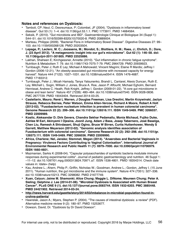#### **Notes and references on Dysbiosis:**

- **•** Tamboli, CP; Neut, C; Desreumaux, P; Colombel, JF (2004). "Dysbiosis in inflammatory bowel disease". Gut 53 (1): 1–4. doi:10.1136/gut.53.1.1. PMC 1773911. PMID 14684564.
- **•** Seksik, P. (2010). "Gut microbiota and IBD". Gastroentérologie Clinique et Biologique 34 (Suppl 1): S44–51. doi:10.1016/S0399-8320(10)70020-8. PMID 20889004.
- **•** Marteau, Philippe (2009). "Bacterial Flora in Inflammatory Bowel Disease". Digestive Diseases 27: 99– 103. doi:10.1159/000268128. PMID 20203504.
- **• Lepage, P.; Leclerc, M. C.; Joossens, M.; Mondot, S.; Blottiere, H. M.; Raes, J.; Ehrlich, D.; Dore, J. (23 April 2012). "A metagenomic insight into our gut's microbiome". Gut 62 (1): 146–58. doi: 10.1136/gutjnl-2011-301805. PMID 22525886.**
- **•** Lakhan, Shaheen E; Kirchgessner, Annette (2010). "Gut inflammation in chronic fatigue syndrome". Nutrition & Metabolism 7: 79. doi:10.1186/1743-7075-7-79. PMC 2964729. PMID 20939923.
- **•** Turnbaugh, Peter J; Ruth E Ley; Michael A Mahowald; Vincent Magrini; Elaine R Mardis; Jeffrey I Gordon (2006-12-21). "An obesity-associated gut microbiome with increased capacity for energy harvest". Nature 444 (7122): 1027–1031. doi:10.1038/nature05414. ISSN 1476-4687. PMID 17183312.
- **•** Turnbaugh, Peter J.; Micah Hamady, Tanya Yatsunenko, Brandi L. Cantarel, Alexis Duncan, Ruth E. Ley, Mitchell L. Sogin, William J. Jones, Bruce A. Roe, Jason P. Affourtit, Michael Egholm, Bernard Henrissat, Andrew C. Heath, Rob Knight, Jeffrey I. Gordon (2009-01-22). "A core gut microbiome in obese and lean twins". Nature 457 (7228): 480–484. doi:10.1038/nature07540. ISSN 0028-0836. PMC 2677729. PMID 19043404. Retrieved 2014-03-25.
- **• Castellarin, Mauro; René L Warren, J Douglas Freeman, Lisa Dreolini, Martin Krzywinski, Jaclyn Strauss, Rebecca Barnes, Peter Watson, Emma Allen-Vercoe, Richard A Moore, Robert A Holt (2012-02). "Fusobacterium nucleatum infection is prevalent in human colorectal carcinoma". Genome Research 22 (2): 299–306. doi:10.1101/gr.126516.111. ISSN 1549-5469. PMC 3266037. PMID 22009989.**
- **• Kostic, Aleksandar D; Dirk Gevers, Chandra Sekhar Pedamallu, Monia Michaud, Fujiko Duke, Ashlee M Earl, Akinyemi I Ojesina, Joonil Jung, Adam J Bass, Josep Tabernero, José Baselga, Chen Liu, Ramesh A Shivdasani, Shuji Ogino, Bruce W Birren, Curtis Huttenhower, Wendy S Garrett, Matthew Meyerson (2012-02). "Genomic analysis identifies association of Fusobacterium with colorectal carcinoma". Genome Research 22 (2): 292–298. doi:10.1101/gr. 126573.111. ISSN 1549-5469. PMC 3266036. PMID 22009990.**
- **• Africa, Charlene; Nel, Janske; Stemmet, Megan (2014). "Anaerobes and Bacterial Vaginosis in Pregnancy: Virulence Factors Contributing to Vaginal Colonisation". International Journal of Environmental Research and Public Health 11 (7): 6979–7000. doi:10.3390/ijerph110706979. ISSN 1660-4601.**
- **•** Mazmanian, Sarkis K (2008-04). "Capsular polysaccharides of symbiotic bacteria modulate immune responses during experimental colitis". Journal of pediatric gastroenterology and nutrition. 46 Suppl 1: –11–12. doi:10.1097/01.mpg.0000313824.70971.a7. ISSN 1536-4801. PMID 18354314. Check date values in: Idate= (help)
- **•** Kau, Andrew L.; Ahern, Philip P.; Griffin, Nicholas W.; Goodman, Andrew L.; Gordon, Jeffrey I. (15 June 2011). "Human nutrition, the gut microbiome and the immune system". Nature 474 (7351): 327–336. doi:10.1038/nature10213. PMC 3298082. PMID 21677749.
- **• Xuan, Caiyun; Jaime M. Shamonki; Alice Chung; Maggie L. DiNome; Maureen Chung; Peter A. Sieling; Delphine J. Lee (2014-01-08). "Microbial Dysbiosis Is Associated with Human Breast Cancer". PLoS ONE 9 (1). doi:10.1371/journal.pone.0083744. ISSN 1932-6203. PMC 3885448. PMID 24421902. Retrieved 2014-03-24.**
- **• [http://news.harvard.edu/gazette/story/2014/03/imbalance-in-microbial-population-found-in](http://news.harvard.edu/gazette/story/2014/03/imbalance-in-microbial-population-found-in-crohns-patients/)[crohns-patients/](http://news.harvard.edu/gazette/story/2014/03/imbalance-in-microbial-population-found-in-crohns-patients/)**
- **•** Hawrelak, Jason A.; Myers, Stephen P. (2004). "The causes of intestinal dysbiosis: a review" (PDF). Alternative medicine review 9 (2): 180–97. PMID 15253677.
- **•** Dowson, David, Dr. "Dysbiosis by Dr David Dowson".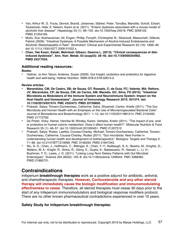- **•** Yan, Arthur W.; E. Fouts, Derrick; Brandl, Johannes; Stärkel, Peter; Torralba, Manolito; Schott, Eckart; Tsukamoto, Hide; E. Nelson, Karen et al. (2011). "Enteric dysbiosis associated with a mouse model of alcoholic liver disease". Hepatology 53 (1): 96–105. doi:10.1002/hep.24018. PMC 3059122. PMID 21254165.
- **•** Mutlu, Ece; Keshavarzian, Ali; Engen, Phillip; Forsyth, Christopher B.; Sikaroodi, Masoumeh; Gillevet, Patrick (2009). "Intestinal Dysbiosis: A Possible Mechanism of Alcohol-Induced Endotoxemia and Alcoholic Steatohepatitis in Rats". Alcoholism: Clinical and Experimental Research 33 (10): 1836–46. doi:10.1111/j.1530-0277.2009.01022.x.
- **• Chan, Yee Kwan; Estaki, Mehrbod; Gibson, Deanna L. (2013). "Clinical consequences of dietinduced dysbiosis". Ann. Nutr. Metab. 63 (suppl2): 28–40. doi:10.1159/000354902. PMID 24217034.**

#### **Additional reading resources:**

#### **Books:**

**•** Hattner, Jo Ann Tatum; Anderes, Susan (2009). Gut Insight: probiotics and prebiotics for digestive health and well-being. Hattner Nutrition. ISBN 978-0-578-02615-2.

#### **Review articles:**

- **• Maranduba, CM; De Castro, SB; de Souza, GT; Rossato, C; da Guia, FC; Valente, MA; Rettore, JV; Maranduba, CP; de Souza, CM; do Carmo, AM; Macedo, GC; Silva, FS (2015). "Intestinal Microbiota as Modulators of the Immune System and Neuroimmune System: Impact on the Host Health and Homeostasis". Journal of Immunology Research 2015: 931574. doi: 10.1155/2015/931574. PMC 4352473. PMID 25759850.**
- **•** Prakash, Satya; Tomaro-Duchesneau, Catherine; Saha, Shyamali; Cantor, Arielle (2011). "The Gut Microbiota and Human Health with an Emphasis on the Use of Microencapsulated Bacterial Cells". Journal of Biomedicine and Biotechnology 2011: 1–12. doi:10.1155/2011/981214. PMC 3134400. PMID 21772792.
- **•** De Preter, Vicky; Hamer, Henrike M; Windey, Karen; Verbeke, Kristin (2011). "The impact of pre- and/ or probiotics on human colonic metabolism: Does it affect human health?". Molecular Nutrition & Food Research 55 (1): 46–57. doi:10.1002/mnfr.201000451. PMID 21207512.
- **•** Prakash, Satya; Rodes, Laetitia; Coussa-Charley, Michael; Tomaro-Duchesneau, Catherine; Tomaro-Duchesneau, Catherine; Coussa-Charley; Rodes (2011). "Gut microbiota: Next frontier in understanding human health and development of biotherapeutics". Biologics: Targets and Therapy 5: 71–86. doi:10.2147/BTT.S19099. PMC 3156250. PMID 21847343.
- **•** Wu, G. D.; Chen, J.; Hoffmann, C.; Bittinger, K.; Chen, Y.-Y.; Keilbaugh, S. A.; Bewtra, M.; Knights, D.; Walters, W. A.; Knight, R.; Sinha, R.; Gilroy, E.; Gupta, K.; Baldassano, R.; Nessel, L.; Li, H.; Bushman, F. D.; Lewis, J. D. (2011). "Linking Long-Term Dietary Patterns with Gut Microbial Enterotypes". Science 334 (6052): 105–8. doi:10.1126/science.1208344. PMC 3368382. PMID 21885731.

## **Contraindications**

Infeperium **breakthrough therapies** work as a positive adjunct for antibiotic, antiviral, and chemotherapeutic therapies. **However, Corticosteroids and any other steroid therapy will immediately cause the biologic modification and immunomodulating effectiveness to cease.** Therefore, all steroid therapies must cease 30 days prior to the start of any Infeperium immunomodulators and biological response modifiers protocol. There are no other known pharmaceutical contradictions experienced in over 10 years.

#### **Safety Study for Infeperium breakthrough therapies:**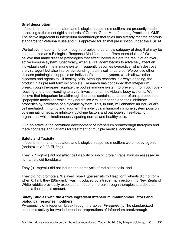#### **Brief description**

Infeperium immunomodulators and biological response modifiers are presently made according to the most rigid standards of Current Good Manufacturing Practices (cGMP). The active ingredient in Infeperium breakthrough therapies has already met the rigorous standards for Veterinary use and it is approved for animal prescription under the USDA!

We believe Infeperium breakthrough therapies to be a new category of drug that may be characterized as a Biological Response Modifier and an "Immunomodulator." We believe that many disease pathologies that affect individuals are the result of an overactive immune system. Specifically, when a viral agent begins to adversely affect an individual's cells, the immune system frequently becomes overactive, which destroys the viral agent but also injures surrounding healthy cell structures. We believe other disease pathologies suppress an individual's immune system, which allows other diseases and agents to kill healthy cells. Although research is always ongoing, the product in its present form is complete. Research has concluded that Infeperium breakthrough therapies regulate the bodies immune system to prevent it from both overreacting and under-reacting to a viral invasion of an individual's body systems. We believe that Infeperium breakthrough therapies contains a number of unique peptide or lipopeptide molecules which may neutralize viral pathogens and their inhibitory properties by activation of a cytokine system. This, in turn, will enhance an individual's cell mediated immunity and augment the individual's humoral immune system possibly by eliminating negative inhibitory cytokine factors and pathogenic free-floating organisms, while simultaneously sparing normal and healthy cells.

Our objective is the continued development of Infeperium breakthrough therapies and there cognates and variants for treatment of multiple medical conditions.

#### **Safety and Toxicity**

Infeperium immunomodulators and biological response modifiers were not pyrogenic  $(endotoxin < 0.08$  EU/mg).

They (≤ 1mg/mL) did not affect cell viability or inhibit protein translation as assessed in human diploid fibroblasts,

They  $(\leq 1 \text{mg/mL})$  did not induce the hemolysis of red blood cells, and

They did not promote a "Delayed Type Hypersensitivity Reaction": wheals did not form when 0.1 mL they (20mg/mL) was introduced by intradermal injection into New Zealand White rabbits previously exposed to Infeperium breakthrough therapies at a dose ten times a therapeutic amount.

#### **Safety Studies with the Active Ingredient Infeperium immunomodulators and biological response modifiers**

Pyrogenicity of Infeperium breakthrough therapies. *Pyrogenicity*. The standardized endotoxic activity for two independent preparations of Infeperium breakthrough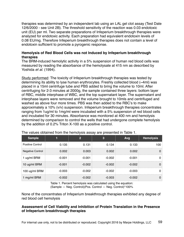therapies was determined by an independent lab using an LAL gel clot assay (Test Date 12/6/2000 - see Unit 2B). The threshold sensitivity of the reaction was 0.03 endotoxic unit (EU) per ml. Two separate preparations of Infeperium breakthrough therapies were analyzed for endotoxic activity. Each preparation had equivalent endotoxin levels of 0.08 EU/mg. Therefore Infeperium breakthrough therapies does not contain a level of endotoxin sufficient to promote a pyrogenic response.

#### **Hemolysis of Red Blood Cells was not Induced by Infeperium breakthrough therapies**

The BRM-induced hemolytic activity in a 5% suspension of human red blood cells was measured by reading the absorbance of the hemolysate at 415 nm as described by Yoshida *et al*. (1994).

Study performed: The toxicity of Infeperium breakthrough therapies was tested by determining its ability to lyse human erythrocytes. Freshly collected blood (~4ml) was placed in a 15ml centrifuge tube and PBS added to bring the volume to 10ml. After centrifuging for 2-3 minutes at 2000g, the sample contained three layers: bottom layer of RBC, middle interphase of WBC, and the top supernatant layer. The supernatant and interphase layers were removed and the volume brought to 10mls and centrifuged and washed as above four more times. PBS was then added to the RBC's to make approximately a 10% (v/v) suspension. Infeperium breakthrough therapies concentrates ranging from 1ug/ml to 1mg/ml were incubated with a 5% suspension of red blood cells and incubated for 30 minutes. Absorbance was monitored at 400 nm and hemolysis determined by comparison to control the wells that had undergone complete hemolysis by the addition of 0.2% Triton X-100 as a positive control.

| <b>Sample</b>           |          |          |          | Avg      | <b>Hemolysis</b> |
|-------------------------|----------|----------|----------|----------|------------------|
| Positive Control        | 0.135    | 0.131    | 0.134    | 0.133    | 100              |
| <b>Negative Control</b> | 0.002    | 0.003    | 0.002    | 0.002    |                  |
| 1 ug/ml BRM             | $-0.001$ | $-0.001$ | $-0.002$ | $-0.001$ |                  |
| 10 ug/ml BRM            | $-0.001$ | $-0.002$ | $-0.002$ | $-0.002$ |                  |
| 100 ug/ml BRM           | $-0.003$ | $-0.002$ | $-0.002$ | $-0.003$ |                  |
| 1 mg/ml BRM             | $-0.002$ | $-0.002$ | $-0.003$ | $-0.002$ |                  |

The values obtained from the hemolysis assay are presented in Table 1.

Table 1. Percent hemolysis was calculated using the equation: (Sample — Neg. Control)(Pos. Control — Neg. Control)\*100%

None of the concentrates of Infeperium breakthrough therapies exhibited any degree of red blood cell hemolysis

#### **Assessment of Cell Viability and Inhibition of Protein Translation in the Presence of Infeperium breakthrough therapies**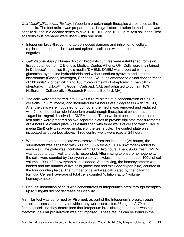*Cell Viability/Fibroblast Toxicity*. Infeperium breakthrough therapies weres used as the test article. The test article was prepared as a 1 mg/ml stock solution in media and was serially diluted in a decade series to give 1, 10, 100, and 1000 ug/ml test solutions. Test solutions thus prepared were used within one hour.

- Infeperium breakthrough therapies-induced damage and inhibition of cellular replication in normal fibroblast and epithelial cell lines was monitored and found negative.
- *Cell Viability Assay*: Human diploid fibroblasts cultures were established from skin tissue obtained from O'Bleness Medical Center, Athens, OH. Cells were maintained in Dulbecco's modified Eagle's media (DMEM). DMEM was prepared with Lglutamine, pyridoxine hydrochloride and without sodium pyruvate and sodium bicarbonate (Gibco**R**, Invitrogen, Carlsbad, CA) supplemented to a final concentration of 100 units/ml of penicillin and 100 micrograms/ml of streptomycin (penicillinstreptomycin, Gibco**R**, Invitrogen, Carlsbad, CA), and adjusted to contain 10% NuSerum I (Collaborative Research Products, Bedford, MA).
- The cells were transferred into 12-well culture plates at a concentration of 5X10**<sup>4</sup>** cells/cm**2** (in 2 ml media) and incubated for 24 hours at 37 degrees C with 5% CO**2**. After the cells were incubated for 36 hours, the media was removed and replaced with 2ml of the test article Infeperium breakthrough therapies at concentrations from 1ug/ml to 1mg/ml dissolved in DMEM media. Three wells at each concentration of test article were prepared on two separate plates to provide triplicate measurements at 24 hours. A control plate was established with three wells of cells to which DMEM media (2ml) only was added in place of the test article. The control plate was incubated as described above. Three control wells were read at 24 hours.
- When the test or control plate was removed from the incubator (24 hours), the supernatant was aspirated with 50ul of 0.05% trypsin/EDTA (Invitrogen) added to each well. The plate was incubated at 37 C for two hours. Then, 950ul fresh DMEM was added to each well and cells responded. After mixing to ensure homogeneity, the cells were counted by the trypan blue dye exclusion method: to each 100ul of cell volume, 100ul of 0.4% trypan blue is added. After mixing, the hemocytometer was loaded and the number of live cells (those that had excluded trypan blue) counted in the four counting fields. The number of cell/ml was calculated by the following formula: Cells/ml=average of total cells counted \*dilution factor\* volume hemocytometer.
- Results: Incubation of cells with concentrates of Infeperium's breakthrough therapies up to 1 mg/ml did not decrease cell viability.

A similar test was performed by **Viromed**, as part of the Infeperium's breakthrough therapies assessment study for which they were contracted. Using the A-72 canine fibroblast cell line they determined that Infeperium breakthrough therapies was not cytotoxic (cellular proliferation was not impaired). These results can be found in the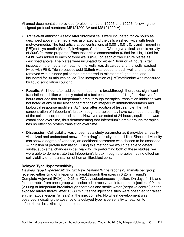Viromed documentation provided (project numbers: 10295 and 10296, following the assigned protocol numbers: MS121200-AV and MS121200-V).

- *Translation Inhibition Assay*: After fibroblast cells were incubated for 24 hours as described above, the media was aspirated and the cells washed twice with fresh met-cya-media. The test article at concentrations of 0.001, 0.01, 0.1, and 1 mg/ml in [**35**S]met-cys-media (Gibco**R**, Invitrogen, Carlsbad, CA) to give a final specific activity of 20uCi/ml were prepared. Each test article concentration (0.5ml for 1 hr, 1.0ml for 24 hr) was added to each of three wells (n=3) on each of two culture plates as described above. The plates were incubated for either 1 hour or 24 hours. After incubation, the media from each of the wells was discarded and the wells washed twice with PBS. Trichloroacetic acid (0.5ml) was added to each well and the cells removed with a rubber policeman, transferred to microcentrifuge tubes, and incubated for 30 minutes on ice. The incorporation of [**35**S]methionine was measured by liquid scintillation counting.
- **Results**: At 1 hour after addition of Infeperium's breakthrough therapies, significant translation inhibition was only noted at a test concentration of 1mg/ml. However 24 hours after addition of Infeperium's breakthrough therapies, translation inhibition was not noted at any of the test concentrations of Infeperium immunomodulators and biological response modifiers. At 1 hour after addition of test sample, the high concentration of Infeperium's breakthrough therapies may have swamped the ability of the cell to incorporate radiolabel. However, as noted at 24 hours, equilibrium was established over time, thus demonstrating that Infeperium's breakthrough therapies has no effect on protein translation over time.
- **Discussion**: Cell viability was chosen as a study parameter as it provides an easily visualized and understood answer for a drug's toxicity to a cell line. Since cell viability can show a degree of variance, an additional parameter was chosen to be assessed —inhibition of protein translation. Using this method we would be able to detect subtle, sub-lethal changes in cell viability. By performing both of these studies, we were able to demonstrate that Infeperium's breakthrough therapies has no effect on cell viability or on translation of human fibroblast cells.

#### **Delayed Type Hypersensitivity**

*Delayed Type Hypersensitivity*. Six New Zealand White rabbits (3 animals per group) received either 5mg of Infeperium's breakthrough therapies in 0.25ml Freund's Complete Adjuvant (FCA) or 0.25ml FCA by subcutaneous injection. On days 4, 11, and 21 one rabbit from each group was selected to receive an intradermal injection of 0.1ml (200ug) of Infeperium breakthrough therapies and sterile water (negative control) on the exposed lateral thorax. After 15-30 minutes the injections sites were observed for raised erythematous lesions (wheals) at the injection site. No wheal development was observed indicating the absence of a delayed type hypersensitivity reaction to Infeperium's breakthrough therapies.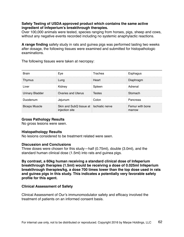#### **Safety Testing of USDA approved product which contains the same active ingredient of Infeperium's breakthrough therapies.**

Over 100,000 animals were tested, species ranging from horses, pigs, sheep and cows, without any negative events recorded including no systemic anaphylactic reactions.

**A range finding** safety study in rats and guinea pigs was performed lasting two weeks after dosage, the following tissues were examined and submitted for histopathologic examinations.

The following tissues were taken at necropsy:

| <b>Brain</b>           | Eve                                                       | Trachea | Esphagus                  |
|------------------------|-----------------------------------------------------------|---------|---------------------------|
| Thymus                 | .una                                                      | Heart   | Diaphragm                 |
| Liver                  | Kidney                                                    | 3pleen  | Adrenal                   |
| <b>Urinary Bladder</b> | Ovaries and Uterus                                        | Testes  | Stomach                   |
| Duodenum               | Jejunum                                                   | Colon.  | Pancreas                  |
| <b>Biceps Muscle</b>   | Skin and SubQ tissue at Ischiatic nerve<br>injection site |         | Femur with bone<br>marrow |

#### **Gross Pathology Results**

No gross lesions were seen.

#### **Histopathology Results**

No lesions considered to be treatment related were seen.

#### **Discussion and Conclusions**

Three doses were chosen for this study—half (0.75ml), double (3.0ml), and the standard human clinical dose (1.5ml) into rats and guinea pigs.

**By contrast, a 60kg human receiving a standard clinical dose of Infeperium breakthrough therapies (1.5ml) would be receiving a dose of 0.025ml Infeperium breakthrough therapies/kg, a dose 700 times lower than the top dose used in rats and guinea pigs in this study. This indicates a potentially very favorable safety profile for this agent.**

#### **Clinical Assessment of Safety**

Clinical Assessment of Our's immunomodulator safety and efficacy involved the treatment of patients on an informed consent basis.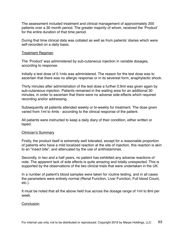The assessment included treatment and clinical management of approximately 200 patients over a 30 month period. The greater majority of whom, received the 'Product' for the entire duration of that time period.

During that time clinical data was collated as well as from patients' diaries which were self-recorded on a daily basis.

#### Treatment Regimen

The 'Product' was administered by sub-cutaneous injection in variable dosages, according to response.

Initially a test dose of 0.1mls was administered. The reason for the test dose was to ascertain that there was no allergic response or in its severest form, anaphylactic shock.

Thirty minutes after administration of the test dose a further 0.9ml was given again by sub-cutaneous injection. Patients remained in the waiting area for an additional 30 minutes, in order to ascertain that there were no adverse side-effects which required recording and/or addressing.

Subsequently all patients attended weekly or bi-weekly for treatment. The dose given varied from 1ml to 4mls - according to the clinical response of the patient.

All patients were instructed to keep a daily diary of their condition, either written or taped.

#### Clinician's Summary

Firstly, the product itself is extremely well tolerated, except for a reasonable proportion of patients who have a mild localized reaction at the site of injection, this reaction is akin to an "insect bite", and attenuated by the use of antihistamines.

Secondly, in two and a half years, no patient has exhibited any adverse reactions of note. The apparent lack of side effects is quite amazing and totally unexpected. This is supported by the observations of the two clinical trials that were undertaken in the UK.

In a number of patient's blood samples were taken for routine testing, and in all cases the parameters were entirely normal (Renal Function, Liver Function, Full blood Count, etc.).

It must be noted that all the above held true across the dosage range of 1ml to 8ml per week.

#### **Conclusion**